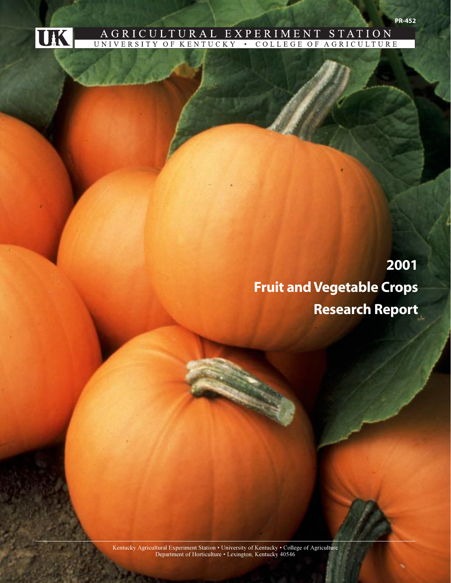

## AGRICULTURAL EXPERIMENT STATION ULTURE

# **2001 Fruit and Vegetable Crops Research Report**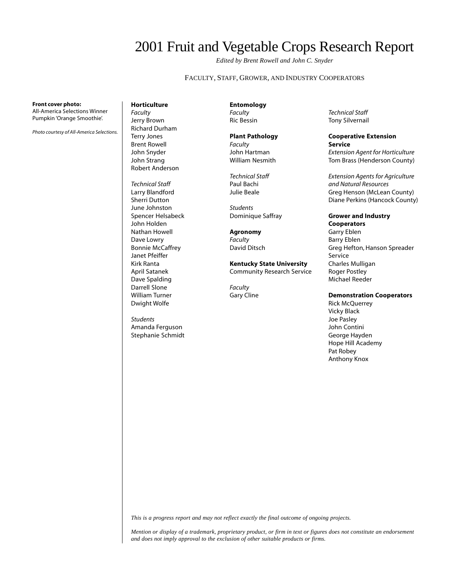## 2001 Fruit and Vegetable Crops Research Report

*Edited by Brent Rowell and John C. Snyder*

FACULTY, STAFF, GROWER, AND INDUSTRY COOPERATORS

**Front cover photo:**

All-America Selections Winner Pumpkin 'Orange Smoothie'.

*Photo courtesy of All-America Selections.*

#### **Horticulture** *Faculty* Jerry Brown Richard Durham Terry Jones Brent Rowell John Snyder John Strang Robert Anderson

*Technical Staff* Larry Blandford Sherri Dutton June Johnston Spencer Helsabeck John Holden Nathan Howell Dave Lowry Bonnie McCaffrey Janet Pfeiffer Kirk Ranta April Satanek Dave Spalding Darrell Slone William Turner Dwight Wolfe

*Students* Amanda Ferguson Stephanie Schmidt

**Entomology** *Faculty*

Ric Bessin

## **Plant Pathology**

*Faculty* John Hartman William Nesmith

*Technical Staff* Paul Bachi Julie Beale

*Students* Dominique Saffray

**Agronomy** *Faculty* David Ditsch

**Kentucky State University** Community Research Service

*Faculty* Gary Cline

*Technical Staff* Tony Silvernail

#### **Cooperative Extension Service**

*Extension Agent for Horticulture* Tom Brass (Henderson County)

*Extension Agents for Agriculture and Natural Resources* Greg Henson (McLean County) Diane Perkins (Hancock County)

## **Grower and Industry**

**Cooperators** Garry Eblen Barry Eblen Greg Hefton, Hanson Spreader Service Charles Mulligan Roger Postley Michael Reeder

#### **Demonstration Cooperators**

Rick McQuerrey Vicky Black Joe Pasley John Contini George Hayden Hope Hill Academy Pat Robey Anthony Knox

*This is a progress report and may not reflect exactly the final outcome of ongoing projects.*

*Mention or display of a trademark, proprietary product, or firm in text or figures does not constitute an endorsement and does not imply approval to the exclusion of other suitable products or firms.*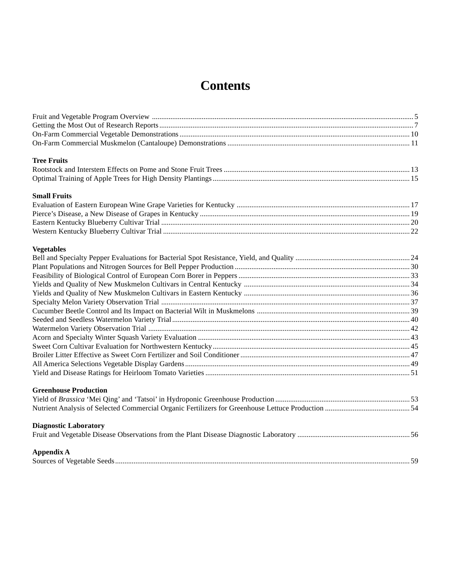## **Contents**

| <b>Tree Fruits</b>           |  |
|------------------------------|--|
|                              |  |
|                              |  |
| <b>Small Fruits</b>          |  |
|                              |  |
|                              |  |
|                              |  |
|                              |  |
| <b>Vegetables</b>            |  |
|                              |  |
|                              |  |
|                              |  |
|                              |  |
|                              |  |
|                              |  |
|                              |  |
|                              |  |
|                              |  |
|                              |  |
|                              |  |
|                              |  |
|                              |  |
|                              |  |
| <b>Greenhouse Production</b> |  |
|                              |  |
|                              |  |
| <b>Diagnostic Laboratory</b> |  |
|                              |  |
| Appendix A                   |  |
|                              |  |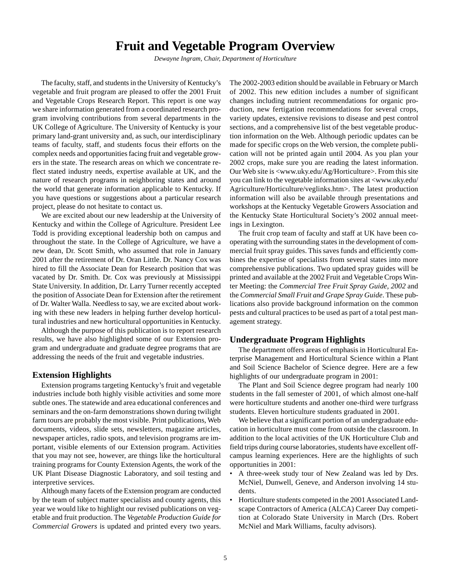## **Fruit and Vegetable Program Overview**

*Dewayne Ingram, Chair, Department of Horticulture*

<span id="page-3-0"></span>The faculty, staff, and students in the University of Kentucky's vegetable and fruit program are pleased to offer the 2001 Fruit and Vegetable Crops Research Report. This report is one way we share information generated from a coordinated research program involving contributions from several departments in the UK College of Agriculture. The University of Kentucky is your primary land-grant university and, as such, our interdisciplinary teams of faculty, staff, and students focus their efforts on the complex needs and opportunities facing fruit and vegetable growers in the state. The research areas on which we concentrate reflect stated industry needs, expertise available at UK, and the nature of research programs in neighboring states and around the world that generate information applicable to Kentucky. If you have questions or suggestions about a particular research project, please do not hesitate to contact us.

We are excited about our new leadership at the University of Kentucky and within the College of Agriculture. President Lee Todd is providing exceptional leadership both on campus and throughout the state. In the College of Agriculture, we have a new dean, Dr. Scott Smith, who assumed that role in January 2001 after the retirement of Dr. Oran Little. Dr. Nancy Cox was hired to fill the Associate Dean for Research position that was vacated by Dr. Smith. Dr. Cox was previously at Mississippi State University. In addition, Dr. Larry Turner recently accepted the position of Associate Dean for Extension after the retirement of Dr. Walter Walla. Needless to say, we are excited about working with these new leaders in helping further develop horticultural industries and new horticultural opportunities in Kentucky.

Although the purpose of this publication is to report research results, we have also highlighted some of our Extension program and undergraduate and graduate degree programs that are addressing the needs of the fruit and vegetable industries.

#### **Extension Highlights**

Extension programs targeting Kentucky's fruit and vegetable industries include both highly visible activities and some more subtle ones. The statewide and area educational conferences and seminars and the on-farm demonstrations shown during twilight farm tours are probably the most visible. Print publications, Web documents, videos, slide sets, newsletters, magazine articles, newspaper articles, radio spots, and television programs are important, visible elements of our Extension program. Activities that you may not see, however, are things like the horticultural training programs for County Extension Agents, the work of the UK Plant Disease Diagnostic Laboratory, and soil testing and interpretive services.

Although many facets of the Extension program are conducted by the team of subject matter specialists and county agents, this year we would like to highlight our revised publications on vegetable and fruit production. The *Vegetable Production Guide for Commercial Growers* is updated and printed every two years.

The 2002-2003 edition should be available in February or March of 2002. This new edition includes a number of significant changes including nutrient recommendations for organic production, new fertigation recommendations for several crops, variety updates, extensive revisions to disease and pest control sections, and a comprehensive list of the best vegetable production information on the Web. Although periodic updates can be made for specific crops on the Web version, the complete publication will not be printed again until 2004. As you plan your 2002 crops, make sure you are reading the latest information. Our Web site is <www.uky.edu/Ag/Horticulture>. From this site you can link to the vegetable information sites at <www.uky.edu/ Agriculture/Horticulture/veglinks.htm>. The latest production information will also be available through presentations and workshops at the Kentucky Vegetable Growers Association and the Kentucky State Horticultural Society's 2002 annual meetings in Lexington.

The fruit crop team of faculty and staff at UK have been cooperating with the surrounding states in the development of commercial fruit spray guides. This saves funds and efficiently combines the expertise of specialists from several states into more comprehensive publications. Two updated spray guides will be printed and available at the 2002 Fruit and Vegetable Crops Winter Meeting: the *Commercial Tree Fruit Spray Guide, 2002* and the *Commercial Small Fruit and Grape Spray Guide*. These publications also provide background information on the common pests and cultural practices to be used as part of a total pest management strategy.

### **Undergraduate Program Highlights**

The department offers areas of emphasis in Horticultural Enterprise Management and Horticultural Science within a Plant and Soil Science Bachelor of Science degree. Here are a few highlights of our undergraduate program in 2001:

The Plant and Soil Science degree program had nearly 100 students in the fall semester of 2001, of which almost one-half were horticulture students and another one-third were turfgrass students. Eleven horticulture students graduated in 2001.

We believe that a significant portion of an undergraduate education in horticulture must come from outside the classroom. In addition to the local activities of the UK Horticulture Club and field trips during course laboratories, students have excellent offcampus learning experiences. Here are the highlights of such opportunities in 2001:

- A three-week study tour of New Zealand was led by Drs. McNiel, Dunwell, Geneve, and Anderson involving 14 students.
- Horticulture students competed in the 2001 Associated Landscape Contractors of America (ALCA) Career Day competition at Colorado State University in March (Drs. Robert McNiel and Mark Williams, faculty advisors).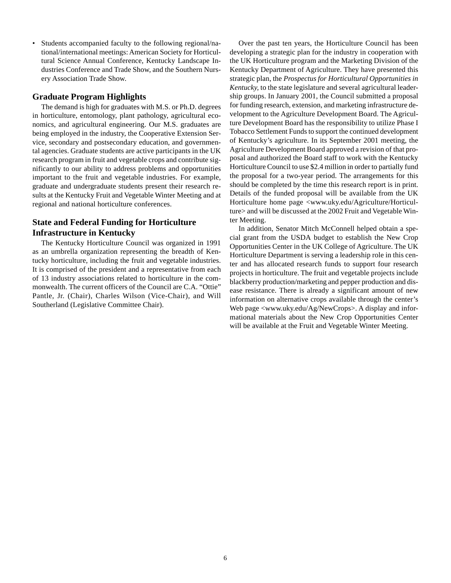• Students accompanied faculty to the following regional/national/international meetings: American Society for Horticultural Science Annual Conference, Kentucky Landscape Industries Conference and Trade Show, and the Southern Nursery Association Trade Show.

### **Graduate Program Highlights**

The demand is high for graduates with M.S. or Ph.D. degrees in horticulture, entomology, plant pathology, agricultural economics, and agricultural engineering. Our M.S. graduates are being employed in the industry, the Cooperative Extension Service, secondary and postsecondary education, and governmental agencies. Graduate students are active participants in the UK research program in fruit and vegetable crops and contribute significantly to our ability to address problems and opportunities important to the fruit and vegetable industries. For example, graduate and undergraduate students present their research results at the Kentucky Fruit and Vegetable Winter Meeting and at regional and national horticulture conferences.

## **State and Federal Funding for Horticulture Infrastructure in Kentucky**

The Kentucky Horticulture Council was organized in 1991 as an umbrella organization representing the breadth of Kentucky horticulture, including the fruit and vegetable industries. It is comprised of the president and a representative from each of 13 industry associations related to horticulture in the commonwealth. The current officers of the Council are C.A. "Ottie" Pantle, Jr. (Chair), Charles Wilson (Vice-Chair), and Will Southerland (Legislative Committee Chair).

Over the past ten years, the Horticulture Council has been developing a strategic plan for the industry in cooperation with the UK Horticulture program and the Marketing Division of the Kentucky Department of Agriculture. They have presented this strategic plan, the *Prospectus for Horticultural Opportunities in Kentucky,* to the state legislature and several agricultural leadership groups. In January 2001, the Council submitted a proposal for funding research, extension, and marketing infrastructure development to the Agriculture Development Board. The Agriculture Development Board has the responsibility to utilize Phase I Tobacco Settlement Funds to support the continued development of Kentucky's agriculture. In its September 2001 meeting, the Agriculture Development Board approved a revision of that proposal and authorized the Board staff to work with the Kentucky Horticulture Council to use \$2.4 million in order to partially fund the proposal for a two-year period. The arrangements for this should be completed by the time this research report is in print. Details of the funded proposal will be available from the UK Horticulture home page <www.uky.edu/Agriculture/Horticulture> and will be discussed at the 2002 Fruit and Vegetable Winter Meeting.

In addition, Senator Mitch McConnell helped obtain a special grant from the USDA budget to establish the New Crop Opportunities Center in the UK College of Agriculture. The UK Horticulture Department is serving a leadership role in this center and has allocated research funds to support four research projects in horticulture. The fruit and vegetable projects include blackberry production/marketing and pepper production and disease resistance. There is already a significant amount of new information on alternative crops available through the center's Web page <www.uky.edu/Ag/NewCrops>. A display and informational materials about the New Crop Opportunities Center will be available at the Fruit and Vegetable Winter Meeting.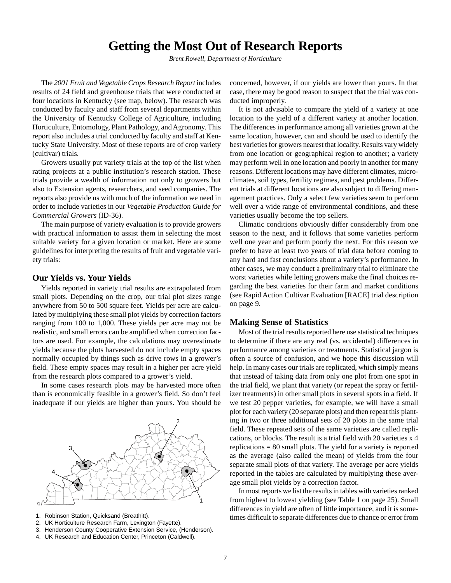## **Getting the Most Out of Research Reports**

*Brent Rowell, Department of Horticulture*

<span id="page-5-0"></span>The *2001 Fruit and Vegetable Crops Research Report* includes results of 24 field and greenhouse trials that were conducted at four locations in Kentucky (see map, below). The research was conducted by faculty and staff from several departments within the University of Kentucky College of Agriculture, including Horticulture, Entomology, Plant Pathology, and Agronomy. This report also includes a trial conducted by faculty and staff at Kentucky State University. Most of these reports are of crop variety (cultivar) trials.

Growers usually put variety trials at the top of the list when rating projects at a public institution's research station. These trials provide a wealth of information not only to growers but also to Extension agents, researchers, and seed companies. The reports also provide us with much of the information we need in order to include varieties in our *Vegetable Production Guide for Commercial Growers* (ID-36).

The main purpose of variety evaluation is to provide growers with practical information to assist them in selecting the most suitable variety for a given location or market. Here are some guidelines for interpreting the results of fruit and vegetable variety trials:

#### **Our Yields vs. Your Yields**

Yields reported in variety trial results are extrapolated from small plots. Depending on the crop, our trial plot sizes range anywhere from 50 to 500 square feet. Yields per acre are calculated by multiplying these small plot yields by correction factors ranging from 100 to 1,000. These yields per acre may not be realistic, and small errors can be amplified when correction factors are used. For example, the calculations may overestimate yields because the plots harvested do not include empty spaces normally occupied by things such as drive rows in a grower's field. These empty spaces may result in a higher per acre yield from the research plots compared to a grower's yield.

In some cases research plots may be harvested more often than is economically feasible in a grower's field. So don't feel inadequate if our yields are higher than yours. You should be



- 1. Robinson Station, Quicksand (Breathitt).
- 2. UK Horticulture Research Farm, Lexington (Fayette).
- 3. Henderson County Cooperative Extension Service, (Henderson).
- 4. UK Research and Education Center, Princeton (Caldwell).

concerned, however, if our yields are lower than yours. In that case, there may be good reason to suspect that the trial was conducted improperly.

It is not advisable to compare the yield of a variety at one location to the yield of a different variety at another location. The differences in performance among all varieties grown at the same location, however, can and should be used to identify the best varieties for growers nearest that locality. Results vary widely from one location or geographical region to another; a variety may perform well in one location and poorly in another for many reasons. Different locations may have different climates, microclimates, soil types, fertility regimes, and pest problems. Different trials at different locations are also subject to differing management practices. Only a select few varieties seem to perform well over a wide range of environmental conditions, and these varieties usually become the top sellers.

Climatic conditions obviously differ considerably from one season to the next, and it follows that some varieties perform well one year and perform poorly the next. For this reason we prefer to have at least two years of trial data before coming to any hard and fast conclusions about a variety's performance. In other cases, we may conduct a preliminary trial to eliminate the worst varieties while letting growers make the final choices regarding the best varieties for their farm and market conditions (see Rapid Action Cultivar Evaluation [RACE] trial description on page 9.

#### **Making Sense of Statistics**

Most of the trial results reported here use statistical techniques to determine if there are any real (vs. accidental) differences in performance among varieties or treatments. Statistical jargon is often a source of confusion, and we hope this discussion will help. In many cases our trials are replicated, which simply means that instead of taking data from only one plot from one spot in the trial field, we plant that variety (or repeat the spray or fertilizer treatments) in other small plots in several spots in a field. If we test 20 pepper varieties, for example, we will have a small plot for each variety (20 separate plots) and then repeat this planting in two or three additional sets of 20 plots in the same trial field. These repeated sets of the same varieties are called replications, or blocks. The result is a trial field with 20 varieties x 4 replications = 80 small plots. The yield for a variety is reported as the average (also called the mean) of yields from the four separate small plots of that variety. The average per acre yields reported in the tables are calculated by multiplying these average small plot yields by a correction factor.

In most reports we list the results in tables with varieties ranked from highest to lowest yielding (see Table 1 on page 25). Small differences in yield are often of little importance, and it is sometimes difficult to separate differences due to chance or error from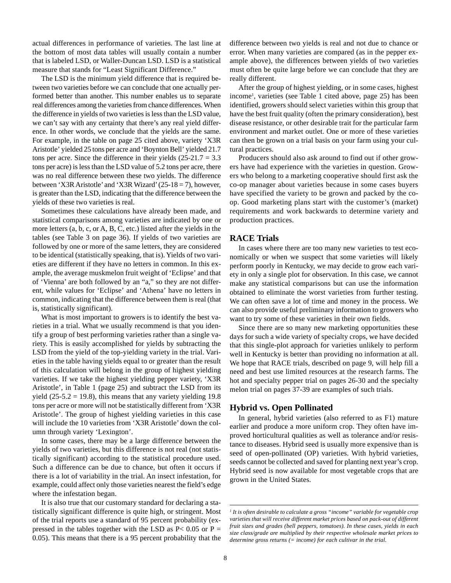actual differences in performance of varieties. The last line at the bottom of most data tables will usually contain a number that is labeled LSD, or Waller-Duncan LSD. LSD is a statistical measure that stands for "Least Significant Difference."

The LSD is the minimum yield difference that is required between two varieties before we can conclude that one actually performed better than another. This number enables us to separate real differences among the varieties from chance differences. When the difference in yields of two varieties is less than the LSD value, we can't say with any certainty that there's any real yield difference. In other words, we conclude that the yields are the same. For example, in the table on page 25 cited above, variety 'X3R Aristotle' yielded 25 tons per acre and 'Boynton Bell' yielded 21.7 tons per acre. Since the difference in their yields  $(25-21.7 = 3.3)$ tons per acre) is less than the LSD value of 5.2 tons per acre, there was no real difference between these two yields. The difference between 'X3R Aristotle' and 'X3R Wizard' (25-18 = 7), however, is greater than the LSD, indicating that the difference between the yields of these two varieties is real.

Sometimes these calculations have already been made, and statistical comparisons among varieties are indicated by one or more letters (a, b, c, or A, B, C, etc.) listed after the yields in the tables (see Table 3 on page 36). If yields of two varieties are followed by one or more of the same letters, they are considered to be identical (statistically speaking, that is). Yields of two varieties are different if they have no letters in common. In this example, the average muskmelon fruit weight of 'Eclipse' and that of 'Vienna' are both followed by an "a," so they are not different, while values for 'Eclipse' and 'Athena' have no letters in common, indicating that the difference between them is real (that is, statistically significant).

What is most important to growers is to identify the best varieties in a trial. What we usually recommend is that you identify a group of best performing varieties rather than a single variety. This is easily accomplished for yields by subtracting the LSD from the yield of the top-yielding variety in the trial. Varieties in the table having yields equal to or greater than the result of this calculation will belong in the group of highest yielding varieties. If we take the highest yielding pepper variety, 'X3R Aristotle', in Table 1 (page 25) and subtract the LSD from its yield  $(25-5.2 = 19.8)$ , this means that any variety yielding 19.8 tons per acre or more will not be statistically different from 'X3R Aristotle'. The group of highest yielding varieties in this case will include the 10 varieties from 'X3R Aristotle' down the column through variety 'Lexington'.

In some cases, there may be a large difference between the yields of two varieties, but this difference is not real (not statistically significant) according to the statistical procedure used. Such a difference can be due to chance, but often it occurs if there is a lot of variability in the trial. An insect infestation, for example, could affect only those varieties nearest the field's edge where the infestation began.

It is also true that our customary standard for declaring a statistically significant difference is quite high, or stringent. Most of the trial reports use a standard of 95 percent probability (expressed in the tables together with the LSD as  $P < 0.05$  or  $P =$ 0.05). This means that there is a 95 percent probability that the difference between two yields is real and not due to chance or error. When many varieties are compared (as in the pepper example above), the differences between yields of two varieties must often be quite large before we can conclude that they are really different.

After the group of highest yielding, or in some cases, highest income1 , varieties (see Table 1 cited above, page 25) has been identified, growers should select varieties within this group that have the best fruit quality (often the primary consideration), best disease resistance, or other desirable trait for the particular farm environment and market outlet. One or more of these varieties can then be grown on a trial basis on your farm using your cultural practices.

Producers should also ask around to find out if other growers have had experience with the varieties in question. Growers who belong to a marketing cooperative should first ask the co-op manager about varieties because in some cases buyers have specified the variety to be grown and packed by the coop. Good marketing plans start with the customer's (market) requirements and work backwards to determine variety and production practices.

### **RACE Trials**

In cases where there are too many new varieties to test economically or when we suspect that some varieties will likely perform poorly in Kentucky, we may decide to grow each variety in only a single plot for observation. In this case, we cannot make any statistical comparisons but can use the information obtained to eliminate the worst varieties from further testing. We can often save a lot of time and money in the process. We can also provide useful preliminary information to growers who want to try some of these varieties in their own fields.

Since there are so many new marketing opportunities these days for such a wide variety of specialty crops, we have decided that this single-plot approach for varieties unlikely to perform well in Kentucky is better than providing no information at all. We hope that RACE trials, described on page 9, will help fill a need and best use limited resources at the research farms. The hot and specialty pepper trial on pages 26-30 and the specialty melon trial on pages 37-39 are examples of such trials.

#### **Hybrid vs. Open Pollinated**

In general, hybrid varieties (also referred to as F1) mature earlier and produce a more uniform crop. They often have improved horticultural qualities as well as tolerance and/or resistance to diseases. Hybrid seed is usually more expensive than is seed of open-pollinated (OP) varieties. With hybrid varieties, seeds cannot be collected and saved for planting next year's crop. Hybrid seed is now available for most vegetable crops that are grown in the United States.

*<sup>1</sup> It is often desirable to calculate a gross "income" variable for vegetable crop varieties that will receive different market prices based on pack-out of different fruit sizes and grades (bell peppers, tomatoes). In these cases, yields in each size class/grade are multiplied by their respective wholesale market prices to determine gross returns (= income) for each cultivar in the trial.*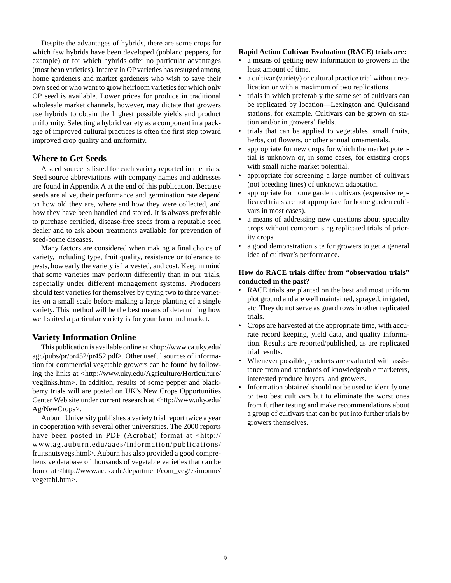Despite the advantages of hybrids, there are some crops for which few hybrids have been developed (poblano peppers, for example) or for which hybrids offer no particular advantages (most bean varieties). Interest in OP varieties has resurged among home gardeners and market gardeners who wish to save their own seed or who want to grow heirloom varieties for which only OP seed is available. Lower prices for produce in traditional wholesale market channels, however, may dictate that growers use hybrids to obtain the highest possible yields and product uniformity. Selecting a hybrid variety as a component in a package of improved cultural practices is often the first step toward improved crop quality and uniformity.

## **Where to Get Seeds**

A seed source is listed for each variety reported in the trials. Seed source abbreviations with company names and addresses are found in Appendix A at the end of this publication. Because seeds are alive, their performance and germination rate depend on how old they are, where and how they were collected, and how they have been handled and stored. It is always preferable to purchase certified, disease-free seeds from a reputable seed dealer and to ask about treatments available for prevention of seed-borne diseases.

Many factors are considered when making a final choice of variety, including type, fruit quality, resistance or tolerance to pests, how early the variety is harvested, and cost. Keep in mind that some varieties may perform differently than in our trials, especially under different management systems. Producers should test varieties for themselves by trying two to three varieties on a small scale before making a large planting of a single variety. This method will be the best means of determining how well suited a particular variety is for your farm and market.

### **Variety Information Online**

This publication is available online at <http://www.ca.uky.edu/ agc/pubs/pr/pr452/pr452.pdf>. Other useful sources of information for commercial vegetable growers can be found by following the links at <http://www.uky.edu/Agriculture/Horticulture/ veglinks.htm>. In addition, results of some pepper and blackberry trials will are posted on UK's New Crops Opportunities Center Web site under current research at <http://www.uky.edu/ Ag/NewCrops>.

Auburn University publishes a variety trial report twice a year in cooperation with several other universities. The 2000 reports have been posted in PDF (Acrobat) format at <http:// www.ag.auburn.edu/aaes/information/publications/ fruitsnutsvegs.html>. Auburn has also provided a good comprehensive database of thousands of vegetable varieties that can be found at <http://www.aces.edu/department/com\_veg/esimonne/ vegetabl.htm>.

#### **Rapid Action Cultivar Evaluation (RACE) trials are:**

- a means of getting new information to growers in the least amount of time.
- a cultivar (variety) or cultural practice trial without replication or with a maximum of two replications.
- trials in which preferably the same set of cultivars can be replicated by location—Lexington and Quicksand stations, for example. Cultivars can be grown on station and/or in growers' fields.
- trials that can be applied to vegetables, small fruits, herbs, cut flowers, or other annual ornamentals.
- appropriate for new crops for which the market potential is unknown or, in some cases, for existing crops with small niche market potential.
- appropriate for screening a large number of cultivars (not breeding lines) of unknown adaptation.
- appropriate for home garden cultivars (expensive replicated trials are not appropriate for home garden cultivars in most cases).
- a means of addressing new questions about specialty crops without compromising replicated trials of priority crops.
- a good demonstration site for growers to get a general idea of cultivar's performance.

### **How do RACE trials differ from "observation trials" conducted in the past?**

- RACE trials are planted on the best and most uniform plot ground and are well maintained, sprayed, irrigated, etc. They do not serve as guard rows in other replicated trials.
- Crops are harvested at the appropriate time, with accurate record keeping, yield data, and quality information. Results are reported/published, as are replicated trial results.
- Whenever possible, products are evaluated with assistance from and standards of knowledgeable marketers, interested produce buyers, and growers.
- Information obtained should not be used to identify one or two best cultivars but to eliminate the worst ones from further testing and make recommendations about a group of cultivars that can be put into further trials by growers themselves.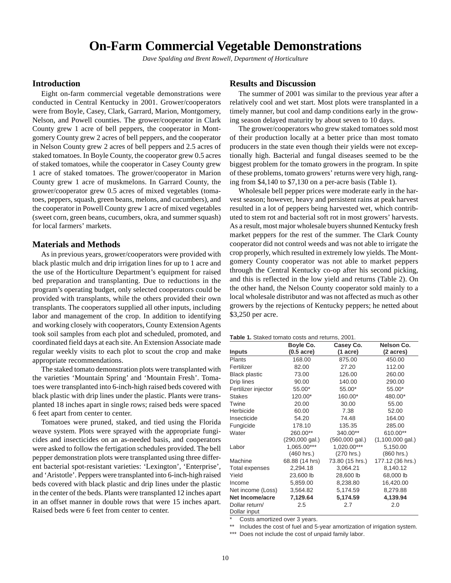## **On-Farm Commercial Vegetable Demonstrations**

*Dave Spalding and Brent Rowell, Department of Horticulture*

### <span id="page-8-0"></span>**Introduction**

Eight on-farm commercial vegetable demonstrations were conducted in Central Kentucky in 2001. Grower/cooperators were from Boyle, Casey, Clark, Garrard, Marion, Montgomery, Nelson, and Powell counties. The grower/cooperator in Clark County grew 1 acre of bell peppers, the cooperator in Montgomery County grew 2 acres of bell peppers, and the cooperator in Nelson County grew 2 acres of bell peppers and 2.5 acres of staked tomatoes. In Boyle County, the cooperator grew 0.5 acres of staked tomatoes, while the cooperator in Casey County grew 1 acre of staked tomatoes. The grower/cooperator in Marion County grew 1 acre of muskmelons. In Garrard County, the grower/cooperator grew 0.5 acres of mixed vegetables (tomatoes, peppers, squash, green beans, melons, and cucumbers), and the cooperator in Powell County grew 1 acre of mixed vegetables (sweet corn, green beans, cucumbers, okra, and summer squash) for local farmers' markets.

### **Materials and Methods**

As in previous years, grower/cooperators were provided with black plastic mulch and drip irrigation lines for up to 1 acre and the use of the Horticulture Department's equipment for raised bed preparation and transplanting. Due to reductions in the program's operating budget, only selected cooperators could be provided with transplants, while the others provided their own transplants. The cooperators supplied all other inputs, including labor and management of the crop. In addition to identifying and working closely with cooperators, County Extension Agents took soil samples from each plot and scheduled, promoted, and coordinated field days at each site. An Extension Associate made regular weekly visits to each plot to scout the crop and make appropriate recommendations.

The staked tomato demonstration plots were transplanted with the varieties 'Mountain Spring' and 'Mountain Fresh'. Tomatoes were transplanted into 6-inch-high raised beds covered with black plastic with drip lines under the plastic. Plants were transplanted 18 inches apart in single rows; raised beds were spaced 6 feet apart from center to center.

Tomatoes were pruned, staked, and tied using the Florida weave system. Plots were sprayed with the appropriate fungicides and insecticides on an as-needed basis, and cooperators were asked to follow the fertigation schedules provided. The bell pepper demonstration plots were transplanted using three different bacterial spot-resistant varieties: 'Lexington', 'Enterprise', and 'Aristotle'. Peppers were transplanted into 6-inch-high raised beds covered with black plastic and drip lines under the plastic in the center of the beds. Plants were transplanted 12 inches apart in an offset manner in double rows that were 15 inches apart. Raised beds were 6 feet from center to center.

#### **Results and Discussion**

The summer of 2001 was similar to the previous year after a relatively cool and wet start. Most plots were transplanted in a timely manner, but cool and damp conditions early in the growing season delayed maturity by about seven to 10 days.

The grower/cooperators who grew staked tomatoes sold most of their production locally at a better price than most tomato producers in the state even though their yields were not exceptionally high. Bacterial and fungal diseases seemed to be the biggest problem for the tomato growers in the program. In spite of these problems, tomato growers' returns were very high, ranging from \$4,140 to \$7,130 on a per-acre basis (Table 1).

Wholesale bell pepper prices were moderate early in the harvest season; however, heavy and persistent rains at peak harvest resulted in a lot of peppers being harvested wet, which contributed to stem rot and bacterial soft rot in most growers' harvests. As a result, most major wholesale buyers shunned Kentucky fresh market peppers for the rest of the summer. The Clark County cooperator did not control weeds and was not able to irrigate the crop properly, which resulted in extremely low yields. The Montgomery County cooperator was not able to market peppers through the Central Kentucky co-op after his second picking, and this is reflected in the low yield and returns (Table 2). On the other hand, the Nelson County cooperator sold mainly to a local wholesale distributor and was not affected as much as other growers by the rejections of Kentucky peppers; he netted about \$3,250 per acre.

| Table 1. Staked tomato costs and returns, 2001. |  |  |
|-------------------------------------------------|--|--|
|-------------------------------------------------|--|--|

| <b>Inputs</b>                  | Boyle Co.<br>$(0.5 \text{ acre})$ | Casey Co.<br>$(1 \text{ acre})$ | Nelson Co.<br>(2 acres)    |
|--------------------------------|-----------------------------------|---------------------------------|----------------------------|
| <b>Plants</b>                  | 168.00                            | 875.00                          | 450.00                     |
| Fertilizer                     | 82.00                             | 27.20                           | 112.00                     |
| <b>Black plastic</b>           | 73.00                             | 126.00                          | 260.00                     |
| Drip lines                     | 90.00                             | 140.00                          | 290.00                     |
| Fertilizer injector            | 55.00*                            | 55.00*                          | 55.00*                     |
| <b>Stakes</b>                  | 120.00*                           | 160.00*                         | 480.00*                    |
| Twine                          | 20.00                             | 30.00                           | 55.00                      |
| Herbicide                      | 60.00                             | 7.38                            | 52.00                      |
| Insecticide                    | 54.20                             | 74.48                           | 164.00                     |
| Fungicide                      | 178.10                            | 135.35                          | 285.00                     |
| Water                          | 260.00**                          | 340.00**                        | 610.00**                   |
|                                | $(290,000 \text{ gal.})$          | $(560,000 \text{ gal.})$        | $(1,100,000 \text{ gal.})$ |
| Labor                          | 1,065.00***                       | 1,020.00***                     | 5,150.00                   |
|                                | (460 hrs.)                        | (270 hrs.)                      | (860 hrs.)                 |
| Machine                        | 68.88 (14 hrs)                    | 73.80 (15 hrs.)                 | 177.12 (36 hrs.)           |
| <b>Total expenses</b>          | 2,294.18                          | 3,064.21                        | 8,140.12                   |
| Yield                          | 23,600 lb                         | 28,600 lb                       | 68,000 lb                  |
| Income                         | 5,859.00                          | 8,238.80                        | 16,420.00                  |
| Net income (Loss)              | 3,564.82                          | 5,174.59                        | 8,279.88                   |
| <b>Net Income/acre</b>         | 7,129.64                          | 5,174.59                        | 4,139.94                   |
| Dollar return/<br>Dollar input | 2.5                               | 2.7                             | 2.0                        |

Costs amortized over 3 years.

\*\* Includes the cost of fuel and 5-year amortization of irrigation system.

\*\*\* Does not include the cost of unpaid family labor.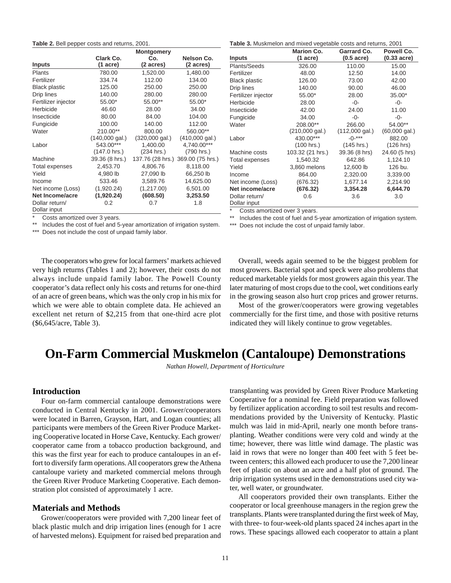#### <span id="page-9-0"></span>**Table 2.** Bell pepper costs and returns, 2001.

|                                |                          | <b>Montgomery</b>        |                          |
|--------------------------------|--------------------------|--------------------------|--------------------------|
|                                | Clark Co.                | Co.                      | Nelson Co.               |
| <b>Inputs</b>                  | $(1 \text{ acre})$       | (2 acres)                | (2 acres)                |
| <b>Plants</b>                  | 780.00                   | 1,520.00                 | 1,480.00                 |
| Fertilizer                     | 334.74                   | 112.00                   | 134.00                   |
| <b>Black plastic</b>           | 125.00                   | 250.00                   | 250.00                   |
| Drip lines                     | 140.00                   | 280.00                   | 280.00                   |
| Fertilizer injector            | 55.00*                   | 55.00**                  | 55.00*                   |
| Herbicide                      | 46.60                    | 28.00                    | 34.00                    |
| Insecticide                    | 80.00                    | 84.00                    | 104.00                   |
| Fungicide                      | 100.00                   | 140.00                   | 112.00                   |
| Water                          | 210.00**                 | 800.00                   | 560.00**                 |
|                                | $(140,000 \text{ gal.})$ | $(320,000 \text{ gal.})$ | $(410,000 \text{ gal.})$ |
| Labor                          | 543.00***                | 1,400.00                 | 4,740.00***              |
|                                | $(147.0 \text{ hrs.})$   | (234 hrs.)               | (790 hrs.)               |
| Machine                        | 39.36 (8 hrs.)           | 137.76 (28 hrs.)         | 369.00 (75 hrs.)         |
| Total expenses                 | 2,453.70                 | 4,806.76                 | 8,118.00                 |
| Yield                          | 4,980 lb                 | 27,090 lb                | 66,250 lb                |
| Income                         | 533.46                   | 3,589.76                 | 14,625.00                |
| Net income (Loss)              | (1,920.24)               | (1,217.00)               | 6,501.00                 |
| <b>Net Income/acre</b>         | (1,920.24)               | (608.50)                 | 3,253.50                 |
| Dollar return/<br>Dollar input | 0.2                      | 0.7                      | 1.8                      |

Costs amortized over 3 years.

Includes the cost of fuel and 5-year amortization of irrigation system.

Does not include the cost of unpaid family labor.

**Table 3.** Muskmelon and mixed vegetable costs and returns, 2001

|                                | <b>Marion Co.</b>        | Garrard Co.              | Powell Co.              |
|--------------------------------|--------------------------|--------------------------|-------------------------|
| Inputs                         | (1 acre)                 | $(0.5 \text{ acre})$     | $(0.33 \text{ acre})$   |
| Plants/Seeds                   | 326.00                   | 110.00                   | 15.00                   |
| Fertilizer                     | 48.00                    | 12.50                    | 14.00                   |
| <b>Black plastic</b>           | 126.00                   | 73.00                    | 42.00                   |
| Drip lines                     | 140.00                   | 90.00                    | 46.00                   |
| Fertilizer injector            | 55.00*                   | 28.00                    | 35.00*                  |
| Herbicide                      | 28.00                    | -0-                      | -0-                     |
| Insecticide                    | 42.00                    | 24.00                    | 11.00                   |
| Fungicide                      | 34.00                    | -0-                      | -0-                     |
| Water                          | 208.00**                 | 266.00                   | 54.00**                 |
|                                | $(210,000 \text{ gal.})$ | $(112,000 \text{ gal.})$ | $(60,000 \text{ gal.})$ |
| Labor                          | 430.00***                | $-0-***$                 | 882.00                  |
|                                | (100 hrs.)               | (145 hrs.)               | (126 hrs)               |
| Machine costs                  | 103.32 (21 hrs.)         | 39.36 (8 hrs)            | 24.60 (5 hrs)           |
| Total expenses                 | 1,540.32                 | 642.86                   | 1,124.10                |
| Yield                          | 3,860 melons             | 12,600 lb                | 126 bu.                 |
| Income                         | 864.00                   | 2,320.00                 | 3,339.00                |
| Net income (Loss)              | (676.32)                 | 1,677.14                 | 2,214.90                |
| Net income/acre                | (676.32)                 | 3,354.28                 | 6,644.70                |
| Dollar return/<br>Dollar input | 0.6                      | 3.6                      | 3.0                     |

Costs amortized over 3 years.

Includes the cost of fuel and 5-year amortization of irrigation system.

\*\*\* Does not include the cost of unpaid family labor.

The cooperators who grew for local farmers' markets achieved very high returns (Tables 1 and 2); however, their costs do not always include unpaid family labor. The Powell County cooperator's data reflect only his costs and returns for one-third of an acre of green beans, which was the only crop in his mix for which we were able to obtain complete data. He achieved an excellent net return of \$2,215 from that one-third acre plot (\$6,645/acre, Table 3).

Overall, weeds again seemed to be the biggest problem for most growers. Bacterial spot and speck were also problems that reduced marketable yields for most growers again this year. The later maturing of most crops due to the cool, wet conditions early in the growing season also hurt crop prices and grower returns.

Most of the grower/cooperators were growing vegetables commercially for the first time, and those with positive returns indicated they will likely continue to grow vegetables.

## **On-Farm Commercial Muskmelon (Cantaloupe) Demonstrations**

*Nathan Howell, Department of Horticulture*

#### **Introduction**

Four on-farm commercial cantaloupe demonstrations were conducted in Central Kentucky in 2001. Grower/cooperators were located in Barren, Grayson, Hart, and Logan counties; all participants were members of the Green River Produce Marketing Cooperative located in Horse Cave, Kentucky. Each grower/ cooperator came from a tobacco production background, and this was the first year for each to produce cantaloupes in an effort to diversify farm operations. All cooperators grew the Athena cantaloupe variety and marketed commercial melons through the Green River Produce Marketing Cooperative. Each demonstration plot consisted of approximately 1 acre.

#### **Materials and Methods**

Grower/cooperators were provided with 7,200 linear feet of black plastic mulch and drip irrigation lines (enough for 1 acre of harvested melons). Equipment for raised bed preparation and

transplanting was provided by Green River Produce Marketing Cooperative for a nominal fee. Field preparation was followed by fertilizer application according to soil test results and recommendations provided by the University of Kentucky. Plastic mulch was laid in mid-April, nearly one month before transplanting. Weather conditions were very cold and windy at the time; however, there was little wind damage. The plastic was laid in rows that were no longer than 400 feet with 5 feet between centers; this allowed each producer to use the 7,200 linear feet of plastic on about an acre and a half plot of ground. The drip irrigation systems used in the demonstrations used city water, well water, or groundwater.

All cooperators provided their own transplants. Either the cooperator or local greenhouse managers in the region grew the transplants. Plants were transplanted during the first week of May, with three- to four-week-old plants spaced 24 inches apart in the rows. These spacings allowed each cooperator to attain a plant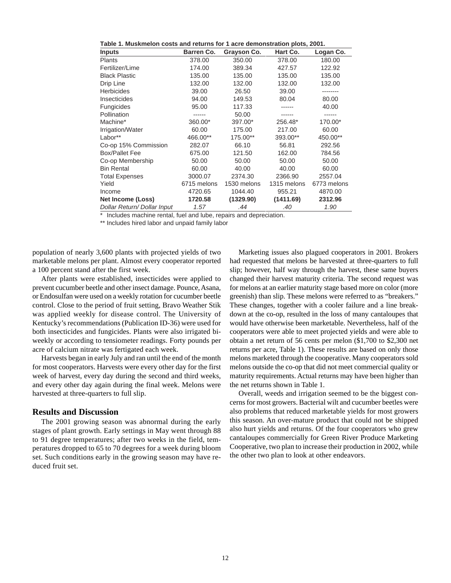| Table 1. Muskmelon costs and returns for 1 acre demonstration plots, 2001. |                   |             |             |             |  |  |  |
|----------------------------------------------------------------------------|-------------------|-------------|-------------|-------------|--|--|--|
| <b>Inputs</b>                                                              | <b>Barren Co.</b> | Grayson Co. | Hart Co.    | Logan Co.   |  |  |  |
| <b>Plants</b>                                                              | 378.00            | 350.00      | 378.00      | 180.00      |  |  |  |
| Fertilizer/Lime                                                            | 174.00            | 389.34      | 427.57      | 122.92      |  |  |  |
| <b>Black Plastic</b>                                                       | 135.00            | 135.00      | 135.00      | 135.00      |  |  |  |
| Drip Line                                                                  | 132.00            | 132.00      | 132.00      | 132.00      |  |  |  |
| <b>Herbicides</b>                                                          | 39.00             | 26.50       | 39.00       | --------    |  |  |  |
| Insecticides                                                               | 94.00             | 149.53      | 80.04       | 80.00       |  |  |  |
| Fungicides                                                                 | 95.00             | 117.33      |             | 40.00       |  |  |  |
| Pollination                                                                | ------            | 50.00       |             | ------      |  |  |  |
| Machine*                                                                   | 360.00*           | 397.00*     | 256.48*     | 170.00*     |  |  |  |
| Irrigation/Water                                                           | 60.00             | 175.00      | 217.00      | 60.00       |  |  |  |
| Labor**                                                                    | 466.00**          | 175.00**    | 393.00**    | 450.00**    |  |  |  |
| Co-op 15% Commission                                                       | 282.07            | 66.10       | 56.81       | 292.56      |  |  |  |
| <b>Box/Pallet Fee</b>                                                      | 675.00            | 121.50      | 162.00      | 784.56      |  |  |  |
| Co-op Membership                                                           | 50.00             | 50.00       | 50.00       | 50.00       |  |  |  |
| <b>Bin Rental</b>                                                          | 60.00             | 40.00       | 40.00       | 60.00       |  |  |  |
| <b>Total Expenses</b>                                                      | 3000.07           | 2374.30     | 2366.90     | 2557.04     |  |  |  |
| Yield                                                                      | 6715 melons       | 1530 melons | 1315 melons | 6773 melons |  |  |  |
| Income                                                                     | 4720.65           | 1044.40     | 955.21      | 4870.00     |  |  |  |
| Net Income (Loss)                                                          | 1720.58           | (1329.90)   | (1411.69)   | 2312.96     |  |  |  |
| Dollar Return/Dollar Input                                                 | 1.57              | .44         | .40         | 1.90        |  |  |  |

Includes machine rental, fuel and lube, repairs and depreciation.

\*\* Includes hired labor and unpaid family labor

population of nearly 3,600 plants with projected yields of two marketable melons per plant. Almost every cooperator reported a 100 percent stand after the first week.

After plants were established, insecticides were applied to prevent cucumber beetle and other insect damage. Pounce, Asana, or Endosulfan were used on a weekly rotation for cucumber beetle control. Close to the period of fruit setting, Bravo Weather Stik was applied weekly for disease control. The University of Kentucky's recommendations (Publication ID-36) were used for both insecticides and fungicides. Plants were also irrigated biweekly or according to tensiometer readings. Forty pounds per acre of calcium nitrate was fertigated each week.

Harvests began in early July and ran until the end of the month for most cooperators. Harvests were every other day for the first week of harvest, every day during the second and third weeks, and every other day again during the final week. Melons were harvested at three-quarters to full slip.

### **Results and Discussion**

The 2001 growing season was abnormal during the early stages of plant growth. Early settings in May went through 88 to 91 degree temperatures; after two weeks in the field, temperatures dropped to 65 to 70 degrees for a week during bloom set. Such conditions early in the growing season may have reduced fruit set.

Marketing issues also plagued cooperators in 2001. Brokers had requested that melons be harvested at three-quarters to full slip; however, half way through the harvest, these same buyers changed their harvest maturity criteria. The second request was for melons at an earlier maturity stage based more on color (more greenish) than slip. These melons were referred to as "breakers." These changes, together with a cooler failure and a line breakdown at the co-op, resulted in the loss of many cantaloupes that would have otherwise been marketable. Nevertheless, half of the cooperators were able to meet projected yields and were able to obtain a net return of 56 cents per melon (\$1,700 to \$2,300 net returns per acre, Table 1). These results are based on only those melons marketed through the cooperative. Many cooperators sold melons outside the co-op that did not meet commercial quality or maturity requirements. Actual returns may have been higher than the net returns shown in Table 1.

Overall, weeds and irrigation seemed to be the biggest concerns for most growers. Bacterial wilt and cucumber beetles were also problems that reduced marketable yields for most growers this season. An over-mature product that could not be shipped also hurt yields and returns. Of the four cooperators who grew cantaloupes commercially for Green River Produce Marketing Cooperative, two plan to increase their production in 2002, while the other two plan to look at other endeavors.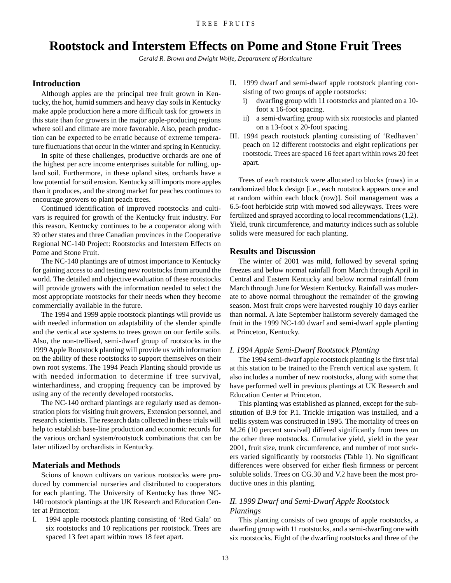## <span id="page-11-0"></span>**Rootstock and Interstem Effects on Pome and Stone Fruit Trees**

*Gerald R. Brown and Dwight Wolfe, Department of Horticulture*

### **Introduction**

Although apples are the principal tree fruit grown in Kentucky, the hot, humid summers and heavy clay soils in Kentucky make apple production here a more difficult task for growers in this state than for growers in the major apple-producing regions where soil and climate are more favorable. Also, peach production can be expected to be erratic because of extreme temperature fluctuations that occur in the winter and spring in Kentucky.

In spite of these challenges, productive orchards are one of the highest per acre income enterprises suitable for rolling, upland soil. Furthermore, in these upland sites, orchards have a low potential for soil erosion. Kentucky still imports more apples than it produces, and the strong market for peaches continues to encourage growers to plant peach trees.

Continued identification of improved rootstocks and cultivars is required for growth of the Kentucky fruit industry. For this reason, Kentucky continues to be a cooperator along with 39 other states and three Canadian provinces in the Cooperative Regional NC-140 Project: Rootstocks and Interstem Effects on Pome and Stone Fruit.

The NC-140 plantings are of utmost importance to Kentucky for gaining access to and testing new rootstocks from around the world. The detailed and objective evaluation of these rootstocks will provide growers with the information needed to select the most appropriate rootstocks for their needs when they become commercially available in the future.

The 1994 and 1999 apple rootstock plantings will provide us with needed information on adaptability of the slender spindle and the vertical axe systems to trees grown on our fertile soils. Also, the non-trellised, semi-dwarf group of rootstocks in the 1999 Apple Rootstock planting will provide us with information on the ability of these rootstocks to support themselves on their own root systems. The 1994 Peach Planting should provide us with needed information to determine if tree survival, winterhardiness, and cropping frequency can be improved by using any of the recently developed rootstocks.

The NC-140 orchard plantings are regularly used as demonstration plots for visiting fruit growers, Extension personnel, and research scientists. The research data collected in these trials will help to establish base-line production and economic records for the various orchard system/rootstock combinations that can be later utilized by orchardists in Kentucky.

### **Materials and Methods**

Scions of known cultivars on various rootstocks were produced by commercial nurseries and distributed to cooperators for each planting. The University of Kentucky has three NC-140 rootstock plantings at the UK Research and Education Center at Princeton:

I. 1994 apple rootstock planting consisting of 'Red Gala' on six rootstocks and 10 replications per rootstock. Trees are spaced 13 feet apart within rows 18 feet apart.

- II. 1999 dwarf and semi-dwarf apple rootstock planting consisting of two groups of apple rootstocks:
	- i) dwarfing group with 11 rootstocks and planted on a 10 foot x 16-foot spacing.
	- ii) a semi-dwarfing group with six rootstocks and planted on a 13-foot x 20-foot spacing.
- III. 1994 peach rootstock planting consisting of 'Redhaven' peach on 12 different rootstocks and eight replications per rootstock. Trees are spaced 16 feet apart within rows 20 feet apart.

Trees of each rootstock were allocated to blocks (rows) in a randomized block design [i.e., each rootstock appears once and at random within each block (row)]. Soil management was a 6.5-foot herbicide strip with mowed sod alleyways. Trees were fertilized and sprayed according to local recommendations (1,2). Yield, trunk circumference, and maturity indices such as soluble solids were measured for each planting.

#### **Results and Discussion**

The winter of 2001 was mild, followed by several spring freezes and below normal rainfall from March through April in Central and Eastern Kentucky and below normal rainfall from March through June for Western Kentucky. Rainfall was moderate to above normal throughout the remainder of the growing season. Most fruit crops were harvested roughly 10 days earlier than normal. A late September hailstorm severely damaged the fruit in the 1999 NC-140 dwarf and semi-dwarf apple planting at Princeton, Kentucky.

#### *I. 1994 Apple Semi-Dwarf Rootstock Planting*

The 1994 semi-dwarf apple rootstock planting is the first trial at this station to be trained to the French vertical axe system. It also includes a number of new rootstocks, along with some that have performed well in previous plantings at UK Research and Education Center at Princeton.

This planting was established as planned, except for the substitution of B.9 for P.1. Trickle irrigation was installed, and a trellis system was constructed in 1995. The mortality of trees on M.26 (10 percent survival) differed significantly from trees on the other three rootstocks. Cumulative yield, yield in the year 2001, fruit size, trunk circumference, and number of root suckers varied significantly by rootstocks (Table 1). No significant differences were observed for either flesh firmness or percent soluble solids. Trees on CG.30 and V.2 have been the most productive ones in this planting.

### *II. 1999 Dwarf and Semi-Dwarf Apple Rootstock Plantings*

This planting consists of two groups of apple rootstocks, a dwarfing group with 11 rootstocks, and a semi-dwarfing one with six rootstocks. Eight of the dwarfing rootstocks and three of the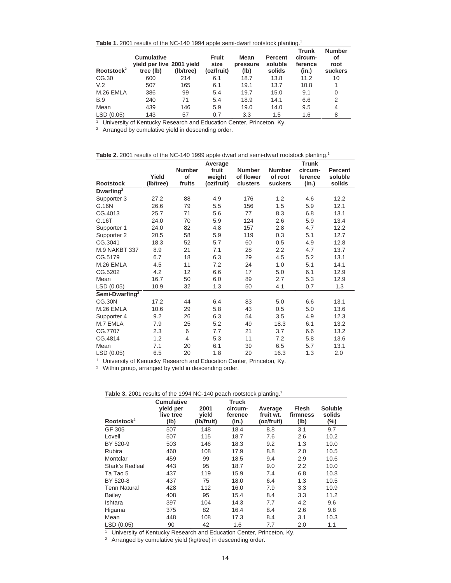| Table 1. 2001 results of the NC-140 1994 apple semi-dwarf rootstock planting. <sup>1</sup> |
|--------------------------------------------------------------------------------------------|
|--------------------------------------------------------------------------------------------|

| Rootstock <sup>2</sup> | <b>Cumulative</b><br>yield per live 2001 yield<br>tree (lb) | (lb/tree) | Fruit<br>size<br>(oz/fruit) | Mean<br>pressure<br>(lb) | <b>Percent</b><br>soluble<br>solids | <b>Trunk</b><br>circum-<br>ference<br>(in.) | <b>Number</b><br>οf<br>root<br>suckers |
|------------------------|-------------------------------------------------------------|-----------|-----------------------------|--------------------------|-------------------------------------|---------------------------------------------|----------------------------------------|
| CG.30                  | 600                                                         | 214       | 6.1                         | 18.7                     | 13.8                                | 11.2                                        | 10                                     |
| V.2                    | 507                                                         | 165       | 6.1                         | 19.1                     | 13.7                                | 10.8                                        |                                        |
| M.26 EMLA              | 386                                                         | 99        | 5.4                         | 19.7                     | 15.0                                | 9.1                                         | 0                                      |
| <b>B.9</b>             | 240                                                         | 71        | 5.4                         | 18.9                     | 14.1                                | 6.6                                         | $\overline{2}$                         |
| Mean                   | 439                                                         | 146       | 5.9                         | 19.0                     | 14.0                                | 9.5                                         | 4                                      |
| LSD(0.05)              | 143                                                         | 57        | 0.7                         | 3.3                      | 1.5                                 | 1.6                                         | 8                                      |

<sup>1</sup> University of Kentucky Research and Education Center, Princeton, Ky.

<sup>2</sup> Arranged by cumulative yield in descending order.

|  | Table 2. 2001 results of the NC-140 1999 apple dwarf and semi-dwarf rootstock planting. $^1$ |  |
|--|----------------------------------------------------------------------------------------------|--|
|  |                                                                                              |  |

|                            |           |                | Average    |               |               | <b>Trunk</b> |                |
|----------------------------|-----------|----------------|------------|---------------|---------------|--------------|----------------|
|                            |           | <b>Number</b>  | fruit      | <b>Number</b> | <b>Number</b> | circum-      | <b>Percent</b> |
|                            | Yield     | of             | weight     | of flower     | of root       | ference      | soluble        |
| <b>Rootstock</b>           | (Ib/tree) | fruits         | (oz/fruit) | clusters      | suckers       | (in.)        | solids         |
| Dwarfing <sup>2</sup>      |           |                |            |               |               |              |                |
| Supporter 3                | 27.2      | 88             | 4.9        | 176           | 1.2           | 4.6          | 12.2           |
| G.16N                      | 26.6      | 79             | 5.5        | 156           | 1.5           | 5.9          | 12.1           |
| CG.4013                    | 25.7      | 71             | 5.6        | 77            | 8.3           | 6.8          | 13.1           |
| G.16T                      | 24.0      | 70             | 5.9        | 124           | 2.6           | 5.9          | 13.4           |
| Supporter 1                | 24.0      | 82             | 4.8        | 157           | 2.8           | 4.7          | 12.2           |
| Supporter 2                | 20.5      | 58             | 5.9        | 119           | 0.3           | 5.1          | 12.7           |
| CG.3041                    | 18.3      | 52             | 5.7        | 60            | 0.5           | 4.9          | 12.8           |
| <b>M.9 NAKBT 337</b>       | 8.9       | 21             | 7.1        | 28            | 2.2           | 4.7          | 13.7           |
| CG.5179                    | 6.7       | 18             | 6.3        | 29            | 4.5           | 5.2          | 13.1           |
| M.26 EMLA                  | 4.5       | 11             | 7.2        | 24            | 1.0           | 5.1          | 14.1           |
| CG.5202                    | 4.2       | 12             | 6.6        | 17            | 5.0           | 6.1          | 12.9           |
| Mean                       | 16.7      | 50             | 6.0        | 89            | 2.7           | 5.3          | 12.9           |
| LSD (0.05)                 | 10.9      | 32             | 1.3        | 50            | 4.1           | 0.7          | 1.3            |
| Semi-Dwarfing <sup>2</sup> |           |                |            |               |               |              |                |
| <b>CG.30N</b>              | 17.2      | 44             | 6.4        | 83            | 5.0           | 6.6          | 13.1           |
| M.26 EMLA                  | 10.6      | 29             | 5.8        | 43            | 0.5           | 5.0          | 13.6           |
| Supporter 4                | 9.2       | 26             | 6.3        | 54            | 3.5           | 4.9          | 12.3           |
| M.7 EMLA                   | 7.9       | 25             | 5.2        | 49            | 18.3          | 6.1          | 13.2           |
| CG.7707                    | 2.3       | 6              | 7.7        | 21            | 3.7           | 6.6          | 13.2           |
| CG.4814                    | 1.2       | $\overline{4}$ | 5.3        | 11            | 7.2           | 5.8          | 13.6           |
| Mean                       | 7.1       | 20             | 6.1        | 39            | 6.5           | 5.7          | 13.1           |
| LSD (0.05)                 | 6.5       | 20             | 1.8        | 29            | 16.3          | 1.3          | 2.0            |

<sup>1</sup> University of Kentucky Research and Education Center, Princeton, Ky.

<sup>2</sup> Within group, arranged by yield in descending order.

| Table 3. 2001 results of the 1994 NC-140 peach rootstock planting. |  |
|--------------------------------------------------------------------|--|
|--------------------------------------------------------------------|--|

| Rootstock <sup>2</sup> | <b>Cumulative</b><br>yield per<br>live tree<br>(1b) | 2001<br>yield<br>(Ib/fruit) | Truck<br>circum-<br>ference<br>(in.) | Average<br>fruit wt.<br>(oz/fruit) | <b>Flesh</b><br>firmness<br>(Ib) | <b>Soluble</b><br>solids<br>(%) |
|------------------------|-----------------------------------------------------|-----------------------------|--------------------------------------|------------------------------------|----------------------------------|---------------------------------|
| GF 305                 | 507                                                 | 148                         | 18.4                                 | 8.8                                | 3.1                              | 9.7                             |
| Lovell                 | 507                                                 | 115                         | 18.7                                 | 7.6                                | 2.6                              | 10.2                            |
| BY 520-9               | 503                                                 | 146                         | 18.3                                 | 9.2                                | 1.3                              | 10.0                            |
| Rubira                 | 460                                                 | 108                         | 17.9                                 | 8.8                                | 2.0                              | 10.5                            |
| Montclar               | 459                                                 | 99                          | 18.5                                 | 9.4                                | 2.9                              | 10.6                            |
| Stark's Redleaf        | 443                                                 | 95                          | 18.7                                 | 9.0                                | $2.2\phantom{0}$                 | 10.0                            |
| Ta Tao 5               | 437                                                 | 119                         | 15.9                                 | 7.4                                | 6.8                              | 10.8                            |
| BY 520-8               | 437                                                 | 75                          | 18.0                                 | 6.4                                | 1.3                              | 10.5                            |
| <b>Tenn Natural</b>    | 428                                                 | 112                         | 16.0                                 | 7.9                                | 3.3                              | 10.9                            |
| <b>Bailey</b>          | 408                                                 | 95                          | 15.4                                 | 8.4                                | 3.3                              | 11.2                            |
| Ishtara                | 397                                                 | 104                         | 14.3                                 | 7.7                                | 4.2                              | 9.6                             |
| Higama                 | 375                                                 | 82                          | 16.4                                 | 8.4                                | 2.6                              | 9.8                             |
| Mean                   | 448                                                 | 108                         | 17.3                                 | 8.4                                | 3.1                              | 10.3                            |
| LSD (0.05)             | 90                                                  | 42                          | 1.6                                  | 7.7                                | 2.0                              | 1.1                             |

<sup>1</sup> University of Kentucky Research and Education Center, Princeton, Ky.

<sup>2</sup> Arranged by cumulative yield (kg/tree) in descending order.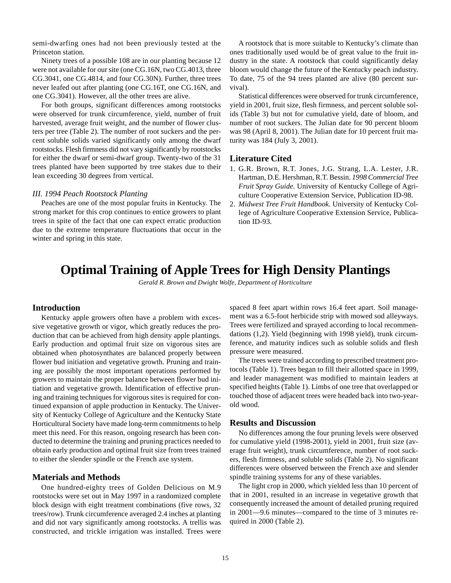<span id="page-13-0"></span>semi-dwarfing ones had not been previously tested at the Princeton station.

Ninety trees of a possible 108 are in our planting because 12 were not available for our site (one CG.16N, two CG.4013, three CG.3041, one CG.4814, and four CG.30N). Further, three trees never leafed out after planting (one CG.16T, one CG.16N, and one CG.3041). However, all the other trees are alive.

For both groups, significant differences among rootstocks were observed for trunk circumference, yield, number of fruit harvested, average fruit weight, and the number of flower clusters per tree (Table 2). The number of root suckers and the percent soluble solids varied significantly only among the dwarf rootstocks. Flesh firmness did not vary significantly by rootstocks for either the dwarf or semi-dwarf group. Twenty-two of the 31 trees planted have been supported by tree stakes due to their lean exceeding 30 degrees from vertical.

#### *III. 1994 Peach Rootstock Planting*

Peaches are one of the most popular fruits in Kentucky. The strong market for this crop continues to entice growers to plant trees in spite of the fact that one can expect erratic production due to the extreme temperature fluctuations that occur in the winter and spring in this state.

A rootstock that is more suitable to Kentucky's climate than ones traditionally used would be of great value to the fruit industry in the state. A rootstock that could significantly delay bloom would change the future of the Kentucky peach industry. To date, 75 of the 94 trees planted are alive (80 percent survival).

Statistical differences were observed for trunk circumference, yield in 2001, fruit size, flesh firmness, and percent soluble solids (Table 3) but not for cumulative yield, date of bloom, and number of root suckers. The Julian date for 90 percent bloom was 98 (April 8, 2001). The Julian date for 10 percent fruit maturity was 184 (July 3, 2001).

#### **Literature Cited**

- 1. G.R. Brown, R.T. Jones, J.G. Strang, L.A. Lester, J.R. Hartman, D.E. Hershman, R.T. Bessin. *1998 Commercial Tree Fruit Spray Guide.* University of Kentucky College of Agriculture Cooperative Extension Service, Publication ID-98.
- 2. *Midwest Tree Fruit Handbook.* University of Kentucky College of Agriculture Cooperative Extension Service, Publication ID-93.

## **Optimal Training of Apple Trees for High Density Plantings**

*Gerald R. Brown and Dwight Wolfe, Department of Horticulture*

### **Introduction**

Kentucky apple growers often have a problem with excessive vegetative growth or vigor, which greatly reduces the production that can be achieved from high density apple plantings. Early production and optimal fruit size on vigorous sites are obtained when photosynthates are balanced properly between flower bud initiation and vegetative growth. Pruning and training are possibly the most important operations performed by growers to maintain the proper balance between flower bud initiation and vegetative growth. Identification of effective pruning and training techniques for vigorous sites is required for continued expansion of apple production in Kentucky. The University of Kentucky College of Agriculture and the Kentucky State Horticultural Society have made long-term commitments to help meet this need. For this reason, ongoing research has been conducted to determine the training and pruning practices needed to obtain early production and optimal fruit size from trees trained to either the slender spindle or the French axe system.

### **Materials and Methods**

One hundred-eighty trees of Golden Delicious on M.9 rootstocks were set out in May 1997 in a randomized complete block design with eight treatment combinations (five rows, 32 trees/row). Trunk circumference averaged 2.4 inches at planting and did not vary significantly among rootstocks. A trellis was constructed, and trickle irrigation was installed. Trees were

spaced 8 feet apart within rows 16.4 feet apart. Soil management was a 6.5-foot herbicide strip with mowed sod alleyways. Trees were fertilized and sprayed according to local recommendations (1,2). Yield (beginning with 1998 yield), trunk circumference, and maturity indices such as soluble solids and flesh pressure were measured.

The trees were trained according to prescribed treatment protocols (Table 1). Trees began to fill their allotted space in 1999, and leader management was modified to maintain leaders at specified heights (Table 1). Limbs of one tree that overlapped or touched those of adjacent trees were headed back into two-yearold wood.

#### **Results and Discussion**

No differences among the four pruning levels were observed for cumulative yield (1998-2001), yield in 2001, fruit size (average fruit weight), trunk circumference, number of root suckers, flesh firmness, and soluble solids (Table 2). No significant differences were observed between the French axe and slender spindle training systems for any of these variables.

The light crop in 2000, which yielded less than 10 percent of that in 2001, resulted in an increase in vegetative growth that consequently increased the amount of detailed pruning required in 2001—9.6 minutes—compared to the time of 3 minutes required in 2000 (Table 2).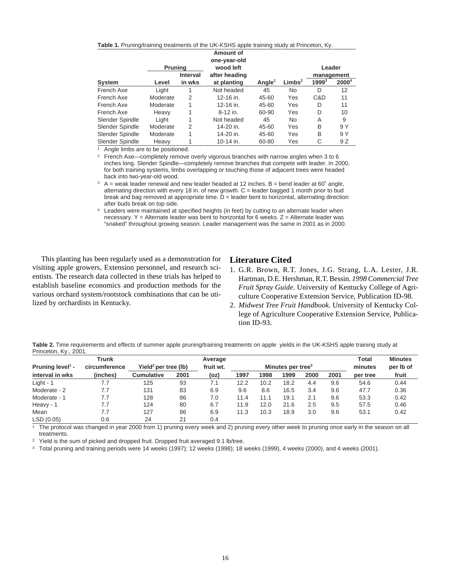|  | Table 1. Pruning/training treatments of the UK-KSHS apple training study at Princeton, Ky. |
|--|--------------------------------------------------------------------------------------------|
|--|--------------------------------------------------------------------------------------------|

|                 | Prunina  |          | Amount of<br>one-year-old<br>wood left |                    |                    |          | Leader     |
|-----------------|----------|----------|----------------------------------------|--------------------|--------------------|----------|------------|
|                 |          | Interval | after heading                          |                    |                    |          | management |
| System          | Level    | in wks   | at planting                            | Angle <sup>1</sup> | Limbs <sup>2</sup> | $1999^3$ | $2000^4$   |
| French Axe      | Light    |          | Not headed                             | 45                 | <b>No</b>          | D        | 12         |
| French Axe      | Moderate | 2        | 12-16 in.                              | 45-60              | Yes                | C&D      | 11         |
| French Axe      | Moderate | 1        | 12-16 in.                              | 45-60              | Yes                | D        | 11         |
| French Axe      | Heavy    |          | $8-12$ in.                             | 60-90              | Yes                | D        | 10         |
| Slender Spindle | Light    |          | Not headed                             | 45                 | <b>No</b>          | A        | 9          |
| Slender Spindle | Moderate | 2        | 14-20 in.                              | 45-60              | Yes                | B        | 9 Y        |
| Slender Spindle | Moderate | 1        | 14-20 in.                              | 45-60              | Yes                | B        | 9 Y        |
| Slender Spindle | Heavy    |          | 10-14 in.                              | 60-80              | Yes                | C        | 9 Z        |

<sup>1</sup> Angle limbs are to be positioned.

<sup>2</sup> French Axe—completely remove overly vigorous branches with narrow angles when 3 to 6 inches long. Slender Spindle—completely remove branches that compete with leader. In 2000, for both training systems, limbs overlapping or touching those of adjacent trees were headed back into two-year-old wood.

 $3 \text{ A}$  = weak leader renewal and new leader headed at 12 inches. B = bend leader at 60 $\degree$  angle, alternating direction with every 18 in. of new growth.  $C =$  leader bagged 1 month prior to bud break and bag removed at appropriate time.  $D =$  leader bent to horizontal, alternating direction after buds break on top side.

<sup>4</sup> Leaders were maintained at specified heights (in feet) by cutting to an alternate leader when necessary. Y = Alternate leader was bent to horizontal for 6 weeks.  $Z =$  Alternate leader was "snaked" throughout growing season. Leader management was the same in 2001 as in 2000.

This planting has been regularly used as a demonstration for visiting apple growers, Extension personnel, and research scientists. The research data collected in these trials has helped to establish baseline economics and production methods for the various orchard system/rootstock combinations that can be utilized by orchardists in Kentucky.

### **Literature Cited**

- 1. G.R. Brown, R.T. Jones, J.G. Strang, L.A. Lester, J.R. Hartman, D.E. Hershman, R.T. Bessin. *1998 Commercial Tree Fruit Spray Guide.* University of Kentucky College of Agriculture Cooperative Extension Service, Publication ID-98.
- 2. *Midwest Tree Fruit Handbook.* University of Kentucky College of Agriculture Cooperative Extension Service, Publication ID-93.

**Table 2.** Time requirements and effects of summer apple pruning/training treatments on apple yields in the UK-KSHS apple training study at Princeton, Ky., 2001.

|                    | <b>Trunk</b>  |                                  |      | Average   |                               |      |      |      |      | Total    | <b>Minutes</b> |
|--------------------|---------------|----------------------------------|------|-----------|-------------------------------|------|------|------|------|----------|----------------|
| Pruning $level1$ - | circumference | Yield <sup>2</sup> per tree (lb) |      | fruit wt. | Minutes per tree <sup>3</sup> |      |      |      |      | minutes  | per Ib of      |
| interval in wks    | (inches)      | <b>Cumulative</b>                | 2001 | (oz)      | 1997                          | 1998 | 1999 | 2000 | 2001 | per tree | fruit          |
| Light - $1$        | 7.7           | 125                              | 93   | 7.1       | 12.2                          | 10.2 | 18.2 | 4.4  | 9.6  | 54.6     | 0.44           |
| Moderate - 2       | 7.7           | 131                              | 83   | 6.9       | 9.6                           | 8.6  | 16.5 | 3.4  | 9.6  | 47.7     | 0.36           |
| Moderate - 1       | 7.7           | 128                              | 86   | 7.0       | 11.4                          | 11.1 | 19.1 | 2.1  | 9.6  | 53.3     | 0.42           |
| Heavy - 1          | 7.7           | 124                              | 80   | 6.7       | 11.9                          | 12.0 | 21.6 | 2.5  | 9.5  | 57.5     | 0.46           |
| Mean               | 7.7           | 127                              | 86   | 6.9       | 11.3                          | 10.3 | 18.9 | 3.0  | 9.6  | 53.1     | 0.42           |
| LSD(0.05)          | 0.6           | 24                               | 21   | 0.4       |                               |      |      |      |      |          |                |

<sup>1</sup> The protocol was changed in year 2000 from 1) pruning every week and 2) pruning every other week to pruning once early in the season on all treatments.

<sup>2</sup> Yield is the sum of picked and dropped fruit. Dropped fruit averaged 9.1 lb/tree.

<sup>3</sup> Total pruning and training periods were 14 weeks (1997); 12 weeks (1998); 18 weeks (1999), 4 weeks (2000), and 4 weeks (2001).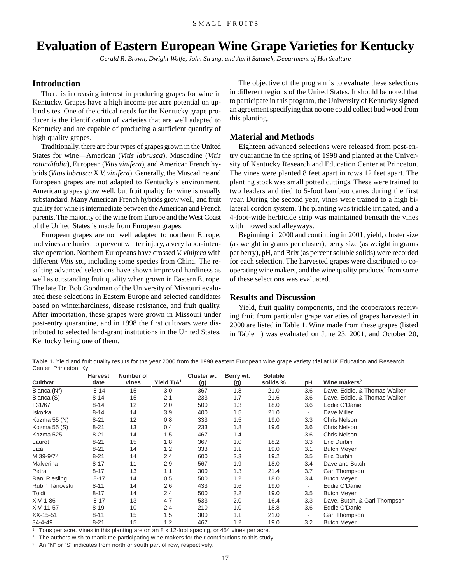## <span id="page-15-0"></span>**Evaluation of Eastern European Wine Grape Varieties for Kentucky**

*Gerald R. Brown, Dwight Wolfe, John Strang, and April Satanek, Department of Horticulture*

#### **Introduction**

There is increasing interest in producing grapes for wine in Kentucky. Grapes have a high income per acre potential on upland sites. One of the critical needs for the Kentucky grape producer is the identification of varieties that are well adapted to Kentucky and are capable of producing a sufficient quantity of high quality grapes.

Traditionally, there are four types of grapes grown in the United States for wine—American (*Vitis labrusca*), Muscadine (*Vitis rotundifolia*), European (*Vitis vinifera*), and American French hybrids (*Vitus labrusca* X *V. vinifera*). Generally, the Muscadine and European grapes are not adapted to Kentucky's environment. American grapes grow well, but fruit quality for wine is usually substandard. Many American French hybrids grow well, and fruit quality for wine is intermediate between the American and French parents. The majority of the wine from Europe and the West Coast of the United States is made from European grapes.

European grapes are not well adapted to northern Europe, and vines are buried to prevent winter injury, a very labor-intensive operation. Northern Europeans have crossed *V. vinifera* with different *Vitis sp.*, including some species from China. The resulting advanced selections have shown improved hardiness as well as outstanding fruit quality when grown in Eastern Europe. The late Dr. Bob Goodman of the University of Missouri evaluated these selections in Eastern Europe and selected candidates based on winterhardiness, disease resistance, and fruit quality. After importation, these grapes were grown in Missouri under post-entry quarantine, and in 1998 the first cultivars were distributed to selected land-grant institutions in the United States, Kentucky being one of them.

The objective of the program is to evaluate these selections in different regions of the United States. It should be noted that to participate in this program, the University of Kentucky signed an agreement specifying that no one could collect bud wood from this planting.

### **Material and Methods**

Eighteen advanced selections were released from post-entry quarantine in the spring of 1998 and planted at the University of Kentucky Research and Education Center at Princeton. The vines were planted 8 feet apart in rows 12 feet apart. The planting stock was small potted cuttings. These were trained to two leaders and tied to 5-foot bamboo canes during the first year. During the second year, vines were trained to a high bilateral cordon system. The planting was trickle irrigated, and a 4-foot-wide herbicide strip was maintained beneath the vines with mowed sod alleyways.

Beginning in 2000 and continuing in 2001, yield, cluster size (as weight in grams per cluster), berry size (as weight in grams per berry), pH, and Brix (as percent soluble solids) were recorded for each selection. The harvested grapes were distributed to cooperating wine makers, and the wine quality produced from some of these selections was evaluated.

#### **Results and Discussion**

Yield, fruit quality components, and the cooperators receiving fruit from particular grape varieties of grapes harvested in 2000 are listed in Table 1. Wine made from these grapes (listed in Table 1) was evaluated on June 23, 2001, and October 20,

Table 1. Yield and fruit quality results for the year 2000 from the 1998 eastern European wine grape variety trial at UK Education and Research Center, Princeton, Ky.

|                 | <b>Harvest</b> | Number of |               | Cluster wt. | Berry wt. | <b>Soluble</b> |        |                              |
|-----------------|----------------|-----------|---------------|-------------|-----------|----------------|--------|------------------------------|
| <b>Cultivar</b> | date           | vines     | Yield $T/A^1$ | (g)         | (g)       | solids %       | рH     | Wine makers <sup>2</sup>     |
| Bianca $(N^3)$  | 8-14           | 15        | 3.0           | 367         | 1.8       | 21.0           | 3.6    | Dave, Eddie, & Thomas Walker |
| Bianca (S)      | $8 - 14$       | 15        | 2.1           | 233         | 1.7       | 21.6           | 3.6    | Dave, Eddie, & Thomas Walker |
| I 31/67         | $8 - 14$       | 12        | 2.0           | 500         | 1.3       | 18.0           | 3.6    | Eddie O'Daniel               |
| Iskorka         | $8 - 14$       | 14        | 3.9           | 400         | 1.5       | 21.0           | $\sim$ | Dave Miller                  |
| Kozma 55 (N)    | $8 - 21$       | 12        | 0.8           | 333         | 1.5       | 19.0           | 3.3    | Chris Nelson                 |
| Kozma 55 (S)    | $8 - 21$       | 13        | 0.4           | 233         | 1.8       | 19.6           | 3.6    | Chris Nelson                 |
| Kozma 525       | $8 - 21$       | 14        | 1.5           | 467         | 1.4       |                | 3.6    | Chris Nelson                 |
| Laurot          | $8 - 21$       | 15        | 1.8           | 367         | 1.0       | 18.2           | 3.3    | Eric Durbin                  |
| Liza            | $8 - 21$       | 14        | 1.2           | 333         | 1.1       | 19.0           | 3.1    | <b>Butch Meyer</b>           |
| M 39-9/74       | $8 - 21$       | 14        | 2.4           | 600         | 2.3       | 19.2           | 3.5    | Eric Durbin                  |
| Malverina       | $8 - 17$       | 11        | 2.9           | 567         | 1.9       | 18.0           | 3.4    | Dave and Butch               |
| Petra           | $8 - 17$       | 13        | 1.1           | 300         | 1.3       | 21.4           | 3.7    | Gari Thompson                |
| Rani Riesling   | $8 - 17$       | 14        | 0.5           | 500         | 1.2       | 18.0           | 3.4    | <b>Butch Meyer</b>           |
| Rubin Tairovski | $8 - 11$       | 14        | 2.6           | 433         | 1.6       | 19.0           |        | Eddie O'Daniel               |
| Toldi           | $8 - 17$       | 14        | 2.4           | 500         | 3.2       | 19.0           | 3.5    | <b>Butch Meyer</b>           |
| XIV-1-86        | $8 - 17$       | 13        | 4.7           | 533         | 2.0       | 16.4           | 3.3    | Dave, Butch, & Gari Thompson |
| XIV-11-57       | 8-19           | 10        | 2.4           | 210         | 1.0       | 18.8           | 3.6    | Eddie O'Daniel               |
| XX-15-51        | $8 - 11$       | 15        | 1.5           | 300         | 1.1       | 21.0           |        | Gari Thompson                |
| 34-4-49         | $8 - 21$       | 15        | 1.2           | 467         | 1.2       | 19.0           | 3.2    | <b>Butch Meyer</b>           |

<sup>1</sup> Tons per acre. Vines in this planting are on an 8 x 12-foot spacing, or 454 vines per acre.

<sup>2</sup> The authors wish to thank the participating wine makers for their contributions to this study.

<sup>3</sup> An "N" or "S" indicates from north or south part of row, respectively.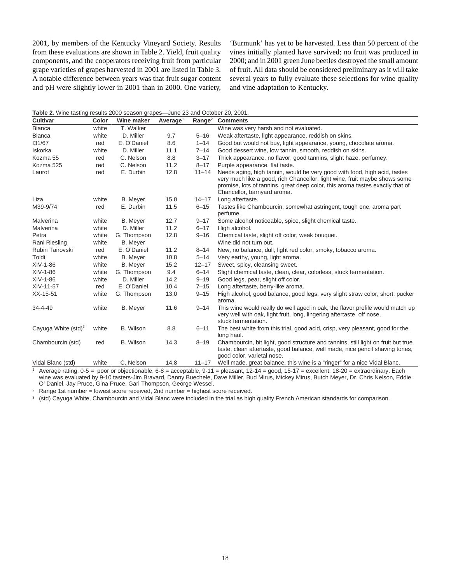2001, by members of the Kentucky Vineyard Society. Results from these evaluations are shown in Table 2. Yield, fruit quality components, and the cooperators receiving fruit from particular grape varieties of grapes harvested in 2001 are listed in Table 3. A notable difference between years was that fruit sugar content and pH were slightly lower in 2001 than in 2000. One variety,

'Burmunk' has yet to be harvested. Less than 50 percent of the vines initially planted have survived; no fruit was produced in 2000; and in 2001 green June beetles destroyed the small amount of fruit. All data should be considered preliminary as it will take several years to fully evaluate these selections for wine quality and vine adaptation to Kentucky.

**Table 2.** Wine tasting results 2000 season grapes—June 23 and October 20, 2001.

| <b>Cultivar</b>        | Color | Wine maker       | Average <sup>1</sup> | Range <sup>2</sup> | <b>Comments</b>                                                                                                                                                                                                                                                         |
|------------------------|-------|------------------|----------------------|--------------------|-------------------------------------------------------------------------------------------------------------------------------------------------------------------------------------------------------------------------------------------------------------------------|
| <b>Bianca</b>          | white | T. Walker        |                      |                    | Wine was very harsh and not evaluated.                                                                                                                                                                                                                                  |
| <b>Bianca</b>          | white | D. Miller        | 9.7                  | $5 - 16$           | Weak aftertaste, light appearance, reddish on skins.                                                                                                                                                                                                                    |
| 131/67                 | red   | E. O'Daniel      | 8.6                  | $1 - 14$           | Good but would not buy, light appearance, young, chocolate aroma.                                                                                                                                                                                                       |
| Iskorka                | white | D. Miller        | 11.1                 | $7 - 14$           | Good dessert wine, low tannin, smooth, reddish on skins.                                                                                                                                                                                                                |
| Kozma 55               | red   | C. Nelson        | 8.8                  | $3 - 17$           | Thick appearance, no flavor, good tannins, slight haze, perfumey.                                                                                                                                                                                                       |
| Kozma 525              | red   | C. Nelson        | 11.2                 | $8 - 17$           | Purple appearance, flat taste.                                                                                                                                                                                                                                          |
| Laurot                 | red   | E. Durbin        | 12.8                 | $11 - 14$          | Needs aging, high tannin, would be very good with food, high acid, tastes<br>very much like a good, rich Chancellor, light wine, fruit maybe shows some<br>promise, lots of tannins, great deep color, this aroma tastes exactly that of<br>Chancellor, barnyard aroma. |
| Liza                   | white | <b>B.</b> Meyer  | 15.0                 | $14 - 17$          | Long aftertaste.                                                                                                                                                                                                                                                        |
| M39-9/74               | red   | E. Durbin        | 11.5                 | $6 - 15$           | Tastes like Chambourcin, somewhat astringent, tough one, aroma part<br>perfume.                                                                                                                                                                                         |
| Malverina              | white | <b>B.</b> Meyer  | 12.7                 | $9 - 17$           | Some alcohol noticeable, spice, slight chemical taste.                                                                                                                                                                                                                  |
| Malverina              | white | D. Miller        | 11.2                 | $6 - 17$           | High alcohol.                                                                                                                                                                                                                                                           |
| Petra                  | white | G. Thompson      | 12.8                 | $9 - 16$           | Chemical taste, slight off color, weak bouquet.                                                                                                                                                                                                                         |
| Rani Riesling          | white | <b>B.</b> Meyer  |                      |                    | Wine did not turn out.                                                                                                                                                                                                                                                  |
| <b>Rubin Tairovski</b> | red   | E. O'Daniel      | 11.2                 | $8 - 14$           | New, no balance, dull, light red color, smoky, tobacco aroma.                                                                                                                                                                                                           |
| Toldi                  | white | <b>B.</b> Meyer  | 10.8                 | $5 - 14$           | Very earthy, young, light aroma.                                                                                                                                                                                                                                        |
| XIV-1-86               | white | <b>B.</b> Meyer  | 15.2                 | $12 - 17$          | Sweet, spicy, cleansing sweet.                                                                                                                                                                                                                                          |
| XIV-1-86               | white | G. Thompson      | 9.4                  | $6 - 14$           | Slight chemical taste, clean, clear, colorless, stuck fermentation.                                                                                                                                                                                                     |
| XIV-1-86               | white | D. Miller        | 14.2                 | $9 - 19$           | Good legs, pear, slight off color.                                                                                                                                                                                                                                      |
| XIV-11-57              | red   | E. O'Daniel      | 10.4                 | $7 - 15$           | Long aftertaste, berry-like aroma.                                                                                                                                                                                                                                      |
| XX-15-51               | white | G. Thompson      | 13.0                 | $9 - 15$           | High alcohol, good balance, good legs, very slight straw color, short, pucker<br>aroma.                                                                                                                                                                                 |
| 34-4-49                | white | <b>B.</b> Meyer  | 11.6                 | $9 - 14$           | This wine would really do well aged in oak, the flavor profile would match up<br>very well with oak, light fruit, long, lingering aftertaste, off nose,<br>stuck fermentation.                                                                                          |
| Cayuga White $(std)^3$ | white | B. Wilson        | 8.8                  | $6 - 11$           | The best white from this trial, good acid, crisp, very pleasant, good for the<br>long haul.                                                                                                                                                                             |
| Chambourcin (std)      | red   | <b>B.</b> Wilson | 14.3                 | $8 - 19$           | Chambourcin, bit light, good structure and tannins, still light on fruit but true<br>taste, clean aftertaste, good balance, well made, nice pencil shaving tones,<br>good color, varietal nose.                                                                         |
| Vidal Blanc (std)      | white | C. Nelson        | 14.8                 | $11 - 17$          | Well made, great balance, this wine is a "ringer" for a nice Vidal Blanc.                                                                                                                                                                                               |

<sup>1</sup> Average rating: 0-5 = poor or objectionable, 6-8 = acceptable, 9-11 = pleasant, 12-14 = good, 15-17 = excellent, 18-20 = extraordinary. Each wine was evaluated by 9-10 tasters-Jim Bravard, Danny Buechele, Dave Miller, Bud Mirus, Mickey Mirus, Butch Meyer, Dr. Chris Nelson, Eddie O' Daniel, Jay Pruce, Gina Pruce, Gari Thompson, George Wessel.

<sup>2</sup> Range 1st number = lowest score received, 2nd number = highest score received.

<sup>3</sup> (std) Cayuga White, Chambourcin and Vidal Blanc were included in the trial as high quality French American standards for comparison.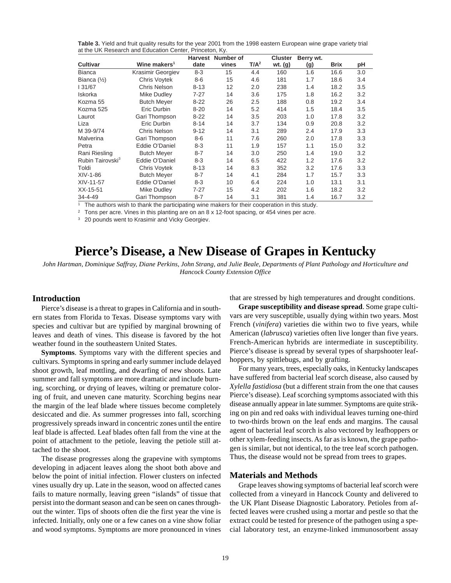<span id="page-17-0"></span>**Table 3.** Yield and fruit quality results for the year 2001 from the 1998 eastern European wine grape variety trial at the UK Research and Education Center, Princeton, Ky.

|                              |                          | <b>Harvest</b> | Number of |         | <b>Cluster</b> | Berry wt. |      |     |
|------------------------------|--------------------------|----------------|-----------|---------|----------------|-----------|------|-----|
| <b>Cultivar</b>              | Wine makers <sup>1</sup> | date           | vines     | $T/A^2$ | wt. (g)        | (g)       | Brix | рH  |
| <b>Bianca</b>                | Krasimir Georgiev        | $8 - 3$        | 15        | 4.4     | 160            | 1.6       | 16.6 | 3.0 |
| Bianca $(\frac{1}{2})$       | Chris Voytek             | $8-6$          | 15        | 4.6     | 181            | 1.7       | 18.6 | 3.4 |
| 31/67                        | Chris Nelson             | $8 - 13$       | 12        | 2.0     | 238            | 1.4       | 18.2 | 3.5 |
| Iskorka                      | Mike Dudley              | 7-27           | 14        | 3.6     | 175            | 1.8       | 16.2 | 3.2 |
| Kozma 55                     | <b>Butch Meyer</b>       | $8 - 22$       | 26        | 2.5     | 188            | 0.8       | 19.2 | 3.4 |
| Kozma 525                    | Eric Durbin              | $8 - 20$       | 14        | 5.2     | 414            | 1.5       | 18.4 | 3.5 |
| Laurot                       | Gari Thompson            | $8 - 22$       | 14        | 3.5     | 203            | 1.0       | 17.8 | 3.2 |
| Liza                         | Eric Durbin              | $8 - 14$       | 14        | 3.7     | 134            | 0.9       | 20.8 | 3.2 |
| M 39-9/74                    | <b>Chris Nelson</b>      | $9 - 12$       | 14        | 3.1     | 289            | 2.4       | 17.9 | 3.3 |
| Malverina                    | Gari Thompson            | $8-6$          | 11        | 7.6     | 260            | 2.0       | 17.8 | 3.3 |
| Petra                        | Eddie O'Daniel           | $8 - 3$        | 11        | 1.9     | 157            | 1.1       | 15.0 | 3.2 |
| Rani Riesling                | <b>Butch Meyer</b>       | $8 - 7$        | 14        | 3.0     | 250            | 1.4       | 19.0 | 3.2 |
| Rubin Tairovski <sup>3</sup> | Eddie O'Daniel           | $8 - 3$        | 14        | 6.5     | 422            | 1.2       | 17.6 | 3.2 |
| Toldi                        | Chris Voytek             | $8 - 13$       | 14        | 8.3     | 352            | 3.2       | 17.6 | 3.3 |
| $XIV-1-86$                   | <b>Butch Meyer</b>       | $8 - 7$        | 14        | 4.1     | 284            | 1.7       | 15.7 | 3.3 |
| XIV-11-57                    | Eddie O'Daniel           | $8 - 3$        | 10        | 6.4     | 224            | 1.0       | 13.1 | 3.1 |
| XX-15-51                     | Mike Dudley              | $7 - 27$       | 15        | 4.2     | 202            | 1.6       | 18.2 | 3.2 |
| 34-4-49                      | Gari Thompson            | $8 - 7$        | 14        | 3.1     | 381            | 1.4       | 16.7 | 3.2 |

<sup>1</sup> The authors wish to thank the participating wine makers for their cooperation in this study.

<sup>2</sup> Tons per acre. Vines in this planting are on an  $8 \times 12$ -foot spacing, or 454 vines per acre.

<sup>3</sup> 20 pounds went to Krasimir and Vicky Georgiev.

## **Pierce's Disease, a New Disease of Grapes in Kentucky**

*John Hartman, Dominique Saffray, Diane Perkins, John Strang, and Julie Beale, Departments of Plant Pathology and Horticulture and Hancock County Extension Office*

#### **Introduction**

Pierce's disease is a threat to grapes in California and in southern states from Florida to Texas. Disease symptoms vary with species and cultivar but are typified by marginal browning of leaves and death of vines. This disease is favored by the hot weather found in the southeastern United States.

**Symptoms**. Symptoms vary with the different species and cultivars. Symptoms in spring and early summer include delayed shoot growth, leaf mottling, and dwarfing of new shoots. Late summer and fall symptoms are more dramatic and include burning, scorching, or drying of leaves, wilting or premature coloring of fruit, and uneven cane maturity. Scorching begins near the margin of the leaf blade where tissues become completely desiccated and die. As summer progresses into fall, scorching progressively spreads inward in concentric zones until the entire leaf blade is affected. Leaf blades often fall from the vine at the point of attachment to the petiole, leaving the petiole still attached to the shoot.

The disease progresses along the grapevine with symptoms developing in adjacent leaves along the shoot both above and below the point of initial infection. Flower clusters on infected vines usually dry up. Late in the season, wood on affected canes fails to mature normally, leaving green "islands" of tissue that persist into the dormant season and can be seen on canes throughout the winter. Tips of shoots often die the first year the vine is infected. Initially, only one or a few canes on a vine show foliar and wood symptoms. Symptoms are more pronounced in vines that are stressed by high temperatures and drought conditions.

**Grape susceptibility and disease spread**. Some grape cultivars are very susceptible, usually dying within two years. Most French (*vinifera*) varieties die within two to five years, while American (*labrusca*) varieties often live longer than five years. French-American hybrids are intermediate in susceptibility. Pierce's disease is spread by several types of sharpshooter leafhoppers, by spittlebugs, and by grafting.

For many years, trees, especially oaks, in Kentucky landscapes have suffered from bacterial leaf scorch disease, also caused by *Xylella fastidiosa* (but a different strain from the one that causes Pierce's disease). Leaf scorching symptoms associated with this disease annually appear in late summer. Symptoms are quite striking on pin and red oaks with individual leaves turning one-third to two-thirds brown on the leaf ends and margins. The causal agent of bacterial leaf scorch is also vectored by leafhoppers or other xylem-feeding insects. As far as is known, the grape pathogen is similar, but not identical, to the tree leaf scorch pathogen. Thus, the disease would not be spread from trees to grapes.

#### **Materials and Methods**

Grape leaves showing symptoms of bacterial leaf scorch were collected from a vineyard in Hancock County and delivered to the UK Plant Disease Diagnostic Laboratory. Petioles from affected leaves were crushed using a mortar and pestle so that the extract could be tested for presence of the pathogen using a special laboratory test, an enzyme-linked immunosorbent assay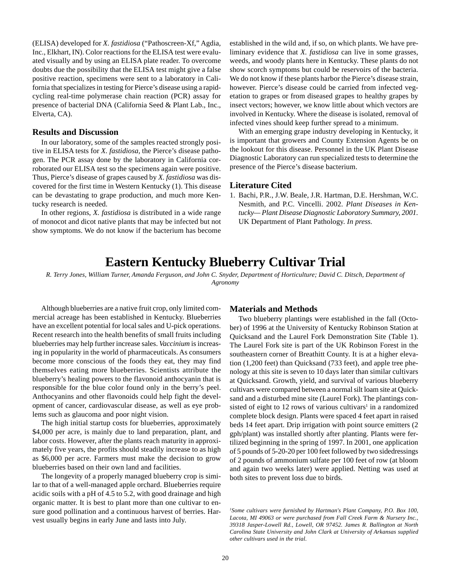<span id="page-18-0"></span>(ELISA) developed for *X. fastidiosa* ("Pathoscreen-Xf," Agdia, Inc., Elkhart, IN). Color reactions for the ELISA test were evaluated visually and by using an ELISA plate reader. To overcome doubts due the possibility that the ELISA test might give a false positive reaction, specimens were sent to a laboratory in California that specializes in testing for Pierce's disease using a rapidcycling real-time polymerase chain reaction (PCR) assay for presence of bacterial DNA (California Seed & Plant Lab., Inc., Elverta, CA).

#### **Results and Discussion**

In our laboratory, some of the samples reacted strongly positive in ELISA tests for *X. fastidiosa,* the Pierce's disease pathogen. The PCR assay done by the laboratory in California corroborated our ELISA test so the specimens again were positive. Thus, Pierce's disease of grapes caused by *X. fastidiosa* was discovered for the first time in Western Kentucky (1). This disease can be devastating to grape production, and much more Kentucky research is needed.

In other regions, *X. fastidiosa* is distributed in a wide range of monocot and dicot native plants that may be infected but not show symptoms. We do not know if the bacterium has become

established in the wild and, if so, on which plants. We have preliminary evidence that *X. fastidiosa* can live in some grasses, weeds, and woody plants here in Kentucky. These plants do not show scorch symptoms but could be reservoirs of the bacteria. We do not know if these plants harbor the Pierce's disease strain, however. Pierce's disease could be carried from infected vegetation to grapes or from diseased grapes to healthy grapes by insect vectors; however, we know little about which vectors are involved in Kentucky. Where the disease is isolated, removal of infected vines should keep further spread to a minimum.

With an emerging grape industry developing in Kentucky, it is important that growers and County Extension Agents be on the lookout for this disease. Personnel in the UK Plant Disease Diagnostic Laboratory can run specialized tests to determine the presence of the Pierce's disease bacterium.

#### **Literature Cited**

1. Bachi, P.R., J.W. Beale, J.R. Hartman, D.E. Hershman, W.C. Nesmith, and P.C. Vincelli. 2002. *Plant Diseases in Kentucky— Plant Disease Diagnostic Laboratory Summary, 2001.* UK Department of Plant Pathology. *In press.*

## **Eastern Kentucky Blueberry Cultivar Trial**

*R. Terry Jones, William Turner, Amanda Ferguson, and John C. Snyder, Department of Horticulture; David C. Ditsch, Department of Agronomy*

Although blueberries are a native fruit crop, only limited commercial acreage has been established in Kentucky. Blueberries have an excellent potential for local sales and U-pick operations. Recent research into the health benefits of small fruits including blueberries may help further increase sales. *Vaccinium* is increasing in popularity in the world of pharmaceuticals. As consumers become more conscious of the foods they eat, they may find themselves eating more blueberries. Scientists attribute the blueberry's healing powers to the flavonoid anthocyanin that is responsible for the blue color found only in the berry's peel. Anthocyanins and other flavonoids could help fight the development of cancer, cardiovascular disease, as well as eye problems such as glaucoma and poor night vision.

The high initial startup costs for blueberries, approximately \$4,000 per acre, is mainly due to land preparation, plant, and labor costs. However, after the plants reach maturity in approximately five years, the profits should steadily increase to as high as \$6,000 per acre. Farmers must make the decision to grow blueberries based on their own land and facilities.

The longevity of a properly managed blueberry crop is similar to that of a well-managed apple orchard. Blueberries require acidic soils with a pH of 4.5 to 5.2, with good drainage and high organic matter. It is best to plant more than one cultivar to ensure good pollination and a continuous harvest of berries. Harvest usually begins in early June and lasts into July.

#### **Materials and Methods**

Two blueberry plantings were established in the fall (October) of 1996 at the University of Kentucky Robinson Station at Quicksand and the Laurel Fork Demonstration Site (Table 1). The Laurel Fork site is part of the UK Robinson Forest in the southeastern corner of Breathitt County. It is at a higher elevation (1,200 feet) than Quicksand (733 feet), and apple tree phenology at this site is seven to 10 days later than similar cultivars at Quicksand. Growth, yield, and survival of various blueberry cultivars were compared between a normal silt loam site at Quicksand and a disturbed mine site (Laurel Fork). The plantings consisted of eight to 12 rows of various cultivars<sup>1</sup> in a randomized complete block design. Plants were spaced 4 feet apart in raised beds 14 feet apart. Drip irrigation with point source emitters (2 gph/plant) was installed shortly after planting. Plants were fertilized beginning in the spring of 1997. In 2001, one application of 5 pounds of 5-20-20 per 100 feet followed by two sidedressings of 2 pounds of ammonium sulfate per 100 feet of row (at bloom and again two weeks later) were applied. Netting was used at both sites to prevent loss due to birds.

*1 Some cultivars were furnished by Hartman's Plant Company, P.O. Box 100, Lacota, MI 49063 or were purchased from Fall Creek Farm & Nursery Inc., 39318 Jasper-Lowell Rd., Lowell, OR 97452. James R. Ballington at North Carolina State University and John Clark at University of Arkansas supplied other cultivars used in the trial.*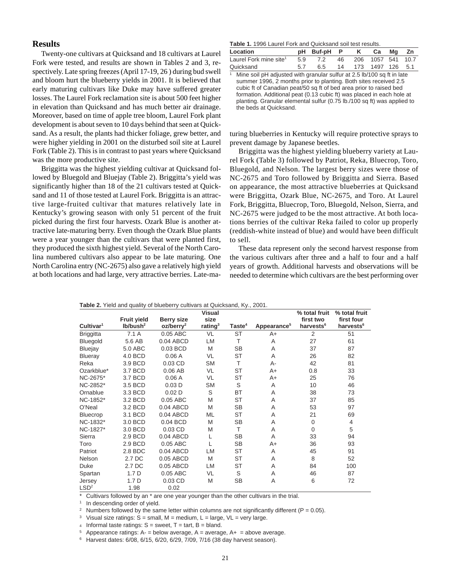#### **Results**

Twenty-one cultivars at Quicksand and 18 cultivars at Laurel Fork were tested, and results are shown in Tables 2 and 3, respectively. Late spring freezes (April 17-19, 26 ) during bud swell and bloom hurt the blueberry yields in 2001. It is believed that early maturing cultivars like Duke may have suffered greater losses. The Laurel Fork reclamation site is about 500 feet higher in elevation than Quicksand and has much better air drainage. Moreover, based on time of apple tree bloom, Laurel Fork plant development is about seven to 10 days behind that seen at Quicksand. As a result, the plants had thicker foliage, grew better, and were higher yielding in 2001 on the disturbed soil site at Laurel Fork (Table 2). This is in contrast to past years where Quicksand was the more productive site.

Briggitta was the highest yielding cultivar at Quicksand followed by Bluegold and Bluejay (Table 2). Briggitta's yield was significantly higher than 18 of the 21 cultivars tested at Quicksand and 11 of those tested at Laurel Fork. Briggitta is an attractive large-fruited cultivar that matures relatively late in Kentucky's growing season with only 51 percent of the fruit picked during the first four harvests. Ozark Blue is another attractive late-maturing berry. Even though the Ozark Blue plants were a year younger than the cultivars that were planted first, they produced the sixth highest yield. Several of the North Carolina numbered cultivars also appear to be late maturing. One North Carolina entry (NC-2675) also gave a relatively high yield at both locations and had large, very attractive berries. Late-ma-

#### **Table 1.** 1996 Laurel Fork and Quicksand soil test results.

| Location                           |     | pH Buf-pH P K |  |                      | Ca Mg Zn |  |  |  |  |  |
|------------------------------------|-----|---------------|--|----------------------|----------|--|--|--|--|--|
| Laurel Fork mine site <sup>1</sup> | 5.9 | 7.2           |  | 46 206 1057 541 10.7 |          |  |  |  |  |  |
| Quicksand                          |     | 6.5           |  | 14 173 1497 126 5.1  |          |  |  |  |  |  |
|                                    |     |               |  |                      |          |  |  |  |  |  |

Mine soil pH adjusted with granular sulfur at 2.5 lb/100 sq ft in late summer 1996, 2 months prior to planting. Both sites received 2.5 cubic ft of Canadian peat/50 sq ft of bed area prior to raised bed formation. Additional peat (0.13 cubic ft) was placed in each hole at planting. Granular elemental sulfur (0.75 lb./100 sq ft) was applied to the beds at Quicksand.

turing blueberries in Kentucky will require protective sprays to prevent damage by Japanese beetles.

Briggitta was the highest yielding blueberry variety at Laurel Fork (Table 3) followed by Patriot, Reka, Bluecrop, Toro, Bluegold, and Nelson. The largest berry sizes were those of NC-2675 and Toro followed by Briggitta and Sierra. Based on appearance, the most attractive blueberries at Quicksand were Briggitta, Ozark Blue, NC-2675, and Toro. At Laurel Fork, Briggitta, Bluecrop, Toro, Bluegold, Nelson, Sierra, and NC-2675 were judged to be the most attractive. At both locations berries of the cultivar Reka failed to color up properly (reddish-white instead of blue) and would have been difficult to sell.

These data represent only the second harvest response from the various cultivars after three and a half to four and a half years of growth. Additional harvests and observations will be needed to determine which cultivars are the best performing over

|                       |                      | <b>Table 2.</b> Tickle and guality of blucberry cultivars at Quicksand, ivy., 2001. |                       |                    |                         |                            |                             |
|-----------------------|----------------------|-------------------------------------------------------------------------------------|-----------------------|--------------------|-------------------------|----------------------------|-----------------------------|
|                       | <b>Fruit yield</b>   | <b>Berry size</b>                                                                   | <b>Visual</b><br>size |                    |                         | % total fruit<br>first two | % total fruit<br>first four |
| Cultivar <sup>1</sup> | Ib/bush <sup>2</sup> | oz/berry <sup>2</sup>                                                               | rating $3$            | Taste <sup>4</sup> | Appearance <sup>5</sup> | harvests <sup>6</sup>      | harvests <sup>6</sup>       |
| <b>Briggitta</b>      | 7.1A                 | 0.05 ABC                                                                            | VL                    | <b>ST</b>          | A+                      | 2                          | 51                          |
| Bluegold              | 5.6 AB               | 0.04 ABCD                                                                           | LM                    | $\top$             | A                       | 27                         | 61                          |
| Bluejay               | 5.0 ABC              | 0.03 BCD                                                                            | M                     | <b>SB</b>          | A                       | 37                         | 87                          |
| <b>Blueray</b>        | 4.0 BCD              | 0.06A                                                                               | VL                    | <b>ST</b>          | A                       | 26                         | 82                          |
| Reka                  | 3.9 BCD              | $0.03$ CD                                                                           | <b>SM</b>             | T                  | А-                      | 42                         | 81                          |
| Ozarkblue*            | 3.7 BCD              | $0.06$ AB                                                                           | VL                    | <b>ST</b>          | A+                      | 0.8                        | 33                          |
| NC-2675*              | 3.7 BCD              | 0.06A                                                                               | VL                    | <b>ST</b>          | $A+$                    | 25                         | 76                          |
| NC-2852*              | 3.5 BCD              | 0.03D                                                                               | SΜ                    | S                  | A                       | 10                         | 46                          |
| Ornablue              | 3.3 BCD              | 0.02 <sub>D</sub>                                                                   | S                     | <b>BT</b>          | A                       | 38                         | 73                          |
| NC-1852*              | 3.2 BCD              | 0.05 ABC                                                                            | M                     | <b>ST</b>          | A                       | 37                         | 85                          |
| O'Neal                | 3.2 BCD              | 0.04 ABCD                                                                           | M                     | <b>SB</b>          | A                       | 53                         | 97                          |
| Bluecrop              | 3.1 BCD              | 0.04 ABCD                                                                           | ML                    | <b>ST</b>          | A                       | 21                         | 69                          |
| NC-1832*              | 3.0 BCD              | 0.04 BCD                                                                            | M                     | <b>SB</b>          | A                       | $\overline{0}$             | 4                           |
| NC-1827*              | 3.0 BCD              | $0.03$ CD                                                                           | M                     | T                  | A                       | $\Omega$                   | 5                           |
| Sierra                | 2.9 BCD              | 0.04 ABCD                                                                           | L                     | <b>SB</b>          | A                       | 33                         | 94                          |
| Toro                  | 2.9 BCD              | 0.05 ABC                                                                            | L                     | SB                 | A+                      | 36                         | 93                          |
| Patriot               | 2.8 BDC              | 0.04 ABCD                                                                           | LM                    | <b>ST</b>          | A                       | 45                         | 91                          |
| Nelson                | 2.7 DC               | 0.05 ABCD                                                                           | M                     | <b>ST</b>          | A                       | 8                          | 52                          |
| Duke                  | 2.7 DC               | 0.05 ABCD                                                                           | LM                    | <b>ST</b>          | A                       | 84                         | 100                         |
| Spartan               | 1.7 <sub>D</sub>     | 0.05 ABC                                                                            | VL                    | S                  | A                       | 46                         | 87                          |
| Jersey                | 1.7 <sub>D</sub>     | $0.03$ CD                                                                           | M                     | <b>SB</b>          | A                       | 6                          | 72                          |
| LSD <sup>2</sup>      | 1.98                 | 0.02                                                                                |                       |                    |                         |                            |                             |

|  |  |  |  | Table 2. Yield and quality of blueberry cultivars at Quicksand, Ky., 2001. |  |  |  |
|--|--|--|--|----------------------------------------------------------------------------|--|--|--|
|--|--|--|--|----------------------------------------------------------------------------|--|--|--|

\* Cultivars followed by an \* are one year younger than the other cultivars in the trial.

<sup>1</sup> In descending order of yield.

<sup>2</sup> Numbers followed by the same letter within columns are not significantly different ( $P = 0.05$ ).

<sup>3</sup> Visual size ratings:  $S = \text{small}$ ,  $M = \text{medium}$ ,  $L = \text{large}$ ,  $VL = \text{very large}$ .

4 Informal taste ratings:  $S =$  sweet,  $T =$  tart,  $B =$  bland.

<sup>5</sup> Appearance ratings:  $A = b$ elow average,  $A = a$ verage,  $A + a$  = above average.

<sup>6</sup> Harvest dates: 6/08, 6/15, 6/20, 6/29, 7/09, 7/16 (38 day harvest season).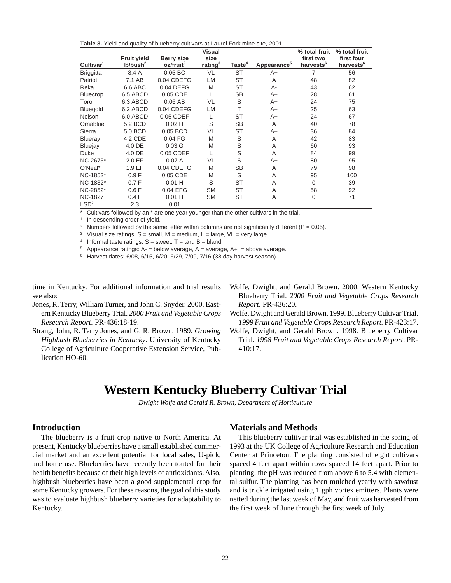<span id="page-20-0"></span>**Table 3.** Yield and quality of blueberry cultivars at Laurel Fork mine site, 2001.

|                       | <b>Fruit yield</b>   | <b>Berry size</b>     | <b>Visual</b><br>size |                    |                         | % total fruit<br>first two | % total fruit<br>first four |
|-----------------------|----------------------|-----------------------|-----------------------|--------------------|-------------------------|----------------------------|-----------------------------|
| Cultivar <sup>1</sup> | Ib/bush <sup>2</sup> | oz/fruit <sup>2</sup> | rating $3$            | Taste <sup>4</sup> | Appearance <sup>5</sup> | harvests <sup>6</sup>      | harvests <sup>6</sup>       |
| <b>Briggitta</b>      | 8.4 A                | $0.05$ BC             | VL                    | <b>ST</b>          | $A+$                    | 7                          | 56                          |
| Patriot               | 7.1 AB               | 0.04 CDEFG            | LM                    | <b>ST</b>          | A                       | 48                         | 82                          |
| Reka                  | 6.6 ABC              | 0.04 DEFG             | M                     | ST                 | $A -$                   | 43                         | 62                          |
| <b>Bluecrop</b>       | 6.5 ABCD             | 0.05 CDE              | L                     | <b>SB</b>          | $A+$                    | 28                         | 61                          |
| Toro                  | 6.3 ABCD             | $0.06$ AB             | VL                    | S                  | $A+$                    | 24                         | 75                          |
| Bluegold              | 6.2 ABCD             | 0.04 CDEFG            | <b>LM</b>             | T                  | $A+$                    | 25                         | 63                          |
| <b>Nelson</b>         | 6.0 ABCD             | 0.05 CDEF             | L                     | <b>ST</b>          | $A+$                    | 24                         | 67                          |
| Ornablue              | 5.2 BCD              | $0.02$ H              | S                     | <b>SB</b>          | A                       | 40                         | 78                          |
| Sierra                | 5.0 BCD              | 0.05 BCD              | VL                    | <b>ST</b>          | $A+$                    | 36                         | 84                          |
| Blueray               | 4.2 CDE              | 0.04 FG               | M                     | S                  | A                       | 42                         | 83                          |
| <b>Bluejay</b>        | 4.0 DE               | 0.03 <sub>G</sub>     | M                     | S                  | A                       | 60                         | 93                          |
| Duke                  | 4.0 DE               | 0.05 CDEF             | L                     | S                  | A                       | 84                         | 99                          |
| NC-2675*              | 2.0 EF               | 0.07A                 | VL                    | S                  | $A+$                    | 80                         | 95                          |
| O'Neal*               | 1.9 EF               | 0.04 CDEFG            | M                     | <b>SB</b>          | A                       | 79                         | 98                          |
| NC-1852*              | 0.9 F                | 0.05 CDE              | M                     | S                  | A                       | 95                         | 100                         |
| NC-1832*              | 0.7F                 | $0.01$ H              | S                     | <b>ST</b>          | A                       | $\Omega$                   | 39                          |
| NC-2852*              | 0.6F                 | 0.04 EFG              | <b>SM</b>             | <b>ST</b>          | A                       | 58                         | 92                          |
| <b>NC-1827</b>        | 0.4F                 | $0.01$ H              | <b>SM</b>             | <b>ST</b>          | A                       | $\mathbf 0$                | 71                          |
| LSD <sup>2</sup>      | 2.3                  | 0.01                  |                       |                    |                         |                            |                             |

Cultivars followed by an \* are one year younger than the other cultivars in the trial.

<sup>1</sup> In descending order of yield.

<sup>2</sup> Numbers followed by the same letter within columns are not significantly different ( $P = 0.05$ ).

<sup>3</sup> Visual size ratings:  $S = \text{small}$ ,  $M = \text{medium}$ ,  $L = \text{large}$ ,  $VL = \text{very large}$ .

<sup>4</sup> Informal taste ratings:  $S =$  sweet,  $T =$  tart,  $B =$  bland.

<sup>5</sup> Appearance ratings:  $A = b$ elow average,  $A = a$ verage,  $A + a$  = above average.

<sup>6</sup> Harvest dates: 6/08, 6/15, 6/20, 6/29, 7/09, 7/16 (38 day harvest season).

time in Kentucky. For additional information and trial results see also:

- Jones, R. Terry, William Turner, and John C. Snyder. 2000. Eastern Kentucky Blueberry Trial. *2000 Fruit and Vegetable Crops Research Report*. PR-436:18-19.
- Strang, John, R. Terry Jones, and G. R. Brown. 1989. *Growing Highbush Blueberries in Kentucky*. University of Kentucky College of Agriculture Cooperative Extension Service, Publication HO-60.
- Wolfe, Dwight, and Gerald Brown. 2000. Western Kentucky Blueberry Trial. *2000 Fruit and Vegetable Crops Research Report*. PR-436:20.

Wolfe, Dwight and Gerald Brown. 1999. Blueberry Cultivar Trial. *1999 Fruit and Vegetable Crops Research Report.* PR-423:17.

Wolfe, Dwight, and Gerald Brown. 1998. Blueberry Cultivar Trial. *1998 Fruit and Vegetable Crops Research Report*. PR-410:17.

## **Western Kentucky Blueberry Cultivar Trial**

*Dwight Wolfe and Gerald R. Brown, Department of Horticulture*

### **Introduction**

The blueberry is a fruit crop native to North America. At present, Kentucky blueberries have a small established commercial market and an excellent potential for local sales, U-pick, and home use. Blueberries have recently been touted for their health benefits because of their high levels of antioxidants. Also, highbush blueberries have been a good supplemental crop for some Kentucky growers. For these reasons, the goal of this study was to evaluate highbush blueberry varieties for adaptability to Kentucky.

#### **Materials and Methods**

This blueberry cultivar trial was established in the spring of 1993 at the UK College of Agriculture Research and Education Center at Princeton. The planting consisted of eight cultivars spaced 4 feet apart within rows spaced 14 feet apart. Prior to planting, the pH was reduced from above 6 to 5.4 with elemental sulfur. The planting has been mulched yearly with sawdust and is trickle irrigated using 1 gph vortex emitters. Plants were netted during the last week of May, and fruit was harvested from the first week of June through the first week of July.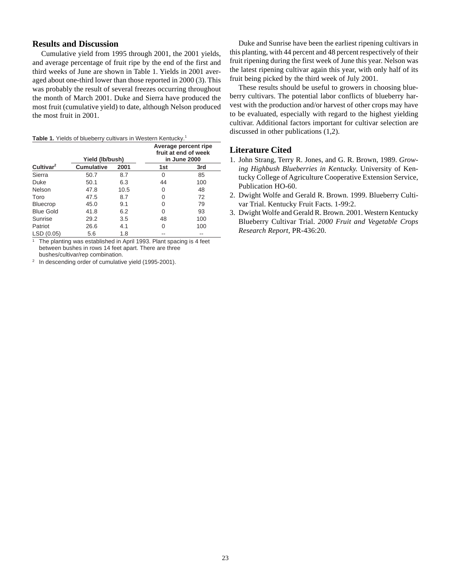## **Results and Discussion**

Cumulative yield from 1995 through 2001, the 2001 yields, and average percentage of fruit ripe by the end of the first and third weeks of June are shown in Table 1. Yields in 2001 averaged about one-third lower than those reported in 2000 (3). This was probably the result of several freezes occurring throughout the month of March 2001. Duke and Sierra have produced the most fruit (cumulative yield) to date, although Nelson produced the most fruit in 2001.

#### Table 1. Yields of blueberry cultivars in Western Kentucky.<sup>1</sup>

|                       | Yield (lb/bush)   |      | Average percent ripe<br>fruit at end of week<br>in June 2000 |     |  |  |
|-----------------------|-------------------|------|--------------------------------------------------------------|-----|--|--|
| Cultivar <sup>2</sup> | <b>Cumulative</b> | 2001 | 1st                                                          | 3rd |  |  |
| Sierra                | 50.7              | 8.7  | 0                                                            | 85  |  |  |
| Duke                  | 50.1              | 6.3  | 44                                                           | 100 |  |  |
| Nelson                | 47.8              | 10.5 | 0                                                            | 48  |  |  |
| Toro                  | 47.5              | 8.7  | 0                                                            | 72  |  |  |
| <b>Bluecrop</b>       | 45.0              | 9.1  | 0                                                            | 79  |  |  |
| <b>Blue Gold</b>      | 41.8              | 6.2  | 0                                                            | 93  |  |  |
| Sunrise               | 29.2              | 3.5  | 48                                                           | 100 |  |  |
| Patriot               | 26.6              | 4.1  | 0                                                            | 100 |  |  |
| LSD(0.05)             | 5.6               | 1.8  |                                                              |     |  |  |

The planting was established in April 1993. Plant spacing is 4 feet between bushes in rows 14 feet apart. There are three bushes/cultivar/rep combination.

<sup>2</sup> In descending order of cumulative yield (1995-2001).

Duke and Sunrise have been the earliest ripening cultivars in this planting, with 44 percent and 48 percent respectively of their fruit ripening during the first week of June this year. Nelson was the latest ripening cultivar again this year, with only half of its fruit being picked by the third week of July 2001.

These results should be useful to growers in choosing blueberry cultivars. The potential labor conflicts of blueberry harvest with the production and/or harvest of other crops may have to be evaluated, especially with regard to the highest yielding cultivar. Additional factors important for cultivar selection are discussed in other publications (1,2).

## **Literature Cited**

- 1. John Strang, Terry R. Jones, and G. R. Brown, 1989. *Growing Highbush Blueberries in Kentucky.* University of Kentucky College of Agriculture Cooperative Extension Service, Publication HO-60.
- 2. Dwight Wolfe and Gerald R. Brown. 1999. Blueberry Cultivar Trial. Kentucky Fruit Facts. 1-99:2.
- 3. Dwight Wolfe and Gerald R. Brown. 2001. Western Kentucky Blueberry Cultivar Trial. *2000 Fruit and Vegetable Crops Research Report,* PR-436:20.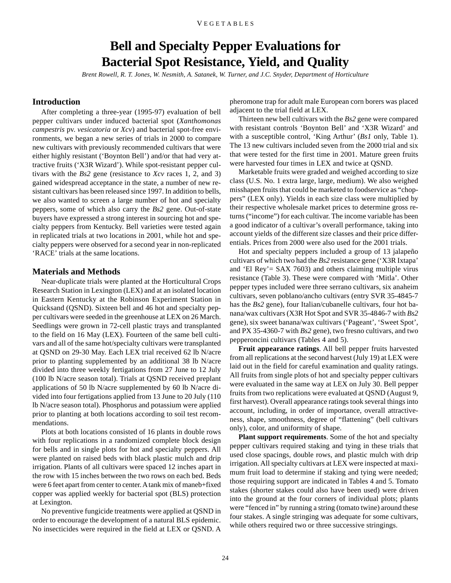## **Bell and Specialty Pepper Evaluations for Bacterial Spot Resistance, Yield, and Quality**

*Brent Rowell, R. T. Jones, W. Nesmith, A. Satanek, W. Turner, and J.C. Snyder, Department of Horticulture*

## <span id="page-22-0"></span>**Introduction**

After completing a three-year (1995-97) evaluation of bell pepper cultivars under induced bacterial spot (*Xanthomonas campestris* pv. *vesicatoria* or *Xcv*) and bacterial spot-free environments, we began a new series of trials in 2000 to compare new cultivars with previously recommended cultivars that were either highly resistant ('Boynton Bell') and/or that had very attractive fruits ('X3R Wizard'). While spot-resistant pepper cultivars with the *Bs2* gene (resistance to *Xcv* races 1, 2, and 3) gained widespread acceptance in the state, a number of new resistant cultivars has been released since 1997. In addition to bells, we also wanted to screen a large number of hot and specialty peppers, some of which also carry the *Bs2* gene. Out-of-state buyers have expressed a strong interest in sourcing hot and specialty peppers from Kentucky. Bell varieties were tested again in replicated trials at two locations in 2001, while hot and specialty peppers were observed for a second year in non-replicated 'RACE' trials at the same locations.

### **Materials and Methods**

Near-duplicate trials were planted at the Horticultural Crops Research Station in Lexington (LEX) and at an isolated location in Eastern Kentucky at the Robinson Experiment Station in Quicksand (QSND). Sixteen bell and 46 hot and specialty pepper cultivars were seeded in the greenhouse at LEX on 26 March. Seedlings were grown in 72-cell plastic trays and transplanted to the field on 16 May (LEX). Fourteen of the same bell cultivars and all of the same hot/specialty cultivars were transplanted at QSND on 29-30 May. Each LEX trial received 62 lb N/acre prior to planting supplemented by an additional 38 lb N/acre divided into three weekly fertigations from 27 June to 12 July (100 lb N/acre season total). Trials at QSND received preplant applications of 50 lb N/acre supplemented by 60 lb N/acre divided into four fertigations applied from 13 June to 20 July (110 lb N/acre season total). Phosphorus and potassium were applied prior to planting at both locations according to soil test recommendations.

Plots at both locations consisted of 16 plants in double rows with four replications in a randomized complete block design for bells and in single plots for hot and specialty peppers. All were planted on raised beds with black plastic mulch and drip irrigation. Plants of all cultivars were spaced 12 inches apart in the row with 15 inches between the two rows on each bed. Beds were 6 feet apart from center to center. A tank mix of maneb+fixed copper was applied weekly for bacterial spot (BLS) protection at Lexington.

No preventive fungicide treatments were applied at QSND in order to encourage the development of a natural BLS epidemic. No insecticides were required in the field at LEX or QSND. A pheromone trap for adult male European corn borers was placed adjacent to the trial field at LEX.

Thirteen new bell cultivars with the *Bs2* gene were compared with resistant controls 'Boynton Bell' and 'X3R Wizard' and with a susceptible control, 'King Arthur' (*Bs1* only, Table 1). The 13 new cultivars included seven from the 2000 trial and six that were tested for the first time in 2001. Mature green fruits were harvested four times in LEX and twice at QSND.

Marketable fruits were graded and weighed according to size class (U.S. No. 1 extra large, large, medium). We also weighed misshapen fruits that could be marketed to foodservice as "choppers" (LEX only). Yields in each size class were multiplied by their respective wholesale market prices to determine gross returns ("income") for each cultivar. The income variable has been a good indicator of a cultivar's overall performance, taking into account yields of the different size classes and their price differentials. Prices from 2000 were also used for the 2001 trials.

Hot and specialty peppers included a group of 13 jalapeño cultivars of which two had the *Bs2* resistance gene ('X3R Ixtapa' and 'El Rey'= SAX 7603) and others claiming multiple virus resistance (Table 3). These were compared with 'Mitla'. Other pepper types included were three serrano cultivars, six anaheim cultivars, seven poblano/ancho cultivars (entry SVR 35-4845-7 has the *Bs2* gene), four Italian/cubanelle cultivars, four hot banana/wax cultivars (X3R Hot Spot and SVR 35-4846-7 with *Bs2* gene), six sweet banana/wax cultivars ('Pageant', 'Sweet Spot', and PX 35-4360-7 with *Bs2* gene), two fresno cultivars, and two pepperoncini cultivars (Tables 4 and 5).

**Fruit appearance ratings**. All bell pepper fruits harvested from all replications at the second harvest (July 19) at LEX were laid out in the field for careful examination and quality ratings. All fruits from single plots of hot and specialty pepper cultivars were evaluated in the same way at LEX on July 30. Bell pepper fruits from two replications were evaluated at QSND (August 9, first harvest). Overall appearance ratings took several things into account, including, in order of importance, overall attractiveness, shape, smoothness, degree of "flattening" (bell cultivars only), color, and uniformity of shape.

**Plant support requirements**. Some of the hot and specialty pepper cultivars required staking and tying in these trials that used close spacings, double rows, and plastic mulch with drip irrigation. All specialty cultivars at LEX were inspected at maximum fruit load to determine if staking and tying were needed; those requiring support are indicated in Tables 4 and 5. Tomato stakes (shorter stakes could also have been used) were driven into the ground at the four corners of individual plots; plants were "fenced in" by running a string (tomato twine) around these four stakes. A single stringing was adequate for some cultivars, while others required two or three successive stringings.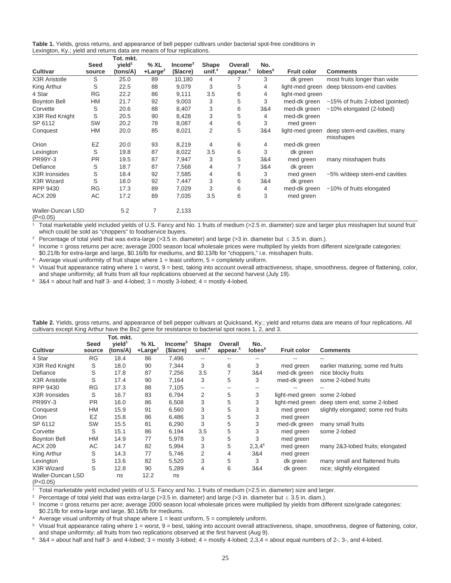|  | Table 1. Yields, gross returns, and appearance of bell pepper cultivars under bacterial spot-free conditions in |  |  |  |
|--|-----------------------------------------------------------------------------------------------------------------|--|--|--|
|  | Lexington, Ky.; yield and returns data are means of four replications.                                          |  |  |  |

|                                                 |                | Tot. mkt.                      |                  |                        |                           |                                 |                           |                    |                                           |
|-------------------------------------------------|----------------|--------------------------------|------------------|------------------------|---------------------------|---------------------------------|---------------------------|--------------------|-------------------------------------------|
| <b>Cultivar</b>                                 | Seed<br>source | vield <sup>1</sup><br>(tons/A) | %XL<br>$+Large2$ | $Income3$<br>(\$/acre) | <b>Shape</b><br>unif. $4$ | Overall<br>appear. <sup>5</sup> | No.<br>lobes <sup>6</sup> | <b>Fruit color</b> | <b>Comments</b>                           |
| X3R Aristotle                                   | S              | 25.0                           | 89               | 10,180                 | 4                         |                                 | 3                         | dk green           | most fruits longer than wide              |
| King Arthur                                     | S              | 22.5                           | 88               | 9,079                  | 3                         | 5                               | 4                         | light-med green    | deep blossom-end cavities                 |
| 4 Star                                          | <b>RG</b>      | 22.2                           | 86               | 9,111                  | 3.5                       | 6                               | 4                         | light-med green    |                                           |
| <b>Boynton Bell</b>                             | HM             | 21.7                           | 92               | 9,003                  | 3                         | 5                               | 3                         | med-dk green       | ~15% of fruits 2-lobed (pointed)          |
| Corvette                                        | S              | 20.6                           | 88               | 8,407                  | 3                         | 6                               | 3&4                       | med-dk green       | $~10\%$ elongated (2-lobed)               |
| X3R Red Knight                                  | S              | 20.5                           | 90               | 8,428                  | 3                         | 5                               | 4                         | med-dk green       |                                           |
| SP 6112                                         | <b>SW</b>      | 20.2                           | 78               | 8,087                  | 4                         | 6                               | 3                         | med green          |                                           |
| Conquest                                        | HM             | 20.0                           | 85               | 8,021                  | $\overline{2}$            | 5                               | 3&4                       | light-med green    | deep stem-end cavities, many<br>misshapes |
| Orion                                           | EZ             | 20.0                           | 93               | 8,219                  | 4                         | 6                               | 4                         | med-dk green       |                                           |
| Lexington                                       | S              | 19.8                           | 87               | 8,022                  | 3.5                       | 6                               | 3                         | dk green           |                                           |
| PR99Y-3                                         | <b>PR</b>      | 19.5                           | 87               | 7,947                  | 3                         | 5                               | 3&4                       | med green          | many misshapen fruits                     |
| Defiance                                        | S              | 18.7                           | 87               | 7,568                  | 4                         | 7                               | 3&4                       | dk green           |                                           |
| X3R Ironsides                                   | S              | 18.4                           | 92               | 7,585                  | 4                         | 6                               | 3                         | med green          | ~5% w/deep stem-end cavities              |
| X3R Wizard                                      | S              | 18.0                           | 92               | 7,447                  | 3                         | 6                               | 3&4                       | dk green           |                                           |
| RPP 9430                                        | <b>RG</b>      | 17.3                           | 89               | 7,029                  | 3                         | 6                               | 4                         | med-dk green       | ~10% of fruits elongated                  |
| <b>ACX 209</b>                                  | AC             | 17.2                           | 89               | 7,035                  | 3.5                       | 6                               | 3                         | med green          |                                           |
| <b>Waller-Duncan LSD</b><br>(P <sub>0</sub> 05) |                | 5.2                            | 7                | 2,133                  |                           |                                 |                           |                    |                                           |

(P<0.05)

<sup>1</sup> Total marketable yield included yields of U.S. Fancy and No. 1 fruits of medium (>2.5 in. diameter) size and larger plus misshapen but sound fruit which could be sold as "choppers" to foodservice buyers.

<sup>2</sup> Percentage of total yield that was extra-large (>3.5 in. diameter) and large (>3 in. diameter but  $\leq$  3.5 in. diam.).

<sup>3</sup> Income = gross returns per acre; average 2000 season local wholesale prices were multiplied by yields from different size/grade categories: \$0.21/lb for extra-large and large, \$0.16/lb for mediums, and \$0.13/lb for "choppers," i.e. misshapen fruits.

<sup>4</sup> Average visual uniformity of fruit shape where  $1 =$  least uniform,  $5 =$  completely uniform.

<sup>5</sup> Visual fruit appearance rating where 1 = worst, 9 = best, taking into account overall attractiveness, shape, smoothness, degree of flattening, color, and shape uniformity; all fruits from all four replications observed at the second harvest (July 19).

 $6$  3&4 = about half and half 3- and 4-lobed; 3 = mostly 3-lobed; 4 = mostly 4-lobed.

|                               |                | Tot. mkt.                         |                  |                        |                           |                                 |                           |                    |                                     |
|-------------------------------|----------------|-----------------------------------|------------------|------------------------|---------------------------|---------------------------------|---------------------------|--------------------|-------------------------------------|
| Cultivar                      | Seed<br>source | $v$ ield <sup>1</sup><br>(tons/A) | %XL<br>$+Large2$ | $Income3$<br>(\$/acre) | <b>Shape</b><br>unif. $4$ | Overall<br>appear. <sup>5</sup> | No.<br>lobes <sup>6</sup> | <b>Fruit color</b> | <b>Comments</b>                     |
| 4 Star                        | <b>RG</b>      | 18.4                              | 86               | 7,496                  | --                        |                                 |                           |                    |                                     |
| X3R Red Knight                | S              | 18.0                              | 90               | 7,344                  | 3                         | 6                               | 3                         | med green          | earlier maturing; some red fruits   |
| Defiance                      | S              | 17.8                              | 87               | 7,256                  | 3.5                       | $\overline{7}$                  | 3&4                       | med-dk green       | nice blocky fruits                  |
| X3R Aristotle                 | S              | 17.4                              | 90               | 7,164                  | 3                         | 5                               | 3                         | med-dk green       | some 2-lobed fruits                 |
| RPP 9430                      | <b>RG</b>      | 17.3                              | 88               | 7,105                  | --                        | --                              | --                        |                    |                                     |
| X3R Ironsides                 | S              | 16.7                              | 83               | 6,794                  | 2                         | 5                               | 3                         | light-med green    | some 2-lobed                        |
| PR99Y-3                       | <b>PR</b>      | 16.0                              | 86               | 6,508                  | 3                         | 5                               | 3                         | light-med green    | deep stem end; some 2-lobed         |
| Conquest                      | HM             | 15.9                              | 91               | 6,560                  | 3                         | 5                               | 3                         | med green          | slightly elongated; some red fruits |
| Orion                         | EZ             | 15.8                              | 86               | 6,486                  | 3                         | 5                               | 3                         | med green          |                                     |
| SP 6112                       | <b>SW</b>      | 15.5                              | 81               | 6,290                  | 3                         | 5                               | 3                         | med-dk green       | many small fruits                   |
| Corvette                      | S              | 15.1                              | 86               | 6,194                  | 3.5                       | 5                               | 3                         | med green          | some 2-lobed                        |
| <b>Boynton Bell</b>           | HM             | 14.9                              | 77               | 5,978                  | 3                         | 5                               | 3                         | med green          |                                     |
| <b>ACX 209</b>                | AC             | 14.7                              | 82               | 5,994                  | 3                         | 5                               | $2,3,4^6$                 | med green          | many 2&3-lobed fruits; elongated    |
| King Arthur                   | S              | 14.3                              | 77               | 5,746                  | 2                         | 4                               | 3&4                       | med green          |                                     |
| Lexington                     | S              | 13.6                              | 82               | 5,520                  | 3                         | 5                               | 3                         | dk green           | many small and flattened fruits     |
| X3R Wizard                    | S              | 12.8                              | 90               | 5,289                  | 4                         | 6                               | 3&4                       | dk green           | nice; slightly elongated            |
| Waller-Duncan LSD<br>(P<0.05) |                | ns                                | 12.2             | ns                     |                           |                                 |                           |                    |                                     |

**Table 2.** Yields, gross returns, and appearance of bell pepper cultivars at Quicksand, Ky.; yield and returns data are means of four replications. All cultivars except King Arthur have the Bs2 gene for resistance to bacterial spot races 1, 2, and 3.

 $1$  Total marketable yield included yields of U.S. Fancy and No. 1 fruits of medium (>2.5 in. diameter) size and larger.

<sup>2</sup> Percentage of total yield that was extra-large (>3.5 in. diameter) and large (>3 in. diameter but  $\leq$  3.5 in. diam.).

<sup>3</sup> Income = gross returns per acre; average 2000 season local wholesale prices were multiplied by yields from different size/grade categories:

\$0.21/lb for extra-large and large, \$0.16/lb for mediums.

<sup>4</sup> Average visual uniformity of fruit shape where  $1 =$  least uniform,  $5 =$  completely uniform.

<sup>5</sup> Visual fruit appearance rating where 1 = worst, 9 = best, taking into account overall attractiveness, shape, smoothness, degree of flattening, color, and shape uniformity; all fruits from two replications observed at the first harvest (Aug 9).

 $6$  3&4 = about half and half 3- and 4-lobed; 3 = mostly 3-lobed; 4 = mostly 4-lobed; 2,3,4 = about equal numbers of 2-, 3-, and 4-lobed.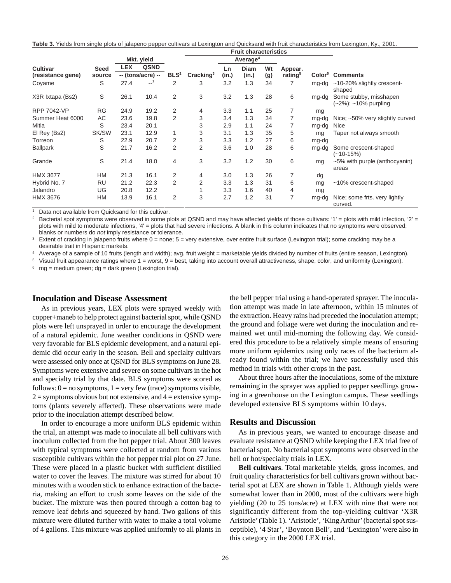**Table 3.** Yields from single plots of jalapeno pepper cultivars at Lexington and Quicksand with fruit characteristics from Lexington, Ky., 2001.

|                                      |                |                                   |             |                  |                       |             | <b>Fruit characteristics</b> |           |                                |                    |                                                |  |
|--------------------------------------|----------------|-----------------------------------|-------------|------------------|-----------------------|-------------|------------------------------|-----------|--------------------------------|--------------------|------------------------------------------------|--|
|                                      |                |                                   | Mkt. yield  |                  |                       |             | Average <sup>4</sup>         |           |                                |                    |                                                |  |
| <b>Cultivar</b><br>(resistance gene) | Seed<br>source | <b>LEX</b><br>$-$ (tons/acre) $-$ | <b>QSND</b> | BLS <sup>2</sup> | Cracking <sup>3</sup> | Ln<br>(in.) | <b>Diam</b><br>(in.)         | Wt<br>(g) | Appear.<br>rating <sup>5</sup> | Color <sup>6</sup> | <b>Comments</b>                                |  |
| Coyame                               | S              | 27.4                              | $-1$        | 2                | 3                     | 3.2         | 1.3                          | 34        | 7                              | mg-dg              | ~10-20% slightly crescent-<br>shaped           |  |
| X3R Ixtapa (Bs2)                     | S              | 26.1                              | 10.4        | $\overline{2}$   | 3                     | 3.2         | 1.3                          | 28        | 6                              | mg-dg              | Some stubby, misshapen<br>(~2%); ~10% purpling |  |
| <b>RPP 7042-VP</b>                   | <b>RG</b>      | 24.9                              | 19.2        | 2                | 4                     | 3.3         | 1.1                          | 25        | 7                              | mg                 |                                                |  |
| Summer Heat 6000                     | AC             | 23.6                              | 19.8        | 2                | 3                     | 3.4         | 1.3                          | 34        | 7                              | mg-dg              | Nice; ~50% very slightly curved                |  |
| Mitla                                | S              | 23.4                              | 20.1        |                  | 3                     | 2.9         | 1.1                          | 24        |                                | mg-dg              | Nice                                           |  |
| El Rey (Bs2)                         | SK/SW          | 23.1                              | 12.9        |                  | 3                     | 3.1         | 1.3                          | 35        | 5                              | mg                 | Taper not always smooth                        |  |
| Torreon                              | S              | 22.9                              | 20.7        | 2                | 3                     | 3.3         | 1.2                          | 27        | 6                              | mg-dg              |                                                |  |
| <b>Ballpark</b>                      | S              | 21.7                              | 16.2        | 2                | 2                     | 3.6         | 1.0                          | 28        | 6                              | mg-dg              | Some crescent-shaped<br>(~10-15%)              |  |
| Grande                               | S              | 21.4                              | 18.0        | 4                | 3                     | 3.2         | 1.2                          | 30        | 6                              | mg                 | ~5% with purple (anthocyanin)<br>areas         |  |
| <b>HMX 3677</b>                      | <b>HM</b>      | 21.3                              | 16.1        | 2                | 4                     | 3.0         | 1.3                          | 26        | 7                              | dg                 |                                                |  |
| Hybrid No. 7                         | <b>RU</b>      | 21.2                              | 22.3        | 2                | 2                     | 3.3         | 1.3                          | 31        | 6                              | mg                 | ~10% crescent-shaped                           |  |
| Jalandro                             | UG             | 20.8                              | 12.2        |                  |                       | 3.3         | 1.6                          | 40        | 4                              | mg                 |                                                |  |
| <b>HMX 3676</b>                      | <b>HM</b>      | 13.9                              | 16.1        | 2                | 3                     | 2.7         | 1.2                          | 31        | 7                              | mg-dg              | Nice; some frts. very lightly<br>curved.       |  |

<sup>1</sup> Data not available from Quicksand for this cultivar.

Bacterial spot symptoms were observed in some plots at QSND and may have affected yields of those cultivars: '1' = plots with mild infection, '2' = plots with mild to moderate infections, '4' = plots that had severe infections. A blank in this column indicates that no symptoms were observed; blanks or numbers do not imply resistance or tolerance.

Extent of cracking in jalapeno fruits where 0 = none; 5 = very extensive, over entire fruit surface (Lexington trial); some cracking may be a desirable trait in Hispanic markets.

<sup>4</sup> Average of a sample of 10 fruits (length and width); avg. fruit weight = marketable yields divided by number of fruits (entire season, Lexington).

Visual fruit appearance ratings where  $1 =$  worst,  $9 =$  best, taking into account overall attractiveness, shape, color, and uniformity (Lexington).

 $mg =$  medium green; dg = dark green (Lexington trial).

#### **Inoculation and Disease Assessment**

As in previous years, LEX plots were sprayed weekly with copper+maneb to help protect against bacterial spot, while QSND plots were left unsprayed in order to encourage the development of a natural epidemic. June weather conditions in QSND were very favorable for BLS epidemic development, and a natural epidemic did occur early in the season. Bell and specialty cultivars were assessed only once at QSND for BLS symptoms on June 28. Symptoms were extensive and severe on some cultivars in the hot and specialty trial by that date. BLS symptoms were scored as follows:  $0 = no$  symptoms,  $1 = \text{very few (trace) symptoms visible}$ ,  $2 =$  symptoms obvious but not extensive, and  $4 =$  extensive symptoms (plants severely affected). These observations were made prior to the inoculation attempt described below.

In order to encourage a more uniform BLS epidemic within the trial, an attempt was made to inoculate all bell cultivars with inoculum collected from the hot pepper trial. About 300 leaves with typical symptoms were collected at random from various susceptible cultivars within the hot pepper trial plot on 27 June. These were placed in a plastic bucket with sufficient distilled water to cover the leaves. The mixture was stirred for about 10 minutes with a wooden stick to enhance extraction of the bacteria, making an effort to crush some leaves on the side of the bucket. The mixture was then poured through a cotton bag to remove leaf debris and squeezed by hand. Two gallons of this mixture were diluted further with water to make a total volume of 4 gallons. This mixture was applied uniformly to all plants in

the bell pepper trial using a hand-operated sprayer. The inoculation attempt was made in late afternoon, within 15 minutes of the extraction. Heavy rains had preceded the inoculation attempt; the ground and foliage were wet during the inoculation and remained wet until mid-morning the following day. We considered this procedure to be a relatively simple means of ensuring more uniform epidemics using only races of the bacterium already found within the trial; we have successfully used this method in trials with other crops in the past.

About three hours after the inoculations, some of the mixture remaining in the sprayer was applied to pepper seedlings growing in a greenhouse on the Lexington campus. These seedlings developed extensive BLS symptoms within 10 days.

#### **Results and Discussion**

As in previous years, we wanted to encourage disease and evaluate resistance at QSND while keeping the LEX trial free of bacterial spot. No bacterial spot symptoms were observed in the bell or hot/specialty trials in LEX.

**Bell cultivars**. Total marketable yields, gross incomes, and fruit quality characteristics for bell cultivars grown without bacterial spot at LEX are shown in Table 1. Although yields were somewhat lower than in 2000, most of the cultivars were high yielding (20 to 25 tons/acre) at LEX with nine that were not significantly different from the top-yielding cultivar 'X3R Aristotle' (Table 1). 'Aristotle', 'King Arthur' (bacterial spot susceptible), '4 Star', 'Boynton Bell', and 'Lexington' were also in this category in the 2000 LEX trial.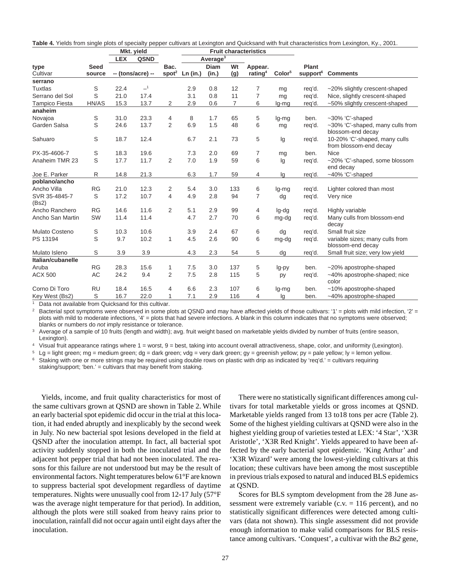|                        |              | <b>LEX</b> | <b>QSND</b>       |                   |          | Average <sup>3</sup> |                |                     |                    |                      |                                                         |
|------------------------|--------------|------------|-------------------|-------------------|----------|----------------------|----------------|---------------------|--------------------|----------------------|---------------------------------------------------------|
| type                   | <b>Seed</b>  |            |                   | Bac.              |          | <b>Diam</b>          | Wt             | Appear.             |                    | Plant                |                                                         |
| Cultivar               | source       |            | -- (tons/acre) -- | spot <sup>2</sup> | Ln (in.) | (in.)                | (g)            | rating <sup>4</sup> | Color <sup>5</sup> | support <sup>6</sup> | <b>Comments</b>                                         |
| serrano                |              |            |                   |                   |          |                      |                |                     |                    |                      |                                                         |
| <b>Tuxtlas</b>         | S            | 22.4       | $-1$              |                   | 2.9      | 0.8                  | 12             | 7                   | mg                 | reg'd.               | ~20% slightly crescent-shaped                           |
| Serrano del Sol        | S            | 21.0       | 17.4              |                   | 3.1      | 0.8                  | 11             | $\overline{7}$      | mg                 | req'd.               | Nice, slightly crescent-shaped                          |
| <b>Tampico Fiesta</b>  | HN/AS        | 15.3       | 13.7              | $\overline{2}$    | 2.9      | 0.6                  | $\overline{7}$ | 6                   | lg-mg              | reg'd.               | ~50% slightly crescent-shaped                           |
| anaheim                |              |            |                   |                   |          |                      |                |                     |                    |                      |                                                         |
| Novajoa                | S            | 31.0       | 23.3              | 4                 | 8        | 1.7                  | 65             | 5                   | lg-mg              | ben.                 | ~30% 'C'-shaped                                         |
| Garden Salsa           | S            | 24.6       | 13.7              | $\overline{2}$    | 6.9      | 1.5                  | 48             | 6                   | mg                 | req'd.               | ~30% 'C'-shaped, many culls from<br>blossom-end decay   |
| Sahuaro                | S            | 18.7       | 12.4              |                   | 6.7      | 2.1                  | 73             | 5                   | lg                 | req'd.               | 10-20% 'C'-shaped, many culls<br>from blossom-end decay |
| PX-35-4606-7           | S            | 18.3       | 19.6              |                   | 7.3      | 2.0                  | 69             | 7                   | mg                 | ben.                 | <b>Nice</b>                                             |
| Anaheim TMR 23         | S            | 17.7       | 11.7              | $\overline{2}$    | 7.0      | 1.9                  | 59             | 6                   | lg                 | req'd.               | ~20% 'C'-shaped, some blossom<br>end decay              |
| Joe E. Parker          | $\mathsf{R}$ | 14.8       | 21.3              |                   | 6.3      | 1.7                  | 59             | 4                   | lg                 | req'd.               | ~40% 'C'-shaped                                         |
| poblano/ancho          |              |            |                   |                   |          |                      |                |                     |                    |                      |                                                         |
| Ancho Villa            | <b>RG</b>    | 21.0       | 12.3              | 2                 | 5.4      | 3.0                  | 133            | 6                   | lg-mg              | reg'd.               | Lighter colored than most                               |
| SVR 35-4845-7<br>(Bs2) | S            | 17.2       | 10.7              | 4                 | 4.9      | 2.8                  | 94             | $\overline{7}$      | dq                 | req'd.               | Very nice                                               |
| Ancho Ranchero         | <b>RG</b>    | 14.6       | 11.6              | 2                 | 5.1      | 2.9                  | 99             | 4                   | lg-dg              | req'd.               | Highly variable                                         |
| Ancho San Martin       | SW           | 11.4       | 11.4              |                   | 4.7      | 2.7                  | 70             | 6                   | mg-dg              | reg'd.               | Many culls from blossom-end<br>decay                    |
| Mulato Costeno         | S            | 10.3       | 10.6              |                   | 3.9      | 2.4                  | 67             | 6                   | dq                 | req'd.               | Small fruit size                                        |
| PS 13194               | S            | 9.7        | 10.2              | 1                 | 4.5      | 2.6                  | 90             | 6                   | mg-dg              | req'd.               | variable sizes; many culls from<br>blossom-end decay    |
| Mulato Isleno          | S            | 3.9        | 3.9               |                   | 4.3      | 2.3                  | 54             | 5                   | dq                 | req'd.               | Small fruit size; very low yield                        |
| Italian/cubanelle      |              |            |                   |                   |          |                      |                |                     |                    |                      |                                                         |
| Aruba                  | <b>RG</b>    | 28.3       | 15.6              | 1                 | 7.5      | 3.0                  | 137            | 5                   | lg-py              | ben.                 | ~20% apostrophe-shaped                                  |
| <b>ACX 500</b>         | AC           | 24.2       | 9.4               | $\overline{2}$    | 7.5      | 2.8                  | 115            | 5                   | py                 | req'd.               | ~40% apostrophe-shaped; nice<br>color                   |
| Corno Di Toro          | <b>RU</b>    | 18.4       | 16.5              | 4                 | 6.6      | 2.3                  | 107            | 6                   | lg-mg              | ben.                 | ~10% apostrophe-shaped                                  |
| Key West (Bs2)         | S            | 16.7       | 22.0              | 1                 | 7.1      | 2.9                  | 116            | 4                   | lg                 | ben.                 | ~40% apostrophe-shaped                                  |

**Table 4.** Yields from single plots of specialty pepper cultivars at Lexington and Quicksand with fruit characteristics from Lexington, Ky., 2001.

**Fruit characteristics**

Data not available from Quicksand for this cultivar.

**Mkt. yield**

Bacterial spot symptoms were observed in some plots at QSND and may have affected yields of those cultivars: '1' = plots with mild infection, '2' = plots with mild to moderate infections, '4' = plots that had severe infections. A blank in this column indicates that no symptoms were observed; blanks or numbers do not imply resistance or tolerance.

Average of a sample of 10 fruits (length and width); avg. fruit weight based on marketable yields divided by number of fruits (entire season, Lexington).

 $4$  Visual fruit appearance ratings where  $1 =$  worst,  $9 =$  best, taking into account overall attractiveness, shape, color, and uniformity (Lexington).

 $5 \text{ Lg}$  = light green; mg = medium green; dg = dark green; vdg = very dark green; gy = greenish yellow; py = pale yellow; ly = lemon yellow.

Staking with one or more strings may be required using double rows on plastic with drip as indicated by 'req'd.' = cultivars requiring staking/support; 'ben.' = cultivars that may benefit from staking.

Yields, income, and fruit quality characteristics for most of the same cultivars grown at QSND are shown in Table 2. While an early bacterial spot epidemic did occur in the trial at this location, it had ended abruptly and inexplicably by the second week in July. No new bacterial spot lesions developed in the field at QSND after the inoculation attempt. In fact, all bacterial spot activity suddenly stopped in both the inoculated trial and the adjacent hot pepper trial that had not been inoculated. The reasons for this failure are not understood but may be the result of environmental factors. Night temperatures below 61°F are known to suppress bacterial spot development regardless of daytime temperatures. Nights were unusually cool from 12-17 July (57°F was the average night temperature for that period). In addition, although the plots were still soaked from heavy rains prior to inoculation, rainfall did not occur again until eight days after the inoculation.

There were no statistically significant differences among cultivars for total marketable yields or gross incomes at QSND. Marketable yields ranged from 13 to18 tons per acre (Table 2). Some of the highest yielding cultivars at QSND were also in the highest yielding group of varieties tested at LEX: '4 Star', 'X3R Aristotle', 'X3R Red Knight'. Yields appeared to have been affected by the early bacterial spot epidemic. 'King Arthur' and 'X3R Wizard' were among the lowest-yielding cultivars at this location; these cultivars have been among the most susceptible in previous trials exposed to natural and induced BLS epidemics at QSND.

Scores for BLS symptom development from the 28 June assessment were extremely variable (c.v.  $= 116$  percent), and no statistically significant differences were detected among cultivars (data not shown). This single assessment did not provide enough information to make valid comparisons for BLS resistance among cultivars. 'Conquest', a cultivar with the *Bs2* gene,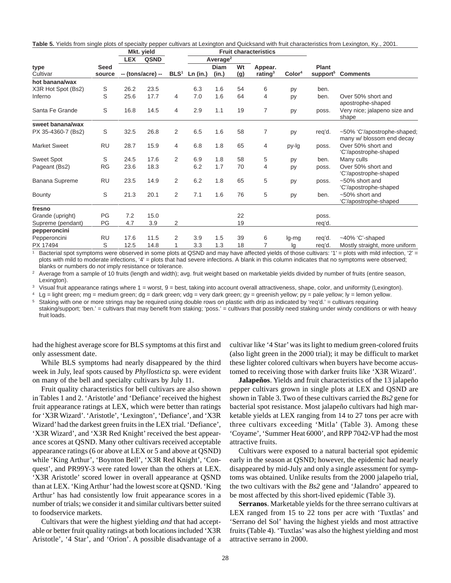|  |  |  |  | Table 5. Yields from single plots of specialty pepper cultivars at Lexington and Quicksand with fruit characteristics from Lexington, Ky., 2001. |  |
|--|--|--|--|--------------------------------------------------------------------------------------------------------------------------------------------------|--|
|  |  |  |  |                                                                                                                                                  |  |

| Average <sup>2</sup><br><b>QSND</b><br><b>LEX</b><br><b>Diam</b><br>Wt<br>Plant<br>Seed<br>Appear.<br>BLS <sup>1</sup><br>Color <sup>4</sup><br>support <sup>5</sup><br>rating $3$<br>Cultivar<br>-- (tons/acre) --<br>(g)<br>Ln (in.)<br>(in.)<br><b>Comments</b><br>source<br>hot banana/wax<br>S<br>26.2<br>6.3<br>23.5<br>1.6<br>54<br>6<br>ben.<br>py<br>S<br>17.7<br>7.0<br>25.6<br>1.6<br>Inferno<br>64<br>Over 50% short and<br>4<br>4<br>ben.<br>py<br>apostrophe-shaped<br>S<br>16.8<br>14.5<br>2.9<br>19<br>7<br>Santa Fe Grande<br>4<br>1.1<br>Very nice; jalapeno size and<br>poss.<br>py<br>shape<br>sweet banana/wax<br>S<br>26.8<br>6.5<br>1.6<br>7<br>PX 35-4360-7 (Bs2)<br>32.5<br>2<br>58<br>req'd.<br>py<br>many w/ blossom end decay<br><b>RU</b><br>28.7<br>15.9<br><b>Market Sweet</b><br>6.8<br>1.8<br>65<br>Over 50% short and<br>4<br>4<br>py-lg<br>poss.<br>'C'/apostrophe-shaped<br>S<br>17.6<br>2<br>6.9<br>1.8<br><b>Sweet Spot</b><br>24.5<br>58<br>5<br>Many culls<br>ben.<br>py<br><b>RG</b><br>6.2<br>1.7<br>70<br>Over 50% short and<br>Pageant (Bs2)<br>23.6<br>18.3<br>4<br>poss.<br>py<br>'C'/apostrophe-shaped<br>6.2<br>1.8<br><b>RU</b><br>23.5<br>14.9<br>2<br>65<br>5<br>Banana Supreme<br>$~50\%$ short and<br>py<br>poss.<br>'C'/apostrophe-shaped<br>S<br>21.3<br>2<br>7.1<br>1.6<br>76<br>5<br>20.1<br>$~50\%$ short and<br>ben.<br>py<br>'C'/apostrophe-shaped<br>fresno<br>PG<br>7.2<br>15.0<br>22<br>Grande (upright)<br>poss.<br>PG<br>3.9<br>2<br>19<br>Supreme (pendant)<br>4.7<br>req'd. |      | Mkt. yield |  |  |  | <b>Fruit characteristics</b> |  |                             |  |
|------------------------------------------------------------------------------------------------------------------------------------------------------------------------------------------------------------------------------------------------------------------------------------------------------------------------------------------------------------------------------------------------------------------------------------------------------------------------------------------------------------------------------------------------------------------------------------------------------------------------------------------------------------------------------------------------------------------------------------------------------------------------------------------------------------------------------------------------------------------------------------------------------------------------------------------------------------------------------------------------------------------------------------------------------------------------------------------------------------------------------------------------------------------------------------------------------------------------------------------------------------------------------------------------------------------------------------------------------------------------------------------------------------------------------------------------------------------------------------------------------------------------------------------------|------|------------|--|--|--|------------------------------|--|-----------------------------|--|
|                                                                                                                                                                                                                                                                                                                                                                                                                                                                                                                                                                                                                                                                                                                                                                                                                                                                                                                                                                                                                                                                                                                                                                                                                                                                                                                                                                                                                                                                                                                                                |      |            |  |  |  |                              |  |                             |  |
| X3R Hot Spot (Bs2)<br>Bounty                                                                                                                                                                                                                                                                                                                                                                                                                                                                                                                                                                                                                                                                                                                                                                                                                                                                                                                                                                                                                                                                                                                                                                                                                                                                                                                                                                                                                                                                                                                   | type |            |  |  |  |                              |  |                             |  |
|                                                                                                                                                                                                                                                                                                                                                                                                                                                                                                                                                                                                                                                                                                                                                                                                                                                                                                                                                                                                                                                                                                                                                                                                                                                                                                                                                                                                                                                                                                                                                |      |            |  |  |  |                              |  |                             |  |
|                                                                                                                                                                                                                                                                                                                                                                                                                                                                                                                                                                                                                                                                                                                                                                                                                                                                                                                                                                                                                                                                                                                                                                                                                                                                                                                                                                                                                                                                                                                                                |      |            |  |  |  |                              |  |                             |  |
|                                                                                                                                                                                                                                                                                                                                                                                                                                                                                                                                                                                                                                                                                                                                                                                                                                                                                                                                                                                                                                                                                                                                                                                                                                                                                                                                                                                                                                                                                                                                                |      |            |  |  |  |                              |  |                             |  |
|                                                                                                                                                                                                                                                                                                                                                                                                                                                                                                                                                                                                                                                                                                                                                                                                                                                                                                                                                                                                                                                                                                                                                                                                                                                                                                                                                                                                                                                                                                                                                |      |            |  |  |  |                              |  |                             |  |
|                                                                                                                                                                                                                                                                                                                                                                                                                                                                                                                                                                                                                                                                                                                                                                                                                                                                                                                                                                                                                                                                                                                                                                                                                                                                                                                                                                                                                                                                                                                                                |      |            |  |  |  |                              |  |                             |  |
|                                                                                                                                                                                                                                                                                                                                                                                                                                                                                                                                                                                                                                                                                                                                                                                                                                                                                                                                                                                                                                                                                                                                                                                                                                                                                                                                                                                                                                                                                                                                                |      |            |  |  |  |                              |  | ~50% 'C'/apostrophe-shaped; |  |
|                                                                                                                                                                                                                                                                                                                                                                                                                                                                                                                                                                                                                                                                                                                                                                                                                                                                                                                                                                                                                                                                                                                                                                                                                                                                                                                                                                                                                                                                                                                                                |      |            |  |  |  |                              |  |                             |  |
|                                                                                                                                                                                                                                                                                                                                                                                                                                                                                                                                                                                                                                                                                                                                                                                                                                                                                                                                                                                                                                                                                                                                                                                                                                                                                                                                                                                                                                                                                                                                                |      |            |  |  |  |                              |  |                             |  |
|                                                                                                                                                                                                                                                                                                                                                                                                                                                                                                                                                                                                                                                                                                                                                                                                                                                                                                                                                                                                                                                                                                                                                                                                                                                                                                                                                                                                                                                                                                                                                |      |            |  |  |  |                              |  |                             |  |
|                                                                                                                                                                                                                                                                                                                                                                                                                                                                                                                                                                                                                                                                                                                                                                                                                                                                                                                                                                                                                                                                                                                                                                                                                                                                                                                                                                                                                                                                                                                                                |      |            |  |  |  |                              |  |                             |  |
|                                                                                                                                                                                                                                                                                                                                                                                                                                                                                                                                                                                                                                                                                                                                                                                                                                                                                                                                                                                                                                                                                                                                                                                                                                                                                                                                                                                                                                                                                                                                                |      |            |  |  |  |                              |  |                             |  |
|                                                                                                                                                                                                                                                                                                                                                                                                                                                                                                                                                                                                                                                                                                                                                                                                                                                                                                                                                                                                                                                                                                                                                                                                                                                                                                                                                                                                                                                                                                                                                |      |            |  |  |  |                              |  |                             |  |
|                                                                                                                                                                                                                                                                                                                                                                                                                                                                                                                                                                                                                                                                                                                                                                                                                                                                                                                                                                                                                                                                                                                                                                                                                                                                                                                                                                                                                                                                                                                                                |      |            |  |  |  |                              |  |                             |  |
|                                                                                                                                                                                                                                                                                                                                                                                                                                                                                                                                                                                                                                                                                                                                                                                                                                                                                                                                                                                                                                                                                                                                                                                                                                                                                                                                                                                                                                                                                                                                                |      |            |  |  |  |                              |  |                             |  |
| pepperoncini                                                                                                                                                                                                                                                                                                                                                                                                                                                                                                                                                                                                                                                                                                                                                                                                                                                                                                                                                                                                                                                                                                                                                                                                                                                                                                                                                                                                                                                                                                                                   |      |            |  |  |  |                              |  |                             |  |
| <b>RU</b><br>17.6<br>Pepperoncini<br>11.5<br>3.9<br>1.5<br>39<br>$~10\%$ 'C'-shaped<br>2<br>req'd.<br>6<br>lg-mg                                                                                                                                                                                                                                                                                                                                                                                                                                                                                                                                                                                                                                                                                                                                                                                                                                                                                                                                                                                                                                                                                                                                                                                                                                                                                                                                                                                                                               |      |            |  |  |  |                              |  |                             |  |
| S<br>3.3<br>1.3<br>PX 17494<br>12.5<br>14.8<br>18<br>Mostly straight, more uniform<br>req'd.<br>lg                                                                                                                                                                                                                                                                                                                                                                                                                                                                                                                                                                                                                                                                                                                                                                                                                                                                                                                                                                                                                                                                                                                                                                                                                                                                                                                                                                                                                                             |      |            |  |  |  |                              |  |                             |  |

Bacterial spot symptoms were observed in some plots at QSND and may have affected yields of those cultivars: '1' = plots with mild infection, '2' = plots with mild to moderate infections, '4' = plots that had severe infections. A blank in this column indicates that no symptoms were observed; blanks or numbers do not imply resistance or tolerance.

<sup>2</sup> Average from a sample of 10 fruits (length and width); avg. fruit weight based on marketable yields divided by number of fruits (entire season, Lexington).

<sup>3</sup> Visual fruit appearance ratings where 1 = worst, 9 = best, taking into account overall attractiveness, shape, color, and uniformity (Lexington).

 $4 \text{ Lg}$  = light green; mg = medium green; dg = dark green; vdg = very dark green; gy = greenish yellow; py = pale yellow; ly = lemon yellow.

<sup>5</sup> Staking with one or more strings may be required using double rows on plastic with drip as indicated by 'req'd.' = cultivars requiring

staking/support; 'ben.' = cultivars that may benefit from staking; 'poss.' = cultivars that possibly need staking under windy conditions or with heavy fruit loads.

had the highest average score for BLS symptoms at this first and only assessment date.

While BLS symptoms had nearly disappeared by the third week in July, leaf spots caused by *Phyllosticta* sp. were evident on many of the bell and specialty cultivars by July 11.

Fruit quality characteristics for bell cultivars are also shown in Tables 1 and 2. 'Aristotle' and 'Defiance' received the highest fruit appearance ratings at LEX, which were better than ratings for 'X3R Wizard'. 'Aristotle', 'Lexington', 'Defiance', and 'X3R Wizard' had the darkest green fruits in the LEX trial. 'Defiance', 'X3R Wizard', and 'X3R Red Knight' received the best appearance scores at QSND. Many other cultivars received acceptable appearance ratings (6 or above at LEX or 5 and above at QSND) while 'King Arthur', 'Boynton Bell', 'X3R Red Knight', 'Conquest', and PR99Y-3 were rated lower than the others at LEX. 'X3R Aristotle' scored lower in overall appearance at QSND than at LEX. 'King Arthur' had the lowest score at QSND. 'King Arthur' has had consistently low fruit appearance scores in a number of trials; we consider it and similar cultivars better suited to foodservice markets.

Cultivars that were the highest yielding *and* that had acceptable or better fruit quality ratings at both locations included 'X3R Aristotle', '4 Star', and 'Orion'. A possible disadvantage of a cultivar like '4 Star' was its light to medium green-colored fruits (also light green in the 2000 trial); it may be difficult to market these lighter colored cultivars when buyers have become accustomed to receiving those with darker fruits like 'X3R Wizard'.

**Jalapeños**. Yields and fruit characteristics of the 13 jalapeño pepper cultivars grown in single plots at LEX and QSND are shown in Table 3. Two of these cultivars carried the *Bs2* gene for bacterial spot resistance. Most jalapeño cultivars had high marketable yields at LEX ranging from 14 to 27 tons per acre with three cultivars exceeding 'Mitla' (Table 3). Among these 'Coyame', 'Summer Heat 6000', and RPP 7042-VP had the most attractive fruits.

Cultivars were exposed to a natural bacterial spot epidemic early in the season at QSND; however, the epidemic had nearly disappeared by mid-July and only a single assessment for symptoms was obtained. Unlike results from the 2000 jalapeño trial, the two cultivars with the *Bs2* gene and 'Jalandro' appeared to be most affected by this short-lived epidemic (Table 3).

**Serranos**. Marketable yields for the three serrano cultivars at LEX ranged from 15 to 22 tons per acre with 'Tuxtlas' and 'Serrano del Sol' having the highest yields and most attractive fruits (Table 4). 'Tuxtlas' was also the highest yielding and most attractive serrano in 2000.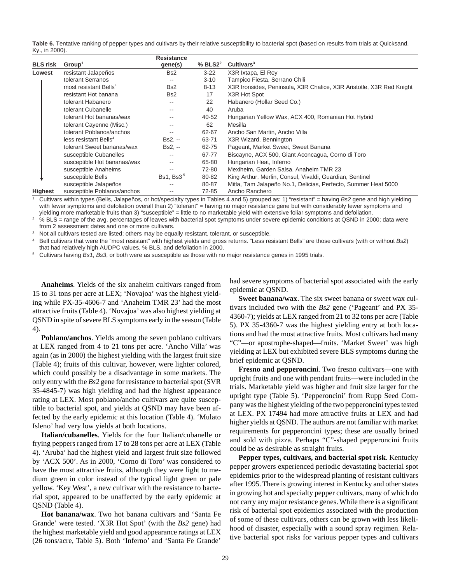**Table 6.** Tentative ranking of pepper types and cultivars by their relative susceptibility to bacterial spot (based on results from trials at Quicksand, Ky., in 2000).

|                 |                                   | <b>Resistance</b>     |                |                                                                      |
|-----------------|-----------------------------------|-----------------------|----------------|----------------------------------------------------------------------|
| <b>BLS</b> risk | Group <sup>1</sup>                | gene(s)               | $%$ BLS2 $2^2$ | Cultivars <sup>3</sup>                                               |
| Lowest          | resistant Jalapeños               | Bs2                   | $3 - 22$       | X3R Ixtapa, El Rey                                                   |
|                 | tolerant Serranos                 | $- -$                 | $3 - 10$       | Tampico Fiesta, Serrano Chili                                        |
|                 | most resistant Bells <sup>4</sup> | Bs <sub>2</sub>       | $8 - 13$       | X3R Ironsides, Peninsula, X3R Chalice, X3R Aristotle, X3R Red Knight |
|                 | resistant Hot banana              | Bs2                   | 17             | X3R Hot Spot                                                         |
|                 | tolerant Habanero                 | $- -$                 | 22             | Habanero (Hollar Seed Co.)                                           |
|                 | tolerant Cubanelle                | $- -$                 | 40             | Aruba                                                                |
|                 | tolerant Hot bananas/wax          | $- -$                 | 40-52          | Hungarian Yellow Wax, ACX 400, Romanian Hot Hybrid                   |
|                 | tolerant Cayenne (Misc.)          | $- -$                 | 62             | Mesilla                                                              |
|                 | tolerant Poblanos/anchos          | $- -$                 | 62-67          | Ancho San Martin, Ancho Villa                                        |
|                 | less resistant Bells <sup>4</sup> | $Bs2. -$              | 63-71          | X3R Wizard, Bennington                                               |
|                 | tolerant Sweet bananas/wax        | $Bs2. -$              | 62-75          | Pageant, Market Sweet, Sweet Banana                                  |
|                 | susceptible Cubanelles            | --                    | 67-77          | Biscayne, ACX 500, Giant Aconcagua, Corno di Toro                    |
|                 | susceptible Hot bananas/wax       | $- -$                 | 65-80          | Hungarian Heat, Inferno                                              |
|                 | susceptible Anaheims              |                       | 72-80          | Mexiheim, Garden Salsa, Anaheim TMR 23                               |
|                 | susceptible Bells                 | Bs1, Bs3 <sup>5</sup> | 80-82          | King Arthur, Merlin, Consul, Vivaldi, Guardian, Sentinel             |
|                 | susceptible Jalapeños             |                       | 80-87          | Mitla, Tam Jalapeño No.1, Delicias, Perfecto, Summer Heat 5000       |
| <b>Highest</b>  | susceptible Poblanos/anchos       |                       | 72-85          | Ancho Ranchero                                                       |

<sup>1</sup> Cultivars within types (Bells, Jalapeños, or hot/specialty types in Tables 4 and 5) grouped as: 1) "resistant" = having Bs2 gene and high yielding with fewer symptoms and defoliation overall than 2) "tolerant" = having no major resistance gene but with considerably fewer symptoms and yielding more marketable fruits than 3) "susceptible" = little to no marketable yield with extensive foliar symptoms and defoliation.

<sup>2</sup> % BLS = range of the avg. percentages of leaves with bacterial spot symptoms under severe epidemic conditions at QSND in 2000; data were from 2 assessment dates and one or more cultivars.

Not all cultivars tested are listed; others may be equally resistant, tolerant, or susceptible.

Bell cultivars that were the "most resistant" with highest yields and gross returns. "Less resistant Bells" are those cultivars (with or without Bs2) that had relatively high AUDPC values, % BLS, and defoliation in 2000.

Cultivars having Bs1, Bs3, or both were as susceptible as those with no major resistance genes in 1995 trials.

**Anaheims**. Yields of the six anaheim cultivars ranged from 15 to 31 tons per acre at LEX; 'Novajoa' was the highest yielding while PX-35-4606-7 and 'Anaheim TMR 23' had the most attractive fruits (Table 4). 'Novajoa' was also highest yielding at QSND in spite of severe BLS symptoms early in the season (Table 4).

**Poblano/anchos**. Yields among the seven poblano cultivars at LEX ranged from 4 to 21 tons per acre. 'Ancho Villa' was again (as in 2000) the highest yielding with the largest fruit size (Table 4); fruits of this cultivar, however, were lighter colored, which could possibly be a disadvantage in some markets. The only entry with the *Bs2* gene for resistance to bacterial spot (SVR 35-4845-7) was high yielding and had the highest appearance rating at LEX. Most poblano/ancho cultivars are quite susceptible to bacterial spot, and yields at QSND may have been affected by the early epidemic at this location (Table 4). 'Mulato Isleno' had very low yields at both locations.

**Italian/cubanelles**. Yields for the four Italian/cubanelle or frying peppers ranged from 17 to 28 tons per acre at LEX (Table 4). 'Aruba' had the highest yield and largest fruit size followed by 'ACX 500'. As in 2000, 'Corno di Toro' was considered to have the most attractive fruits, although they were light to medium green in color instead of the typical light green or pale yellow. 'Key West', a new cultivar with the resistance to bacterial spot, appeared to be unaffected by the early epidemic at QSND (Table 4).

**Hot banana/wax**. Two hot banana cultivars and 'Santa Fe Grande' were tested. 'X3R Hot Spot' (with the *Bs2* gene) had the highest marketable yield and good appearance ratings at LEX (26 tons/acre, Table 5). Both 'Inferno' and 'Santa Fe Grande'

had severe symptoms of bacterial spot associated with the early epidemic at QSND.

**Sweet banana/wax**. The six sweet banana or sweet wax cultivars included two with the *Bs2* gene ('Pageant' and PX 35- 4360-7); yields at LEX ranged from 21 to 32 tons per acre (Table 5). PX 35-4360-7 was the highest yielding entry at both locations and had the most attractive fruits. Most cultivars had many "C"—or apostrophe-shaped—fruits. 'Market Sweet' was high yielding at LEX but exhibited severe BLS symptoms during the brief epidemic at QSND.

**Fresno and pepperoncini**. Two fresno cultivars—one with upright fruits and one with pendant fruits—were included in the trials. Marketable yield was higher and fruit size larger for the upright type (Table 5). 'Pepperoncini' from Rupp Seed Company was the highest yielding of the two pepperoncini types tested at LEX. PX 17494 had more attractive fruits at LEX and had higher yields at QSND. The authors are not familiar with market requirements for pepperoncini types; these are usually brined and sold with pizza. Perhaps "C"-shaped pepperoncini fruits could be as desirable as straight fruits.

**Pepper types, cultivars, and bacterial spot risk**. Kentucky pepper growers experienced periodic devastating bacterial spot epidemics prior to the widespread planting of resistant cultivars after 1995. There is growing interest in Kentucky and other states in growing hot and specialty pepper cultivars, many of which do not carry any major resistance genes. While there is a significant risk of bacterial spot epidemics associated with the production of some of these cultivars, others can be grown with less likelihood of disaster, especially with a sound spray regimen. Relative bacterial spot risks for various pepper types and cultivars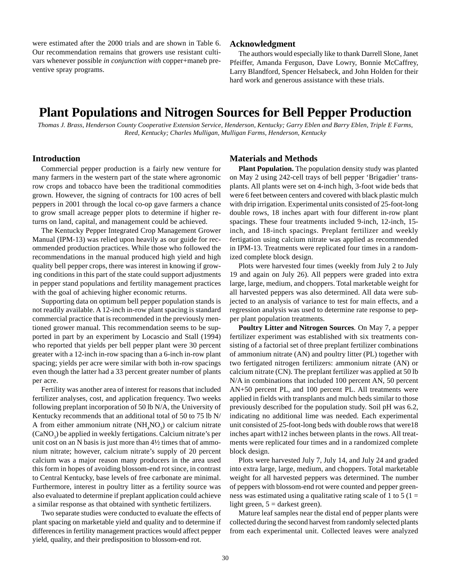<span id="page-28-0"></span>were estimated after the 2000 trials and are shown in Table 6. Our recommendation remains that growers use resistant cultivars whenever possible *in conjunction with* copper+maneb preventive spray programs.

#### **Acknowledgment**

The authors would especially like to thank Darrell Slone, Janet Pfeiffer, Amanda Ferguson, Dave Lowry, Bonnie McCaffrey, Larry Blandford, Spencer Helsabeck, and John Holden for their hard work and generous assistance with these trials.

## **Plant Populations and Nitrogen Sources for Bell Pepper Production**

*Thomas J. Brass, Henderson County Cooperative Extension Service, Henderson, Kentucky; Garry Eblen and Barry Eblen, Triple E Farms, Reed, Kentucky; Charles Mulligan, Mulligan Farms, Henderson, Kentucky*

### **Introduction**

Commercial pepper production is a fairly new venture for many farmers in the western part of the state where agronomic row crops and tobacco have been the traditional commodities grown. However, the signing of contracts for 100 acres of bell peppers in 2001 through the local co-op gave farmers a chance to grow small acreage pepper plots to determine if higher returns on land, capital, and management could be achieved.

The Kentucky Pepper Integrated Crop Management Grower Manual (IPM-13) was relied upon heavily as our guide for recommended production practices. While those who followed the recommendations in the manual produced high yield and high quality bell pepper crops, there was interest in knowing if growing conditions in this part of the state could support adjustments in pepper stand populations and fertility management practices with the goal of achieving higher economic returns.

Supporting data on optimum bell pepper population stands is not readily available. A 12-inch in-row plant spacing is standard commercial practice that is recommended in the previously mentioned grower manual. This recommendation seems to be supported in part by an experiment by Locascio and Stall (1994) who reported that yields per bell pepper plant were 30 percent greater with a 12-inch in-row spacing than a 6-inch in-row plant spacing; yields per acre were similar with both in-row spacings even though the latter had a 33 percent greater number of plants per acre.

Fertility was another area of interest for reasons that included fertilizer analyses, cost, and application frequency. Two weeks following preplant incorporation of 50 lb N/A, the University of Kentucky recommends that an additional total of 50 to 75 lb N/ A from either ammonium nitrate  $(NH<sub>4</sub>NO<sub>3</sub>)$  or calcium nitrate  $(CaNO<sub>3</sub>)$  be applied in weekly fertigations. Calcium nitrate's per unit cost on an N basis is just more than 4½ times that of ammonium nitrate; however, calcium nitrate's supply of 20 percent calcium was a major reason many producers in the area used this form in hopes of avoiding blossom-end rot since, in contrast to Central Kentucky, base levels of free carbonate are minimal. Furthermore, interest in poultry litter as a fertility source was also evaluated to determine if preplant application could achieve a similar response as that obtained with synthetic fertilizers.

Two separate studies were conducted to evaluate the effects of plant spacing on marketable yield and quality and to determine if differences in fertility management practices would affect pepper yield, quality, and their predisposition to blossom-end rot.

#### **Materials and Methods**

**Plant Population.** The population density study was planted on May 2 using 242-cell trays of bell pepper 'Brigadier' transplants. All plants were set on 4-inch high, 3-foot wide beds that were 6 feet between centers and covered with black plastic mulch with drip irrigation. Experimental units consisted of 25-foot-long double rows, 18 inches apart with four different in-row plant spacings. These four treatments included 9-inch, 12-inch, 15 inch, and 18-inch spacings. Preplant fertilizer and weekly fertigation using calcium nitrate was applied as recommended in IPM-13. Treatments were replicated four times in a randomized complete block design.

Plots were harvested four times (weekly from July 2 to July 19 and again on July 26). All peppers were graded into extra large, large, medium, and choppers. Total marketable weight for all harvested peppers was also determined. All data were subjected to an analysis of variance to test for main effects, and a regression analysis was used to determine rate response to pepper plant population treatments.

**Poultry Litter and Nitrogen Sources***.* On May 7, a pepper fertilizer experiment was established with six treatments consisting of a factorial set of three preplant fertilizer combinations of ammonium nitrate (AN) and poultry litter (PL) together with two fertigated nitrogen fertilizers: ammonium nitrate (AN) or calcium nitrate (CN). The preplant fertilizer was applied at 50 lb N/A in combinations that included 100 percent AN, 50 percent AN+50 percent PL, and 100 percent PL. All treatments were applied in fields with transplants and mulch beds similar to those previously described for the population study. Soil pH was 6.2, indicating no additional lime was needed. Each experimental unit consisted of 25-foot-long beds with double rows that were18 inches apart with12 inches between plants in the rows. All treatments were replicated four times and in a randomized complete block design.

Plots were harvested July 7, July 14, and July 24 and graded into extra large, large, medium, and choppers. Total marketable weight for all harvested peppers was determined. The number of peppers with blossom-end rot were counted and pepper greenness was estimated using a qualitative rating scale of 1 to 5 ( $1 =$ light green,  $5 =$  darkest green).

Mature leaf samples near the distal end of pepper plants were collected during the second harvest from randomly selected plants from each experimental unit. Collected leaves were analyzed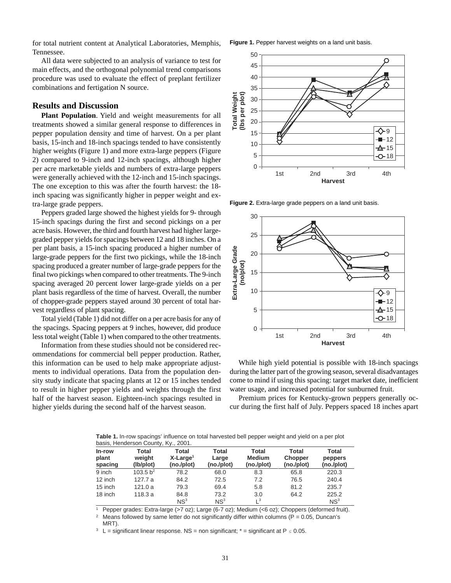for total nutrient content at Analytical Laboratories, Memphis, Tennessee.

All data were subjected to an analysis of variance to test for main effects, and the orthogonal polynomial trend comparisons procedure was used to evaluate the effect of preplant fertilizer combinations and fertigation N source.

### **Results and Discussion**

**Plant Population**. Yield and weight measurements for all treatments showed a similar general response to differences in pepper population density and time of harvest. On a per plant basis, 15-inch and 18-inch spacings tended to have consistently higher weights (Figure 1) and more extra-large peppers (Figure 2) compared to 9-inch and 12-inch spacings, although higher per acre marketable yields and numbers of extra-large peppers were generally achieved with the 12-inch and 15-inch spacings. The one exception to this was after the fourth harvest: the 18 inch spacing was significantly higher in pepper weight and extra-large grade peppers.

Peppers graded large showed the highest yields for 9- through 15-inch spacings during the first and second pickings on a per acre basis. However, the third and fourth harvest had higher largegraded pepper yields for spacings between 12 and 18 inches. On a per plant basis, a 15-inch spacing produced a higher number of large-grade peppers for the first two pickings, while the 18-inch spacing produced a greater number of large-grade peppers for the final two pickings when compared to other treatments. The 9-inch spacing averaged 20 percent lower large-grade yields on a per plant basis regardless of the time of harvest. Overall, the number of chopper-grade peppers stayed around 30 percent of total harvest regardless of plant spacing.

Total yield (Table 1) did not differ on a per acre basis for any of the spacings. Spacing peppers at 9 inches, however, did produce less total weight (Table 1) when compared to the other treatments.

Information from these studies should not be considered recommendations for commercial bell pepper production. Rather, this information can be used to help make appropriate adjustments to individual operations. Data from the population density study indicate that spacing plants at 12 or 15 inches tended to result in higher pepper yields and weights through the first half of the harvest season. Eighteen-inch spacings resulted in higher yields during the second half of the harvest season.

**Figure 1.** Pepper harvest weights on a land unit basis.



**Figure 2.** Extra-large grade peppers on a land unit basis.



While high yield potential is possible with 18-inch spacings during the latter part of the growing season, several disadvantages come to mind if using this spacing: target market date, inefficient water usage, and increased potential for sunburned fruit.

Premium prices for Kentucky-grown peppers generally occur during the first half of July. Peppers spaced 18 inches apart

**Table 1.** In-row spacings' influence on total harvested bell pepper weight and yield on a per plot basis, Henderson County, Ky., 2001.

| In-row<br>plant<br>spacing | Total<br>weight<br>(lb/plot) | Total<br>$X$ -Large <sup>1</sup><br>(no./plot) | Total<br>Large<br>(no./plot) | Total<br><b>Medium</b><br>(no./plot) | Total<br>Chopper<br>(no./plot) | <b>Total</b><br>peppers<br>(no./plot) |
|----------------------------|------------------------------|------------------------------------------------|------------------------------|--------------------------------------|--------------------------------|---------------------------------------|
| 9 inch                     | 103.5 $b^2$                  | 78.2                                           | 68.0                         | 8.3                                  | 65.8                           | 220.3                                 |
| 12 inch                    | 127.7 a                      | 84.2                                           | 72.5                         | 7.2                                  | 76.5                           | 240.4                                 |
| 15 inch                    | 121.0a                       | 79.3                                           | 69.4                         | 5.8                                  | 81.2                           | 235.7                                 |
| 18 inch                    | 118.3a                       | 84.8                                           | 73.2                         | 3.0                                  | 64.2                           | 225.2                                 |
|                            |                              | NS <sup>3</sup>                                | NS <sup>3</sup>              | $L^3$                                |                                | NS <sup>3</sup>                       |

<sup>1</sup> Pepper grades: Extra-large (>7 oz); Large (6-7 oz); Medium (<6 oz); Choppers (deformed fruit).

<sup>2</sup> Means followed by same letter do not significantly differ within columns ( $P = 0.05$ , Duncan's MRT).

<sup>3</sup> L = significant linear response. NS = non significant;  $*$  = significant at P  $\leq$  0.05.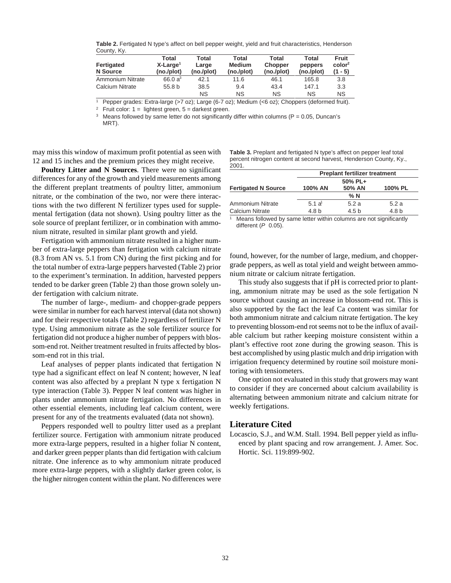**Table 2.** Fertigated N type's affect on bell pepper weight, yield and fruit characteristics, Henderson County, Ky.

| Fertigated<br>N Source  | Total<br>$X$ -Large <sup>1</sup><br>(no./plot) | Total<br>Large<br>(no./plot) | Total<br><b>Medium</b><br>(no./plot) | Total<br>Chopper<br>(no./plot) | Total<br>peppers<br>(no./plot) | <b>Fruit</b><br>color <sup>2</sup><br>(1 - 5) |
|-------------------------|------------------------------------------------|------------------------------|--------------------------------------|--------------------------------|--------------------------------|-----------------------------------------------|
| <b>Ammonium Nitrate</b> | 66.0 $a^3$                                     | 42.1                         | 11.6                                 | 46.1                           | 165.8                          | 3.8                                           |
| <b>Calcium Nitrate</b>  | 55.8 <sub>b</sub>                              | 38.5                         | 9.4                                  | 43.4                           | 147.1                          | 3.3                                           |
|                         |                                                | <b>NS</b>                    | ΝS                                   | <b>NS</b>                      | <b>NS</b>                      | <b>NS</b>                                     |

<sup>1</sup> Pepper grades: Extra-large (>7 oz); Large (6-7 oz); Medium (<6 oz); Choppers (deformed fruit).

<sup>2</sup> Fruit color:  $1 =$  lightest green,  $5 =$  darkest green.<br>
<sup>3</sup> Means followed by same letter do not significantly

Means followed by same letter do not significantly differ within columns ( $P = 0.05$ , Duncan's MRT).

may miss this window of maximum profit potential as seen with 12 and 15 inches and the premium prices they might receive.

**Table 3.** Preplant and fertigated N type's affect on pepper leaf total percent nitrogen content at second harvest, Henderson County, Ky., .<br>2001

**Poultry Litter and N Sources***.* There were no significant differences for any of the growth and yield measurements among the different preplant treatments of poultry litter, ammonium nitrate, or the combination of the two, nor were there interactions with the two different N fertilizer types used for supplemental fertigation (data not shown). Using poultry litter as the sole source of preplant fertilizer, or in combination with ammonium nitrate, resulted in similar plant growth and yield.

Fertigation with ammonium nitrate resulted in a higher number of extra-large peppers than fertigation with calcium nitrate (8.3 from AN vs. 5.1 from CN) during the first picking and for the total number of extra-large peppers harvested (Table 2) prior to the experiment's termination. In addition, harvested peppers tended to be darker green (Table 2) than those grown solely under fertigation with calcium nitrate.

The number of large-, medium- and chopper-grade peppers were similar in number for each harvest interval (data not shown) and for their respective totals (Table 2) regardless of fertilizer N type. Using ammonium nitrate as the sole fertilizer source for fertigation did not produce a higher number of peppers with blossom-end rot. Neither treatment resulted in fruits affected by blossom-end rot in this trial.

Leaf analyses of pepper plants indicated that fertigation N type had a significant effect on leaf N content; however, N leaf content was also affected by a preplant N type x fertigation N type interaction (Table 3). Pepper N leaf content was higher in plants under ammonium nitrate fertigation. No differences in other essential elements, including leaf calcium content, were present for any of the treatments evaluated (data not shown).

Peppers responded well to poultry litter used as a preplant fertilizer source. Fertigation with ammonium nitrate produced more extra-large peppers, resulted in a higher foliar N content, and darker green pepper plants than did fertigation with calcium nitrate. One inference as to why ammonium nitrate produced more extra-large peppers, with a slightly darker green color, is the higher nitrogen content within the plant. No differences were

| $\sim$ .                   |                                      |        |         |  |  |  |  |  |
|----------------------------|--------------------------------------|--------|---------|--|--|--|--|--|
|                            | <b>Preplant fertilizer treatment</b> |        |         |  |  |  |  |  |
|                            | 50% PL+                              |        |         |  |  |  |  |  |
| <b>Fertigated N Source</b> | 100% AN                              | 50% AN | 100% PL |  |  |  |  |  |
|                            |                                      | %N     |         |  |  |  |  |  |
| <b>Ammonium Nitrate</b>    | 5.1 a <sup>1</sup>                   | 5.2a   | 5.2a    |  |  |  |  |  |
| <b>Calcium Nitrate</b>     | 4.8 b                                | 4.5 b  | 4.8 b   |  |  |  |  |  |
|                            |                                      |        |         |  |  |  |  |  |

<sup>1</sup> Means followed by same letter within columns are not significantly different (P 0.05).

found, however, for the number of large, medium, and choppergrade peppers, as well as total yield and weight between ammonium nitrate or calcium nitrate fertigation.

This study also suggests that if pH is corrected prior to planting, ammonium nitrate may be used as the sole fertigation N source without causing an increase in blossom-end rot. This is also supported by the fact the leaf Ca content was similar for both ammonium nitrate and calcium nitrate fertigation. The key to preventing blossom-end rot seems not to be the influx of available calcium but rather keeping moisture consistent within a plant's effective root zone during the growing season. This is best accomplished by using plastic mulch and drip irrigation with irrigation frequency determined by routine soil moisture monitoring with tensiometers.

One option not evaluated in this study that growers may want to consider if they are concerned about calcium availability is alternating between ammonium nitrate and calcium nitrate for weekly fertigations.

### **Literature Cited**

Locascio, S.J., and W.M. Stall. 1994. Bell pepper yield as influenced by plant spacing and row arrangement. J. Amer. Soc. Hortic. Sci. 119:899-902.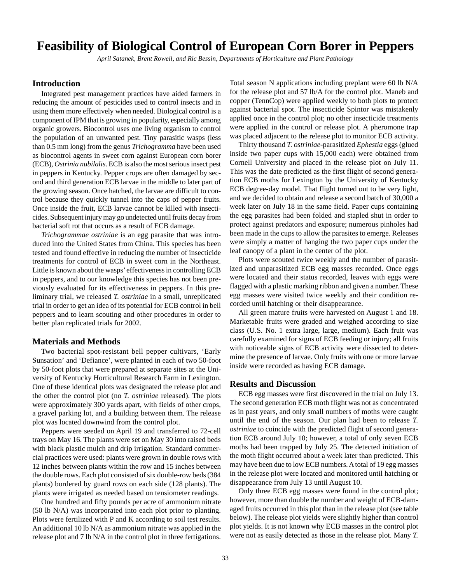## <span id="page-31-0"></span>**Feasibility of Biological Control of European Corn Borer in Peppers**

*April Satanek, Brent Rowell, and Ric Bessin, Departments of Horticulture and Plant Pathology*

### **Introduction**

Integrated pest management practices have aided farmers in reducing the amount of pesticides used to control insects and in using them more effectively when needed. Biological control is a component of IPM that is growing in popularity, especially among organic growers. Biocontrol uses one living organism to control the population of an unwanted pest. Tiny parasitic wasps (less than 0.5 mm long) from the genus *Trichogramma* have been used as biocontrol agents in sweet corn against European corn borer (ECB), *Ostrinia nubilalis*. ECB is also the most serious insect pest in peppers in Kentucky. Pepper crops are often damaged by second and third generation ECB larvae in the middle to later part of the growing season. Once hatched, the larvae are difficult to control because they quickly tunnel into the caps of pepper fruits. Once inside the fruit, ECB larvae cannot be killed with insecticides. Subsequent injury may go undetected until fruits decay from bacterial soft rot that occurs as a result of ECB damage.

*Trichogrammae ostriniae* is an egg parasite that was introduced into the United States from China. This species has been tested and found effective in reducing the number of insecticide treatments for control of ECB in sweet corn in the Northeast. Little is known about the wasps' effectiveness in controlling ECB in peppers, and to our knowledge this species has not been previously evaluated for its effectiveness in peppers. In this preliminary trial, we released *T. ostriniae* in a small, unreplicated trial in order to get an idea of its potential for ECB control in bell peppers and to learn scouting and other procedures in order to better plan replicated trials for 2002.

#### **Materials and Methods**

Two bacterial spot-resistant bell pepper cultivars, 'Early Sunsation' and 'Defiance', were planted in each of two 50-foot by 50-foot plots that were prepared at separate sites at the University of Kentucky Horticultural Research Farm in Lexington. One of these identical plots was designated the release plot and the other the control plot (no *T. ostriniae* released). The plots were approximately 300 yards apart, with fields of other crops, a gravel parking lot, and a building between them. The release plot was located downwind from the control plot.

Peppers were seeded on April 19 and transferred to 72-cell trays on May 16. The plants were set on May 30 into raised beds with black plastic mulch and drip irrigation. Standard commercial practices were used: plants were grown in double rows with 12 inches between plants within the row and 15 inches between the double rows. Each plot consisted of six double-row beds (384 plants) bordered by guard rows on each side (128 plants). The plants were irrigated as needed based on tensiometer readings.

One hundred and fifty pounds per acre of ammonium nitrate (50 lb N/A) was incorporated into each plot prior to planting. Plots were fertilized with P and K according to soil test results. An additional 10 lb N/A as ammonium nitrate was applied in the release plot and 7 lb N/A in the control plot in three fertigations. Total season N applications including preplant were 60 lb N/A for the release plot and 57 lb/A for the control plot. Maneb and copper (TennCop) were applied weekly to both plots to protect against bacterial spot. The insecticide Spintor was mistakenly applied once in the control plot; no other insecticide treatments were applied in the control or release plot. A pheromone trap was placed adjacent to the release plot to monitor ECB activity.

Thirty thousand *T. ostriniae-*parasitized *Ephestia* eggs(glued inside two paper cups with 15,000 each) were obtained from Cornell University and placed in the release plot on July 11. This was the date predicted as the first flight of second generation ECB moths for Lexington by the University of Kentucky ECB degree-day model. That flight turned out to be very light, and we decided to obtain and release a second batch of 30,000 a week later on July 18 in the same field. Paper cups containing the egg parasites had been folded and stapled shut in order to protect against predators and exposure; numerous pinholes had been made in the cups to allow the parasites to emerge. Releases were simply a matter of hanging the two paper cups under the leaf canopy of a plant in the center of the plot.

Plots were scouted twice weekly and the number of parasitized and unparasitized ECB egg masses recorded. Once eggs were located and their status recorded, leaves with eggs were flagged with a plastic marking ribbon and given a number. These egg masses were visited twice weekly and their condition recorded until hatching or their disappearance.

All green mature fruits were harvested on August 1 and 18. Marketable fruits were graded and weighed according to size class (U.S. No. 1 extra large, large, medium). Each fruit was carefully examined for signs of ECB feeding or injury; all fruits with noticeable signs of ECB activity were dissected to determine the presence of larvae. Only fruits with one or more larvae inside were recorded as having ECB damage.

#### **Results and Discussion**

ECB egg masses were first discovered in the trial on July 13. The second generation ECB moth flight was not as concentrated as in past years, and only small numbers of moths were caught until the end of the season. Our plan had been to release *T. ostriniae* to coincide with the predicted flight of second generation ECB around July 10; however, a total of only seven ECB moths had been trapped by July 25. The detected initiation of the moth flight occurred about a week later than predicted. This may have been due to low ECB numbers. A total of 19 egg masses in the release plot were located and monitored until hatching or disappearance from July 13 until August 10.

Only three ECB egg masses were found in the control plot; however, more than double the number and weight of ECB-damaged fruits occurred in this plot than in the release plot (see table below). The release plot yields were slightly higher than control plot yields. It is not known why ECB masses in the control plot were not as easily detected as those in the release plot. Many *T.*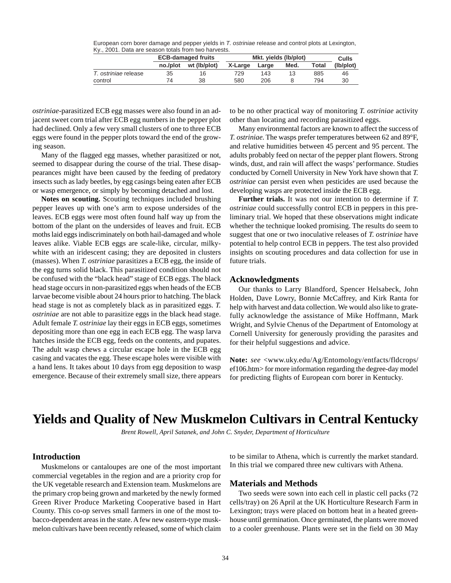<span id="page-32-0"></span>European corn borer damage and pepper yields in T. ostriniae release and control plots at Lexington, Ky., 2001. Data are season totals from two harvests.

|                      |          | <b>ECB-damaged fruits</b> | Mkt. yields (lb/plot) | Culls |      |       |           |
|----------------------|----------|---------------------------|-----------------------|-------|------|-------|-----------|
|                      | no./plot | wt (Ib/plot)              | X-Large               | Large | Med. | Total | (lb/plot) |
| T. ostriniae release | 35       | 16                        | 729                   | 143   |      | 885   | 46        |
| control              | 74       | 38                        | 580                   | 206   |      | 794   | 30        |

*ostriniae*-parasitized ECB egg masses were also found in an adjacent sweet corn trial after ECB egg numbers in the pepper plot had declined. Only a few very small clusters of one to three ECB eggs were found in the pepper plots toward the end of the growing season.

Many of the flagged egg masses, whether parasitized or not, seemed to disappear during the course of the trial. These disappearances might have been caused by the feeding of predatory insects such as lady beetles, by egg casings being eaten after ECB or wasp emergence, or simply by becoming detached and lost.

**Notes on scouting.** Scouting techniques included brushing pepper leaves up with one's arm to expose undersides of the leaves. ECB eggs were most often found half way up from the bottom of the plant on the undersides of leaves and fruit. ECB moths laid eggs indiscriminately on both hail-damaged and whole leaves alike. Viable ECB eggs are scale-like, circular, milkywhite with an iridescent casing; they are deposited in clusters (masses). When *T. ostriniae* parasitizes a ECB egg, the inside of the egg turns solid black. This parasitized condition should not be confused with the "black head" stage of ECB eggs. The black head stage occurs in non-parasitized eggs when heads of the ECB larvae become visible about 24 hours prior to hatching. The black head stage is not as completely black as in parasitized eggs. *T. ostriniae* are not able to parasitize eggs in the black head stage. Adult female *T. ostriniae* lay their eggs in ECB eggs, sometimes depositing more than one egg in each ECB egg. The wasp larva hatches inside the ECB egg, feeds on the contents, and pupates. The adult wasp chews a circular escape hole in the ECB egg casing and vacates the egg. These escape holes were visible with a hand lens. It takes about 10 days from egg deposition to wasp emergence. Because of their extremely small size, there appears

to be no other practical way of monitoring *T. ostriniae* activity other than locating and recording parasitized eggs.

Many environmental factors are known to affect the success of *T. ostriniae*. The wasps prefer temperatures between 62 and 89°F, and relative humidities between 45 percent and 95 percent. The adults probably feed on nectar of the pepper plant flowers. Strong winds, dust, and rain will affect the wasps' performance. Studies conducted by Cornell University in New York have shown that *T. ostriniae* can persist even when pesticides are used because the developing wasps are protected inside the ECB egg.

**Further trials.** It was not our intention to determine if *T. ostriniae* could successfully control ECB in peppers in this preliminary trial. We hoped that these observations might indicate whether the technique looked promising. The results do seem to suggest that one or two inoculative releases of *T. ostriniae* have potential to help control ECB in peppers. The test also provided insights on scouting procedures and data collection for use in future trials.

#### **Acknowledgments**

Our thanks to Larry Blandford, Spencer Helsabeck, John Holden, Dave Lowry, Bonnie McCaffrey, and Kirk Ranta for help with harvest and data collection. We would also like to gratefully acknowledge the assistance of Mike Hoffmann, Mark Wright, and Sylvie Chenus of the Department of Entomology at Cornell University for generously providing the parasites and for their helpful suggestions and advice.

**Note:** *see* <www.uky.edu/Ag/Entomology/entfacts/fldcrops/ ef106.htm> for more information regarding the degree-day model for predicting flights of European corn borer in Kentucky.

## **Yields and Quality of New Muskmelon Cultivars in Central Kentucky**

*Brent Rowell, April Satanek, and John C. Snyder, Department of Horticulture*

### **Introduction**

Muskmelons or cantaloupes are one of the most important commercial vegetables in the region and are a priority crop for the UK vegetable research and Extension team. Muskmelons are the primary crop being grown and marketed by the newly formed Green River Produce Marketing Cooperative based in Hart County. This co-op serves small farmers in one of the most tobacco-dependent areas in the state. A few new eastern-type muskmelon cultivars have been recently released, some of which claim

to be similar to Athena, which is currently the market standard. In this trial we compared three new cultivars with Athena.

#### **Materials and Methods**

Two seeds were sown into each cell in plastic cell packs (72 cells/tray) on 26 April at the UK Horticulture Research Farm in Lexington; trays were placed on bottom heat in a heated greenhouse until germination. Once germinated, the plants were moved to a cooler greenhouse. Plants were set in the field on 30 May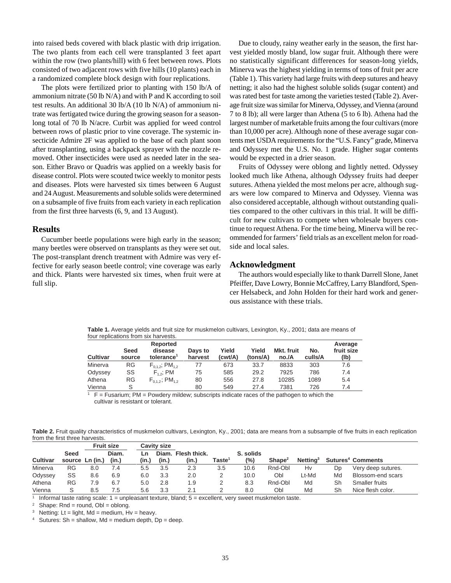into raised beds covered with black plastic with drip irrigation. The two plants from each cell were transplanted 3 feet apart within the row (two plants/hill) with 6 feet between rows. Plots consisted of two adjacent rows with five hills (10 plants) each in a randomized complete block design with four replications.

The plots were fertilized prior to planting with 150 lb/A of ammonium nitrate (50 lb N/A) and with P and K according to soil test results. An additional 30 lb/A (10 lb N/A) of ammonium nitrate was fertigated twice during the growing season for a seasonlong total of 70 lb N/acre. Curbit was applied for weed control between rows of plastic prior to vine coverage. The systemic insecticide Admire 2F was applied to the base of each plant soon after transplanting, using a backpack sprayer with the nozzle removed. Other insecticides were used as needed later in the season. Either Bravo or Quadris was applied on a weekly basis for disease control. Plots were scouted twice weekly to monitor pests and diseases. Plots were harvested six times between 6 August and 24 August. Measurements and soluble solids were determined on a subsample of five fruits from each variety in each replication from the first three harvests (6, 9, and 13 August).

#### **Results**

Cucumber beetle populations were high early in the season; many beetles were observed on transplants as they were set out. The post-transplant drench treatment with Admire was very effective for early season beetle control; vine coverage was early and thick. Plants were harvested six times, when fruit were at full slip.

Due to cloudy, rainy weather early in the season, the first harvest yielded mostly bland, low sugar fruit. Although there were no statistically significant differences for season-long yields, Minerva was the highest yielding in terms of tons of fruit per acre (Table 1). This variety had large fruits with deep sutures and heavy netting; it also had the highest soluble solids (sugar content) and was rated best for taste among the varieties tested (Table 2). Average fruit size was similar for Minerva, Odyssey, and Vienna (around 7 to 8 lb); all were larger than Athena (5 to 6 lb). Athena had the largest number of marketable fruits among the four cultivars (more than 10,000 per acre). Although none of these average sugar contents met USDA requirements for the "U.S. Fancy" grade, Minerva and Odyssey met the U.S. No. 1 grade. Higher sugar contents would be expected in a drier season.

Fruits of Odyssey were oblong and lightly netted. Odyssey looked much like Athena, although Odyssey fruits had deeper sutures. Athena yielded the most melons per acre, although sugars were low compared to Minerva and Odyssey. Vienna was also considered acceptable, although without outstanding qualities compared to the other cultivars in this trial. It will be difficult for new cultivars to compete when wholesale buyers continue to request Athena. For the time being, Minerva will be recommended for farmers' field trials as an excellent melon for roadside and local sales.

#### **Acknowledgment**

The authors would especially like to thank Darrell Slone, Janet Pfeiffer, Dave Lowry, Bonnie McCaffrey, Larry Blandford, Spencer Helsabeck, and John Holden for their hard work and generous assistance with these trials.

**Table 1.** Average yields and fruit size for muskmelon cultivars, Lexington, Ky., 2001; data are means of four replications from six harvests.

| <b>Cultivar</b> | Seed<br>source | Reported<br>disease<br>tolerance <sup>1</sup> | Days to<br>harvest | Yield<br>(cwt/A) | Yield<br>(tons/A) | Mkt. fruit<br>no./A | No.<br>culls/A | Average<br>fruit size<br>(lb) |
|-----------------|----------------|-----------------------------------------------|--------------------|------------------|-------------------|---------------------|----------------|-------------------------------|
| Minerva         | RG             | $F_{0.1,2}$ ; PM <sub>1.2</sub>               | 77                 | 673              | 33.7              | 8833                | 303            | 7.6                           |
| Odyssey         | SS             | $F_{12}$ ; PM                                 | 75                 | 585              | 29.2              | 7925                | 786            | 7.4                           |
| Athena          | RG             | $F_{0.1.2}$ ; PM <sub>1.2</sub>               | 80                 | 556              | 27.8              | 10285               | 1089           | 5.4                           |
| Vienna          | S              |                                               | 80                 | 549              | 27.4              | 7381                | 726            | 7.4                           |

 $F =$  Fusarium; PM = Powdery mildew; subscripts indicate races of the pathogen to which the cultivar is resistant or tolerant.

**Table 2.** Fruit quality characteristics of muskmelon cultivars, Lexington, Ky., 2001; data are means from a subsample of five fruits in each replication from the first three harvests.

|          |                 |     | <b>Fruit size</b> |       | Cavitv size |                    |                                                  |           |                    |                      |    |                                     |
|----------|-----------------|-----|-------------------|-------|-------------|--------------------|--------------------------------------------------|-----------|--------------------|----------------------|----|-------------------------------------|
|          | <b>Seed</b>     |     | Diam.             | Ln    |             | Diam. Flesh thick. |                                                  | S. solids |                    |                      |    |                                     |
| Cultivar | source Ln (in.) |     | (in.)             | (in.) | (in.)       | (in.)              | $\mathsf{Taste}^{\scriptscriptstyle \textsf{T}}$ | (%)       | Shape <sup>2</sup> | Netting <sup>3</sup> |    | <b>Sutures<sup>4</sup> Comments</b> |
| Minerva  | RG              | 8.0 | 7.4               | 5.5   | 3.5         | 2.3                | 3.5                                              | 10.6      | Rnd-Obl            | Hv                   | Dp | Very deep sutures.                  |
| Odyssey  | SS              | 8.6 | 6.9               | 6.0   | 3.3         | 2.0                |                                                  | 10.0      | Obl                | Lt-Md                | Md | Blossom-end scars                   |
| Athena   | <b>RG</b>       | 7.9 | 6.7               | 5.0   | 2.8         | 1.9                |                                                  | 8.3       | Rnd-Obl            | Md                   | Sh | Smaller fruits                      |
| Vienna   |                 | 8.5 | 7.5               | 5.6   | 3.3         |                    |                                                  | 8.0       | Obl                | Md                   | Sh | Nice flesh color.                   |

 $1$  Informal taste rating scale:  $1$  = unpleasant texture, bland;  $5$  = excellent, very sweet muskmelon taste.

 $Shape: Rnd = round, ObI = oblong.$ 

<sup>3</sup> Netting: Lt = light, Md = medium, Hv = heavy.

<sup>4</sup> Sutures: Sh = shallow, Md = medium depth,  $Dp =$  deep.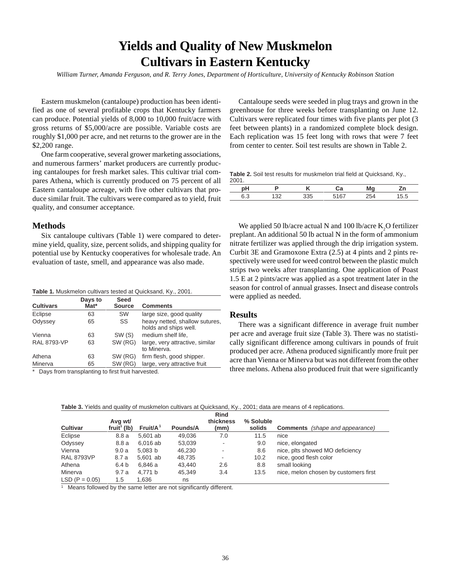## **Yields and Quality of New Muskmelon Cultivars in Eastern Kentucky**

<span id="page-34-0"></span>*William Turner, Amanda Ferguson, and R. Terry Jones, Department of Horticulture, University of Kentucky Robinson Station*

Eastern muskmelon (cantaloupe) production has been identified as one of several profitable crops that Kentucky farmers can produce. Potential yields of 8,000 to 10,000 fruit/acre with gross returns of \$5,000/acre are possible. Variable costs are roughly \$1,000 per acre, and net returns to the grower are in the \$2,200 range.

One farm cooperative, several grower marketing associations, and numerous farmers' market producers are currently producing cantaloupes for fresh market sales. This cultivar trial compares Athena, which is currently produced on 75 percent of all Eastern cantaloupe acreage, with five other cultivars that produce similar fruit. The cultivars were compared as to yield, fruit quality, and consumer acceptance.

#### **Methods**

Six cantaloupe cultivars (Table 1) were compared to determine yield, quality, size, percent solids, and shipping quality for potential use by Kentucky cooperatives for wholesale trade. An evaluation of taste, smell, and appearance was also made.

| Table 1. Muskmelon cultivars tested at Quicksand, Ky., 2001. |  |  |  |
|--------------------------------------------------------------|--|--|--|
|--------------------------------------------------------------|--|--|--|

| <b>Cultivars</b>   | Days to<br>Mat* | <b>Seed</b><br><b>Source</b> | <b>Comments</b>                                         |
|--------------------|-----------------|------------------------------|---------------------------------------------------------|
| Eclipse            | 63              | <b>SW</b>                    | large size, good quality                                |
| Odyssey            | 65              | SS                           | heavy netted, shallow sutures,<br>holds and ships well. |
| Vienna             | 63              | SW (S)                       | medium shelf life,                                      |
| <b>RAL 8793-VP</b> | 63              | SW (RG)                      | large, very attractive, similar<br>to Minerva.          |
| Athena             | 63              | SW (RG)                      | firm flesh, good shipper.                               |
| Minerva            | 65              | SW (RG)                      | large, very attractive fruit                            |
|                    |                 | .                            |                                                         |

Days from transplanting to first fruit harvested.

Cantaloupe seeds were seeded in plug trays and grown in the greenhouse for three weeks before transplanting on June 12. Cultivars were replicated four times with five plants per plot (3 feet between plants) in a randomized complete block design. Each replication was 15 feet long with rows that were 7 feet from center to center. Soil test results are shown in Table 2.

**Table 2.** Soil test results for muskmelon trial field at Quicksand, Ky.,

| рH  |    |     | Cа   | Mg  | Zn   |
|-----|----|-----|------|-----|------|
| 6.3 | ົດ | 335 | 5167 | 254 | .5.5 |

We applied 50 lb/acre actual N and 100 lb/acre  $\mathrm{K}_2\mathrm{O}$  fertilizer preplant. An additional 50 lb actual N in the form of ammonium nitrate fertilizer was applied through the drip irrigation system. Curbit 3E and Gramoxone Extra (2.5) at 4 pints and 2 pints respectively were used for weed control between the plastic mulch strips two weeks after transplanting. One application of Poast 1.5 E at 2 pints/acre was applied as a spot treatment later in the season for control of annual grasses. Insect and disease controls were applied as needed.

## **Results**

There was a significant difference in average fruit number per acre and average fruit size (Table 3). There was no statistically significant difference among cultivars in pounds of fruit produced per acre. Athena produced significantly more fruit per acre than Vienna or Minerva but was not different from the other three melons. Athena also produced fruit that were significantly

|                   | Avg wt/                 |                      |          | <b>Rind</b><br>thickness | % Soluble |                                        |
|-------------------|-------------------------|----------------------|----------|--------------------------|-----------|----------------------------------------|
| <b>Cultivar</b>   | fruit <sup>1</sup> (lb) | Fruit/A <sup>1</sup> | Pounds/A | (mm)                     | solids    | <b>Comments</b> (shape and appearance) |
| Eclipse           | 8.8a                    | 5.601 ab             | 49.036   | 7.0                      | 11.5      | nice                                   |
| Odyssey           | 8.8a                    | 6.016 ab             | 53,039   |                          | 9.0       | nice, elongated                        |
| Vienna            | 9.0a                    | 5.083 b              | 46,230   |                          | 8.6       | nice, plts showed MO deficiency        |
| <b>RAL 8793VP</b> | 8.7 a                   | 5.601 ab             | 48.735   | $\overline{\phantom{a}}$ | 10.2      | nice, good flesh color                 |
| Athena            | 6.4 b                   | 6.846 a              | 43.440   | 2.6                      | 8.8       | small looking                          |
| Minerva           | 9.7a                    | 4.771 b              | 45.349   | 3.4                      | 13.5      | nice, melon chosen by customers first  |
| $LSD (P = 0.05)$  | 1.5                     | 1.636                | ns       |                          |           |                                        |

**Table 3.** Yields and quality of muskmelon cultivars at Quicksand, Ky., 2001; data are means of 4 replications.

<sup>1</sup> Means followed by the same letter are not significantly different.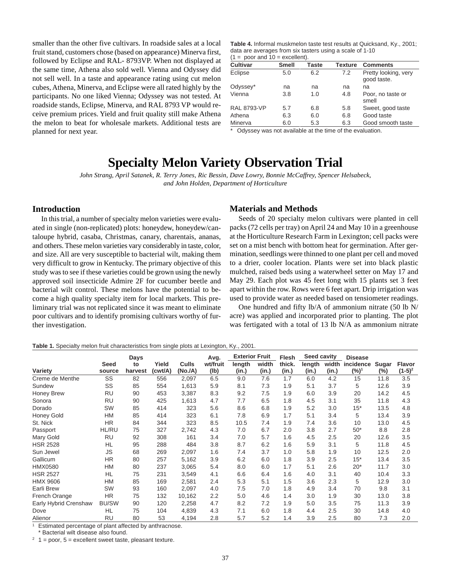<span id="page-35-0"></span>smaller than the other five cultivars. In roadside sales at a local fruit stand, customers chose (based on appearance) Minerva first, followed by Eclipse and RAL- 8793VP. When not displayed at the same time, Athena also sold well. Vienna and Odyssey did not sell well. In a taste and appearance rating using cut melon cubes, Athena, Minerva, and Eclipse were all rated highly by the participants. No one liked Vienna; Odyssey was not tested. At roadside stands, Eclipse, Minerva, and RAL 8793 VP would receive premium prices. Yield and fruit quality still make Athena the melon to beat for wholesale markets. Additional tests are planned for next year.

**Table 4.** Informal muskmelon taste test results at Quicksand, Ky., 2001; data are averages from six tasters using a scale of 1-10  $(1 = poor and 10 = excellent).$ 

| <b>Cultivar</b>    | <b>Smell</b> | Taste | Texture | <b>Comments</b>                     |
|--------------------|--------------|-------|---------|-------------------------------------|
| Eclipse            | 5.0          | 6.2   | 7.2     | Pretty looking, very<br>good taste. |
| Odyssey*           | na           | na    | na      | na                                  |
| Vienna             | 3.8          | 1.0   | 4.8     | Poor, no taste or<br>smell          |
| <b>RAL 8793-VP</b> | 5.7          | 6.8   | 5.8     | Sweet, good taste                   |
| Athena             | 6.3          | 6.0   | 6.8     | Good taste                          |
| Minerva            | 6.0          | 5.3   | 6.3     | Good smooth taste                   |

Odyssey was not available at the time of the evaluation.

## **Specialty Melon Variety Observation Trial**

*John Strang, April Satanek, R. Terry Jones, Ric Bessin, Dave Lowry, Bonnie McCaffrey, Spencer Helsabeck, and John Holden, Department of Horticulture*

### **Introduction**

In this trial, a number of specialty melon varieties were evaluated in single (non-replicated) plots: honeydew, honeydew/cantaloupe hybrid, casaba, Christmas, canary, charentais, ananas, and others. These melon varieties vary considerably in taste, color, and size. All are very susceptible to bacterial wilt, making them very difficult to grow in Kentucky. The primary objective of this study was to see if these varieties could be grown using the newly approved soil insecticide Admire 2F for cucumber beetle and bacterial wilt control. These melons have the potential to become a high quality specialty item for local markets. This preliminary trial was not replicated since it was meant to eliminate poor cultivars and to identify promising cultivars worthy of further investigation.

### **Materials and Methods**

Seeds of 20 specialty melon cultivars were planted in cell packs (72 cells per tray) on April 24 and May 10 in a greenhouse at the Horticulture Research Farm in Lexington; cell packs were set on a mist bench with bottom heat for germination. After germination, seedlings were thinned to one plant per cell and moved to a drier, cooler location. Plants were set into black plastic mulched, raised beds using a waterwheel setter on May 17 and May 29. Each plot was 45 feet long with 15 plants set 3 feet apart within the row. Rows were 6 feet apart. Drip irrigation was used to provide water as needed based on tensiometer readings.

One hundred and fifty lb/A of ammonium nitrate (50 lb N/ acre) was applied and incorporated prior to planting. The plot was fertigated with a total of 13 lb N/A as ammonium nitrate

#### **Table 1.** Specialty melon fruit characteristics from single plots at Lexington, Ky., 2001.

|                       |                       | Days          |                  |                         | Avg.     | <b>Exterior Fruit</b> |                | <b>Flesh</b>    | Seed cavity |                | <b>Disease</b>       |       |                     |
|-----------------------|-----------------------|---------------|------------------|-------------------------|----------|-----------------------|----------------|-----------------|-------------|----------------|----------------------|-------|---------------------|
| Variety               | <b>Seed</b><br>source | to<br>harvest | Yield<br>(cwt/A) | <b>Culls</b><br>(No./A) | wt/fruit | length<br>(in.)       | width<br>(in.) | thick.<br>(in.) | length      | width<br>(in.) | incidence<br>$(%)^1$ | Sugar | Flavor<br>$(1-5)^2$ |
|                       |                       |               |                  |                         | (1b)     |                       |                |                 | (in.)       |                |                      | (%)   |                     |
| Creme de Menthe       | SS                    | 82            | 556              | 2,097                   | 6.5      | 9.0                   | 7.6            | 1.7             | 6.0         | 4.2            | 15                   | 11.8  | 3.5                 |
| Sundew                | SS                    | 85            | 554              | 1,613                   | 5.9      | 8.1                   | 7.3            | 1.9             | 5.1         | 3.7            | 5                    | 12.6  | 3.9                 |
| Honey Brew            | RU                    | 90            | 453              | 3,387                   | 8.3      | 9.2                   | 7.5            | 1.9             | 6.0         | 3.9            | 20                   | 14.2  | 4.5                 |
| Sonora                | RU                    | 90            | 425              | 1,613                   | 4.7      | 7.7                   | 6.5            | 1.8             | 4.5         | 3.1            | 35                   | 11.8  | 4.3                 |
| Dorado                | SW                    | 85            | 414              | 323                     | 5.6      | 8.6                   | 6.8            | 1.9             | 5.2         | 3.0            | $15*$                | 13.5  | 4.8                 |
| Honey Gold            | HM                    | 85            | 414              | 323                     | 6.1      | 7.8                   | 6.9            | 1.7             | 5.1         | 3.4            | 5                    | 13.4  | 3.9                 |
| St. Nick              | <b>HR</b>             | 84            | 344              | 323                     | 8.5      | 10.5                  | 7.4            | 1.9             | 7.4         | 3.6            | 10                   | 13.0  | 4.5                 |
| Passport              | <b>HL/RU</b>          | 75            | 327              | 2,742                   | 4.3      | 7.0                   | 6.7            | 2.0             | 3.8         | 2.7            | $50*$                | 8.8   | 2.8                 |
| Mary Gold             | <b>RU</b>             | 92            | 308              | 161                     | 3.4      | 7.0                   | 5.7            | 1.6             | 4.5         | 2.5            | 20                   | 12.6  | 3.5                 |
| <b>HSR 2528</b>       | HL                    | 95            | 288              | 484                     | 3.8      | 8.7                   | 6.2            | 1.6             | 5.9         | 3.1            | 5                    | 11.8  | 4.5                 |
| Sun Jewel             | <b>JS</b>             | 68            | 269              | 2,097                   | 1.6      | 7.4                   | 3.7            | 1.0             | 5.8         | 1.9            | 10                   | 12.5  | 2.0                 |
| Gallicum              | <b>HR</b>             | 80            | 257              | 5,162                   | 3.9      | 6.2                   | 6.0            | 1.8             | 3.9         | 2.5            | $15*$                | 13.4  | 3.5                 |
| <b>HMX0580</b>        | <b>HM</b>             | 80            | 237              | 3,065                   | 5.4      | 8.0                   | 6.0            | 1.7             | 5.1         | 2.6            | $20*$                | 11.7  | 3.0                 |
| <b>HSR 2527</b>       | <b>HL</b>             | 75            | 231              | 3,549                   | 4.1      | 6.6                   | 6.4            | 1.6             | 4.0         | 3.1            | 40                   | 10.4  | 3.3                 |
| HMX 9606              | <b>HM</b>             | 85            | 169              | 2,581                   | 2.4      | 5.3                   | 5.1            | 1.5             | 3.6         | 2.3            | 5                    | 12.9  | 3.0                 |
| Earli Brew            | SW                    | 93            | 160              | 2,097                   | 4.0      | 7.5                   | 7.0            | 1.8             | 4.9         | 3.4            | 70                   | 9.8   | 3.1                 |
| French Orange         | <b>HR</b>             | 75            | 132              | 10,162                  | 2.2      | 5.0                   | 4.6            | 1.4             | 3.0         | 1.9            | 30                   | 13.0  | 3.8                 |
| Early Hybrid Crenshaw | <b>BU/SW</b>          | 90            | 120              | 2,258                   | 4.7      | 8.2                   | 7.2            | 1.9             | 5.0         | 3.5            | 75                   | 11.3  | 3.9                 |
| Dove                  | HL                    | 75            | 104              | 4,839                   | 4.3      | 7.1                   | 6.0            | 1.8             | 4.4         | 2.5            | 30                   | 14.8  | 4.0                 |
| Alienor               | <b>RU</b>             | 80            | 53               | 4,194                   | 2.8      | 5.7                   | 5.2            | 1.4             | 3.9         | 2.5            | 80                   | 7.3   | 2.0                 |

Estimated percentage of plant affected by anthracnose.

Bacterial wilt disease also found.

 $2 \quad 1 = poor, 5 = excellent sweet taste, pleasant texture.$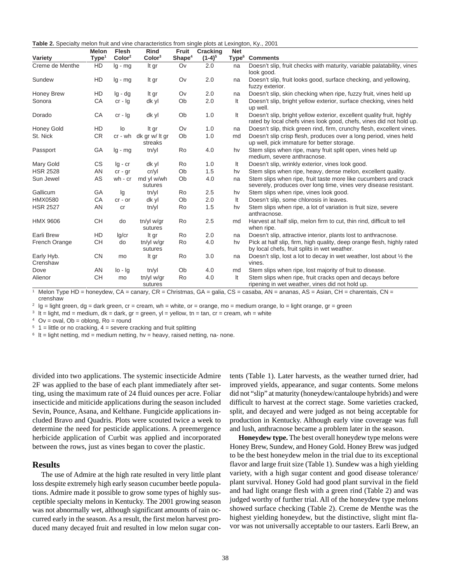**Table 2.** Specialty melon fruit and vine characteristics from single plots at Lexington, Ky., 2001

| Variety                | <b>Melon</b><br>Type <sup>1</sup> | Flesh<br>Color <sup>2</sup> | <b>Rind</b><br>Color <sup>3</sup> | Fruit<br>Shape <sup>4</sup> | <b>Cracking</b><br>$(1-4)^5$ | <b>Net</b><br>Type <sup>6</sup> | <b>Comments</b>                                                                                                                              |
|------------------------|-----------------------------------|-----------------------------|-----------------------------------|-----------------------------|------------------------------|---------------------------------|----------------------------------------------------------------------------------------------------------------------------------------------|
| Creme de Menthe        | HD                                | $lg - mg$                   | It gr                             | Ov                          | 2.0                          | na                              | Doesn't slip, fruit checks with maturity, variable palatability, vines<br>look good.                                                         |
| Sundew                 | HD                                | $lg - mg$                   | It gr                             | Ov                          | 2.0                          | na                              | Doesn't slip, fruit looks good, surface checking, and yellowing,<br>fuzzy exterior.                                                          |
| Honey Brew             | HD                                | $lg - dg$                   | It gr                             | Ov                          | 2.0                          | na                              | Doesn't slip, skin checking when ripe, fuzzy fruit, vines held up                                                                            |
| Sonora                 | CA                                | $cr - lg$                   | dk yl                             | Ob                          | 2.0                          | It                              | Doesn't slip, bright yellow exterior, surface checking, vines held<br>up well.                                                               |
| Dorado                 | CA                                | $cr - lg$                   | dk yl                             | Ob                          | 1.0                          | It                              | Doesn't slip, bright yellow exterior, excellent quality fruit, highly<br>rated by local chefs vines look good, chefs, vines did not hold up. |
| <b>Honey Gold</b>      | <b>HD</b>                         | lo                          | It gr                             | Ov                          | 1.0                          | na                              | Doesn't slip, thick green rind, firm, crunchy flesh, excellent vines.                                                                        |
| St. Nick               | <b>CR</b>                         | cr - wh                     | dk gr w/ It gr<br>streaks         | Ob                          | 1.0                          | md                              | Doesn't slip crisp flesh, produces over a long period, vines held<br>up well, pick immature for better storage.                              |
| Passport               | GA                                | $lg - mg$                   | tn/yl                             | Ro                          | 4.0                          | hv                              | Stem slips when ripe, many fruit split open, vines held up<br>medium, severe anthracnose.                                                    |
| Mary Gold              | CS                                | $Iq - cr$                   | dk yl                             | Ro                          | 1.0                          | It                              | Doesn't slip, wrinkly exterior, vines look good.                                                                                             |
| <b>HSR 2528</b>        | AN                                | $cr - gr$                   | cr/yl                             | Ob                          | 1.5                          | hv                              | Stem slips when ripe, heavy, dense melon, excellent quality.                                                                                 |
| Sun Jewel              | AS                                | wh - cr                     | md yl w/wh<br>sutures             | Ob                          | 4.0                          | na                              | Stem slips when ripe, fruit taste more like cucumbers and crack<br>severely, produces over long time, vines very disease resistant.          |
| Gallicum               | GA                                | lg                          | tn/yl                             | Ro                          | 2.5                          | hv                              | Stem slips when ripe, vines look good.                                                                                                       |
| <b>HMX0580</b>         | CA                                | $cr$ - $or$                 | dk yl                             | Ob                          | 2.0                          | It                              | Doesn't slip, some chlorosis in leaves.                                                                                                      |
| <b>HSR 2527</b>        | AN                                | cr                          | tn/yl                             | Ro                          | 1.5                          | hv                              | Stem slips when ripe, a lot of variation is fruit size, severe<br>anthracnose.                                                               |
| HMX 9606               | <b>CH</b>                         | do                          | tn/yl w/gr<br>sutures             | Ro                          | 2.5                          | md                              | Harvest at half slip, melon firm to cut, thin rind, difficult to tell<br>when ripe.                                                          |
| <b>Earli Brew</b>      | HD                                | lq/cr                       | It gr                             | Ro                          | 2.0                          | na                              | Doesn't slip, attractive interior, plants lost to anthracnose.                                                                               |
| French Orange          | <b>CH</b>                         | do                          | tn/yl w/gr<br>sutures             | Ro                          | 4.0                          | hv                              | Pick at half slip, firm, high quality, deep orange flesh, highly rated<br>by local chefs, fruit splits in wet weather.                       |
| Early Hyb.<br>Crenshaw | <b>CN</b>                         | mo                          | It gr                             | Ro                          | 3.0                          | na                              | Doesn't slip, lost a lot to decay in wet weather, lost about 1/2 the<br>vines.                                                               |
| Dove                   | AN                                | $I_0 - I_g$                 | tn/yl                             | Ob                          | 4.0                          | md                              | Stem slips when ripe, lost majority of fruit to disease.                                                                                     |
| Alienor                | <b>CH</b>                         | mo                          | tn/yl w/gr<br>sutures             | Ro                          | 4.0                          | It                              | Stem slips when ripe, fruit cracks open and decays before<br>ripening in wet weather, vines did not hold up.                                 |

Melon Type HD = honeydew, CA = canary, CR = Christmas, GA = galia, CS = casaba, AN = ananas, AS = Asian, CH = charentais, CN = crenshaw

 $2$  lg = light green, dg = dark green, cr = cream, wh = white, or = orange, mo = medium orange, lo = light orange, gr = green

 $3 \text{ It} =$  light, md = medium, dk = dark, gr = green, yl = yellow, tn = tan, cr = cream, wh = white

 $4$  Ov = oval, Ob = oblong, Ro = round

 $5$  1 = little or no cracking, 4 = severe cracking and fruit splitting

 $6$  It = light netting, md = medium netting, hv = heavy, raised netting, na- none.

divided into two applications. The systemic insecticide Admire 2F was applied to the base of each plant immediately after setting, using the maximum rate of 24 fluid ounces per acre. Foliar insecticide and miticide applications during the season included Sevin, Pounce, Asana, and Kelthane. Fungicide applications included Bravo and Quadris. Plots were scouted twice a week to determine the need for pesticide applications. A preemergence herbicide application of Curbit was applied and incorporated between the rows, just as vines began to cover the plastic.

#### **Results**

The use of Admire at the high rate resulted in very little plant loss despite extremely high early season cucumber beetle populations. Admire made it possible to grow some types of highly susceptible specialty melons in Kentucky. The 2001 growing season was not abnormally wet, although significant amounts of rain occurred early in the season. As a result, the first melon harvest produced many decayed fruit and resulted in low melon sugar contents (Table 1). Later harvests, as the weather turned drier, had improved yields, appearance, and sugar contents. Some melons did not "slip" at maturity (honeydew/cantaloupe hybrids) and were difficult to harvest at the correct stage. Some varieties cracked, split, and decayed and were judged as not being acceptable for production in Kentucky. Although early vine coverage was full and lush, anthracnose became a problem later in the season.

**Honeydew type.** The best overall honeydew type melons were Honey Brew, Sundew, and Honey Gold. Honey Brew was judged to be the best honeydew melon in the trial due to its exceptional flavor and large fruit size (Table 1). Sundew was a high yielding variety, with a high sugar content and good disease tolerance/ plant survival. Honey Gold had good plant survival in the field and had light orange flesh with a green rind (Table 2) and was judged worthy of further trial. All of the honeydew type melons showed surface checking (Table 2). Creme de Menthe was the highest yielding honeydew, but the distinctive, slight mint flavor was not universally acceptable to our tasters. Earli Brew, an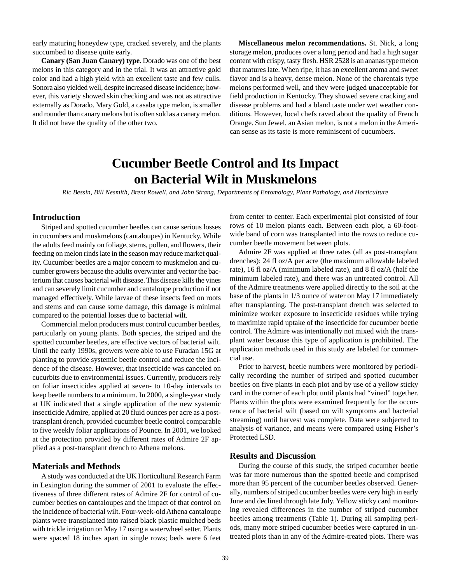<span id="page-37-0"></span>early maturing honeydew type, cracked severely, and the plants succumbed to disease quite early.

**Canary (San Juan Canary) type.** Dorado was one of the best melons in this category and in the trial. It was an attractive gold color and had a high yield with an excellent taste and few culls. Sonora also yielded well, despite increased disease incidence; however, this variety showed skin checking and was not as attractive externally as Dorado. Mary Gold, a casaba type melon, is smaller and rounder than canary melons but is often sold as a canary melon. It did not have the quality of the other two.

**Miscellaneous melon recommendations.** St. Nick, a long storage melon, produces over a long period and had a high sugar content with crispy, tasty flesh. HSR 2528 is an ananas type melon that matures late. When ripe, it has an excellent aroma and sweet flavor and is a heavy, dense melon. None of the charentais type melons performed well, and they were judged unacceptable for field production in Kentucky. They showed severe cracking and disease problems and had a bland taste under wet weather conditions. However, local chefs raved about the quality of French Orange. Sun Jewel, an Asian melon, is not a melon in the American sense as its taste is more reminiscent of cucumbers.

## **Cucumber Beetle Control and Its Impact on Bacterial Wilt in Muskmelons**

*Ric Bessin, Bill Nesmith, Brent Rowell, and John Strang, Departments of Entomology, Plant Pathology, and Horticulture*

### **Introduction**

Striped and spotted cucumber beetles can cause serious losses in cucumbers and muskmelons (cantaloupes) in Kentucky. While the adults feed mainly on foliage, stems, pollen, and flowers, their feeding on melon rinds late in the season may reduce market quality. Cucumber beetles are a major concern to muskmelon and cucumber growers because the adults overwinter and vector the bacterium that causes bacterial wilt disease. This disease kills the vines and can severely limit cucumber and cantaloupe production if not managed effectively. While larvae of these insects feed on roots and stems and can cause some damage, this damage is minimal compared to the potential losses due to bacterial wilt.

Commercial melon producers must control cucumber beetles, particularly on young plants. Both species, the striped and the spotted cucumber beetles, are effective vectors of bacterial wilt. Until the early 1990s, growers were able to use Furadan 15G at planting to provide systemic beetle control and reduce the incidence of the disease. However, that insecticide was canceled on cucurbits due to environmental issues. Currently, producers rely on foliar insecticides applied at seven- to 10-day intervals to keep beetle numbers to a minimum. In 2000, a single-year study at UK indicated that a single application of the new systemic insecticide Admire, applied at 20 fluid ounces per acre as a posttransplant drench, provided cucumber beetle control comparable to five weekly foliar applications of Pounce. In 2001, we looked at the protection provided by different rates of Admire 2F applied as a post-transplant drench to Athena melons.

#### **Materials and Methods**

A study was conducted at the UK Horticultural Research Farm in Lexington during the summer of 2001 to evaluate the effectiveness of three different rates of Admire 2F for control of cucumber beetles on cantaloupes and the impact of that control on the incidence of bacterial wilt. Four-week-old Athena cantaloupe plants were transplanted into raised black plastic mulched beds with trickle irrigation on May 17 using a waterwheel setter. Plants were spaced 18 inches apart in single rows; beds were 6 feet

from center to center. Each experimental plot consisted of four rows of 10 melon plants each. Between each plot, a 60-footwide band of corn was transplanted into the rows to reduce cucumber beetle movement between plots.

Admire 2F was applied at three rates (all as post-transplant drenches): 24 fl oz/A per acre (the maximum allowable labeled rate), 16 fl oz/A (minimum labeled rate), and 8 fl oz/A (half the minimum labeled rate), and there was an untreated control. All of the Admire treatments were applied directly to the soil at the base of the plants in 1/3 ounce of water on May 17 immediately after transplanting. The post-transplant drench was selected to minimize worker exposure to insecticide residues while trying to maximize rapid uptake of the insecticide for cucumber beetle control. The Admire was intentionally not mixed with the transplant water because this type of application is prohibited. The application methods used in this study are labeled for commercial use.

Prior to harvest, beetle numbers were monitored by periodically recording the number of striped and spotted cucumber beetles on five plants in each plot and by use of a yellow sticky card in the corner of each plot until plants had "vined" together. Plants within the plots were examined frequently for the occurrence of bacterial wilt (based on wilt symptoms and bacterial streaming) until harvest was complete. Data were subjected to analysis of variance, and means were compared using Fisher's Protected LSD.

#### **Results and Discussion**

During the course of this study, the striped cucumber beetle was far more numerous than the spotted beetle and comprised more than 95 percent of the cucumber beetles observed. Generally, numbers of striped cucumber beetles were very high in early June and declined through late July. Yellow sticky card monitoring revealed differences in the number of striped cucumber beetles among treatments (Table 1). During all sampling periods, many more striped cucumber beetles were captured in untreated plots than in any of the Admire-treated plots. There was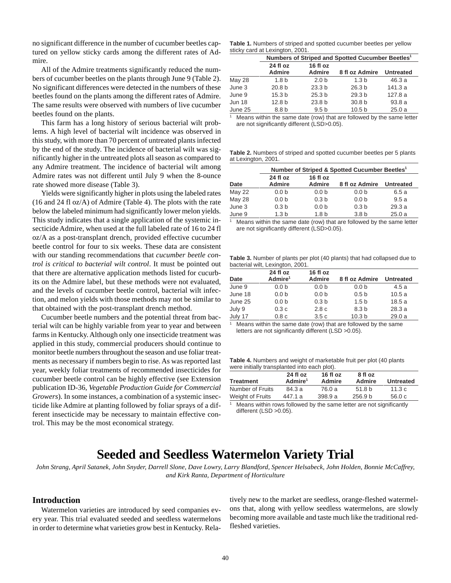<span id="page-38-0"></span>no significant difference in the number of cucumber beetles captured on yellow sticky cards among the different rates of Admire.

All of the Admire treatments significantly reduced the numbers of cucumber beetles on the plants through June 9 (Table 2). No significant differences were detected in the numbers of these beetles found on the plants among the different rates of Admire. The same results were observed with numbers of live cucumber beetles found on the plants.

This farm has a long history of serious bacterial wilt problems. A high level of bacterial wilt incidence was observed in this study, with more than 70 percent of untreated plants infected by the end of the study. The incidence of bacterial wilt was significantly higher in the untreated plots all season as compared to any Admire treatment. The incidence of bacterial wilt among Admire rates was not different until July 9 when the 8-ounce rate showed more disease (Table 3).

Yields were significantly higher in plots using the labeled rates (16 and 24 fl oz/A) of Admire (Table 4). The plots with the rate below the labeled minimum had significantly lower melon yields. This study indicates that a single application of the systemic insecticide Admire, when used at the full labeled rate of 16 to 24 fl oz/A as a post-transplant drench, provided effective cucumber beetle control for four to six weeks. These data are consistent with our standing recommendations that *cucumber beetle control is critical to bacterial wilt control*. It must be pointed out that there are alternative application methods listed for cucurbits on the Admire label, but these methods were not evaluated, and the levels of cucumber beetle control, bacterial wilt infection, and melon yields with those methods may not be similar to that obtained with the post-transplant drench method.

Cucumber beetle numbers and the potential threat from bacterial wilt can be highly variable from year to year and between farms in Kentucky. Although only one insecticide treatment was applied in this study, commercial producers should continue to monitor beetle numbers throughout the season and use foliar treatments as necessary if numbers begin to rise. As was reported last year, weekly foliar treatments of recommended insecticides for cucumber beetle control can be highly effective (see Extension publication ID-36, *Vegetable Production Guide for Commercial Growers*). In some instances, a combination of a systemic insecticide like Admire at planting followed by foliar sprays of a different insecticide may be necessary to maintain effective control. This may be the most economical strategy.

**Table 1.** Numbers of striped and spotted cucumber beetles per yellow sticky card at Lexington, 2001.

|               | Numbers of Striped and Spotted Cucumber Beetles <sup>1</sup> |                           |                   |                  |  |  |  |
|---------------|--------------------------------------------------------------|---------------------------|-------------------|------------------|--|--|--|
|               | 24 fl oz<br><b>Admire</b>                                    | 16 fl oz<br><b>Admire</b> | 8 fl oz Admire    | <b>Untreated</b> |  |  |  |
| <b>May 28</b> | 1.8 <sub>b</sub>                                             | 2.0 <sub>b</sub>          | 1.3 <sub>b</sub>  | 46.3a            |  |  |  |
| June 3        | 20.8 <sub>b</sub>                                            | 23.3 <sub>b</sub>         | 26.3 <sub>b</sub> | 141.3 a          |  |  |  |
| June 9        | 15.3 <sub>b</sub>                                            | 25.3 <sub>b</sub>         | 29.3 <sub>b</sub> | 127.8a           |  |  |  |
| <b>Jun 18</b> | 12.8 <sub>b</sub>                                            | 23.8 <sub>b</sub>         | 30.8 <sub>b</sub> | 93.8a            |  |  |  |
| June 25       | 8.8 b                                                        | 9.5 <sub>b</sub>          | 10.5 <sub>b</sub> | 25.0a            |  |  |  |

Means within the same date (row) that are followed by the same letter are not significantly different (LSD>0.05).

**Table 2.** Numbers of striped and spotted cucumber beetles per 5 plants at Lexington, 2001.

|               | Number of Striped & Spotted Cucumber Beetles <sup>1</sup> |                           |                  |                  |  |  |  |  |  |
|---------------|-----------------------------------------------------------|---------------------------|------------------|------------------|--|--|--|--|--|
| Date          | 24 fl oz<br><b>Admire</b>                                 | 16 fl oz<br><b>Admire</b> | 8 fl oz Admire   | <b>Untreated</b> |  |  |  |  |  |
| <b>May 22</b> | 0.0 <sub>b</sub>                                          | 0.0 <sub>b</sub>          | 0.0 <sub>b</sub> | 6.5a             |  |  |  |  |  |
| May 28        | 0.0 <sub>b</sub>                                          | 0.3 <sub>b</sub>          | 0.0 <sub>b</sub> | 9.5a             |  |  |  |  |  |
| June 3        | 0.3 <sub>b</sub>                                          | 0.0 <sub>b</sub>          | 0.3 <sub>b</sub> | 29.3a            |  |  |  |  |  |
| June 9        | 1.3 <sub>b</sub>                                          | 1.8 <sub>b</sub>          | 3.8 <sub>b</sub> | 25.0a            |  |  |  |  |  |

Means within the same date (row) that are followed by the same letter are not significantly different (LSD>0.05).

**Table 3.** Number of plants per plot (40 plants) that had collapsed due to bacterial wilt, Lexington, 2001.

|         | 24 fl oz            | 16 fl oz         |                   |                  |
|---------|---------------------|------------------|-------------------|------------------|
| Date    | Admire <sup>1</sup> | <b>Admire</b>    | 8 fl oz Admire    | <b>Untreated</b> |
| June 9  | 0.0 <sub>b</sub>    | 0.0 <sub>b</sub> | 0.0 <sub>b</sub>  | 4.5a             |
| June 18 | 0.0 <sub>b</sub>    | 0.0 <sub>b</sub> | 0.5 <sub>b</sub>  | 10.5a            |
| June 25 | 0.0 <sub>b</sub>    | 0.3 <sub>b</sub> | 1.5 <sub>b</sub>  | 18.5a            |
| July 9  | 0.3c                | 2.8 <sub>c</sub> | 8.3 <sub>b</sub>  | 28.3a            |
| July 17 | 0.8c                | 3.5c             | 10.3 <sub>b</sub> | 29.0a            |

Means within the same date (row) that are followed by the same letters are not significantly different (LSD >0.05).

**Table 4.** Numbers and weight of marketable fruit per plot (40 plants were initially transplanted into each plot).

| <b>Treatment</b> | 24 fl oz<br>Admire <sup>1</sup> | 16 fl oz<br>Admire | 8 fl oz<br>Admire  | <b>Untreated</b> |
|------------------|---------------------------------|--------------------|--------------------|------------------|
| Number of Fruits | 84.3 a                          | 76.0 a             | 51.8 <sub>b</sub>  | 11.3 $c$         |
| Weight of Fruits | 447.1 a                         | 398.9a             | 256.9 <sub>b</sub> | 56.0c            |
|                  |                                 |                    |                    |                  |

Means within rows followed by the same letter are not significantly different (LSD >0.05).

## **Seeded and Seedless Watermelon Variety Trial**

*John Strang, April Satanek, John Snyder, Darrell Slone, Dave Lowry, Larry Blandford, Spencer Helsabeck, John Holden, Bonnie McCaffrey, and Kirk Ranta, Department of Horticulture*

#### **Introduction**

Watermelon varieties are introduced by seed companies every year. This trial evaluated seeded and seedless watermelons in order to determine what varieties grow best in Kentucky. Relatively new to the market are seedless, orange-fleshed watermelons that, along with yellow seedless watermelons, are slowly becoming more available and taste much like the traditional redfleshed varieties.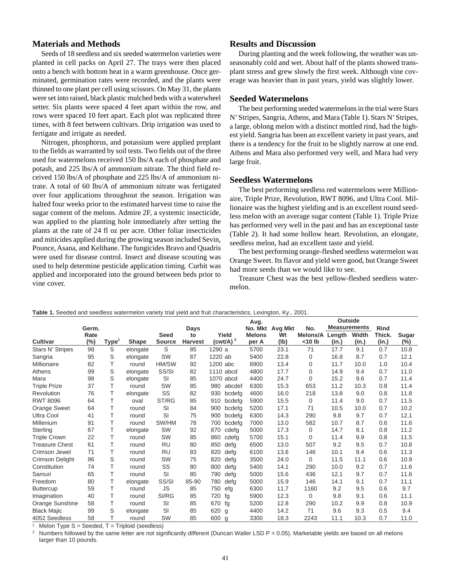## **Materials and Methods**

Seeds of 18 seedless and six seeded watermelon varieties were planted in cell packs on April 27. The trays were then placed onto a bench with bottom heat in a warm greenhouse. Once germinated, germination rates were recorded, and the plants were thinned to one plant per cell using scissors. On May 31, the plants were set into raised, black plastic mulched beds with a waterwheel setter. Six plants were spaced 4 feet apart within the row, and rows were spaced 10 feet apart. Each plot was replicated three times, with 8 feet between cultivars. Drip irrigation was used to fertigate and irrigate as needed.

Nitrogen, phosphorus, and potassium were applied preplant to the fields as warranted by soil tests. Two fields out of the three used for watermelons received 150 lbs/A each of phosphate and potash, and 225 lbs/A of ammonium nitrate. The third field received 150 lbs/A of phosphate and 225 lbs/A of ammonium nitrate. A total of 60 lbs/A of ammonium nitrate was fertigated over four applications throughout the season. Irrigation was halted four weeks prior to the estimated harvest time to raise the sugar content of the melons. Admire 2F, a systemic insecticide, was applied to the planting hole immediately after setting the plants at the rate of 24 fl oz per acre. Other foliar insecticides and miticides applied during the growing season included Sevin, Pounce, Asana, and Kelthane. The fungicides Bravo and Quadris were used for disease control. Insect and disease scouting was used to help determine pesticide application timing. Curbit was applied and incorporated into the ground between beds prior to vine cover.

## **Results and Discussion**

During planting and the week following, the weather was unseasonably cold and wet. About half of the plants showed transplant stress and grew slowly the first week. Although vine coverage was heavier than in past years, yield was slightly lower.

#### **Seeded Watermelons**

The best performing seeded watermelons in the trial were Stars N' Stripes, Sangria, Athens, and Mara (Table 1). Stars N' Stripes, a large, oblong melon with a distinct mottled rind, had the highest yield. Sangria has been an excellent variety in past years, and there is a tendency for the fruit to be slightly narrow at one end. Athens and Mara also performed very well, and Mara had very large fruit.

#### **Seedless Watermelons**

The best performing seedless red watermelons were Millionaire, Triple Prize, Revolution, RWT 8096, and Ultra Cool. Millionaire was the highest yielding and is an excellent round seedless melon with an average sugar content (Table 1). Triple Prize has performed very well in the past and has an exceptional taste (Table 2). It had some hollow heart. Revolution, an elongate, seedless melon, had an excellent taste and yield.

The best performing orange-fleshed seedless watermelon was Orange Sweet. Its flavor and yield were good, but Orange Sweet had more seeds than we would like to see.

Treasure Chest was the best yellow-fleshed seedless watermelon.

|                        |                |                |                   |                              |                      |                       | Avg.                   |                 | Outside            |                     |                |                 |                 |
|------------------------|----------------|----------------|-------------------|------------------------------|----------------------|-----------------------|------------------------|-----------------|--------------------|---------------------|----------------|-----------------|-----------------|
|                        | Germ.          |                |                   |                              | Days                 |                       |                        | No. Mkt Avg Mkt | No.                | <b>Measurements</b> |                | Rind            |                 |
| Cultivar               | Rate<br>$(\%)$ | ${\sf Type}^1$ | Shape             | <b>Seed</b><br><b>Source</b> | to<br><b>Harvest</b> | Yield<br>(cwt/A) $^2$ | <b>Melons</b><br>per A | Wt<br>(Ib)      | Melons/A<br><10 lb | Length<br>(in.)     | Width<br>(in.) | Thick.<br>(in.) | Sugar<br>$(\%)$ |
| Stars N' Stripes       | 98             | S              | elongate          | S                            | 85                   | 1290 a                | 5700                   | 23.1            | 71                 | 17.7                | 9.1            | 0.7             | 10.8            |
|                        | 95             | S              |                   | <b>SW</b>                    | 87                   | 1220 ab               | 5400                   | 22.8            | 0                  | 16.8                | 8.7            | 0.7             | 12.1            |
| Sangria<br>Millionaire | 82             | Τ              | elongate<br>round | HM/SW                        | 92                   | 1200 abc              | 8900                   | 13.4            | 0                  | 11.7                | 10.0           | 1.0             | 10.4            |
| Athens                 | 99             | S              |                   | SS/SI                        | 82                   | 1110 abcd             | 4800                   | 17.7            | 0                  | 14.9                | 9.4            | 0.7             | 11.0            |
|                        | 98             | S              | elongate          | SI                           | 85                   | 1070 abcd             | 4400                   | 24.7            |                    | 15.2                | 9.6            | 0.7             | 11.4            |
| Mara                   | 37             | т              | elongate          | SW                           | 85                   |                       | 6300                   | 15.3            | 0<br>653           | 11.2                | 10.3           | 0.8             | 11.4            |
| <b>Triple Prize</b>    |                | т              | round             | SS                           |                      | 980<br>abcdef         |                        | 16.0            |                    | 13.8                |                |                 |                 |
| Revolution             | 76             | т              | elongate          |                              | 82                   | 930<br>bcdefa         | 4600                   |                 | 218                |                     | 9.0            | 0.8             | 11.8            |
| <b>RWT 8096</b>        | 64             |                | oval              | ST/RG                        | 85                   | 910<br>bcdefg         | 5900                   | 15.5            | 0                  | 11.4                | 9.0            | 0.7             | 11.5            |
| <b>Orange Sweet</b>    | 64             | т              | round             | SI                           | 84                   | 900<br>bcdefa         | 5200                   | 17.1            | 71                 | 10.5                | 10.0           | 0.7             | 10.2            |
| <b>Ultra Cool</b>      | 41             | Τ              | round             | SI                           | 75                   | 900<br>bcdefg         | 6300                   | 14.3            | 290                | 9.8                 | 9.7            | 0.7             | 12.1            |
| Millenium              | 91             | т              | round             | SW/HM                        | 78                   | 700<br>bcdefa         | 7000                   | 13.0            | 582                | 10.7                | 8.7            | 0.6             | 11.6            |
| Sterling               | 67             | т              | elongate          | <b>SW</b>                    | 92                   | 870<br>cdefg          | 5000                   | 17.3            | 0                  | 14.7                | 8.1            | 0.8             | 11.2            |
| <b>Triple Crown</b>    | 22             | Т              | round             | SW                           | 85                   | 860<br>cdefg          | 5700                   | 15.1            | 0                  | 11.4                | 9.9            | 0.8             | 11.5            |
| <b>Treasure Chest</b>  | 61             | т              | round             | RU                           | 80                   | 850<br>defg           | 6500                   | 13.0            | 507                | 9.2                 | 9.5            | 0.7             | 10.8            |
| Crimson Jewel          | 71             | т              | round             | RU                           | 83                   | 820<br>defg           | 6100                   | 13.6            | 146                | 10.1                | 9.4            | 0.6             | 11.3            |
| <b>Crimson Delight</b> | 96             | S              | round             | SW                           | 75                   | 820<br>defg           | 3500                   | 24.0            | 0                  | 11.5                | 11.1           | 0.6             | 10.9            |
| Constitution           | 74             | т              | round             | SS                           | 80                   | 800<br>defg           | 5400                   | 14.1            | 290                | 10.0                | 9.2            | 0.7             | 11.6            |
| Samuri                 | 65             | т              | round             | SI                           | 85                   | 790<br>defg           | 5000                   | 15.6            | 436                | 12.1                | 9.7            | 0.7             | 11.6            |
| Freedom                | 80             | Τ              | elongate          | SS/SI                        | 85-90                | 780<br>defg           | 5000                   | 15.9            | 146                | 14.1                | 9.1            | 0.7             | 11.1            |
| <b>Buttercup</b>       | 59             | т              | round             | <b>JS</b>                    | 85                   | 750<br>efg            | 6300                   | 11.7            | 1160               | 9.2                 | 9.5            | 0.6             | 9.7             |
| Imagination            | 40             | Т              | round             | SI/RG                        | 85                   | 720<br>fg             | 5900                   | 12.3            | 0                  | 9.8                 | 9.1            | 0.6             | 11.1            |
| Orange Sunshine        | 58             | Τ              | round             | SI                           | 85                   | 670<br>fg             | 5200                   | 12.8            | 290                | 10.2                | 9.9            | 0.8             | 10.9            |
| <b>Black Majic</b>     | 99             | S              | elongate          | SI                           | 85                   | 620<br>g              | 4400                   | 14.2            | 71                 | 9.6                 | 9.3            | 0.5             | 9.4             |
| 4052 Seedless          | 58             | Τ              | round             | SW                           | 85                   | 600<br>g              | 3300                   | 18.3            | 2243               | 11.1                | 10.3           | 0.7             | 11.0            |

**Table 1.** Seeded and seedless watermelon variety trial yield and fruit characteristics, Lexington, Ky., 2001.

<sup>1</sup> Melon Type  $S =$  Seeded,  $T =$  Triploid (seedless)

Numbers followed by the same letter are not significantly different (Duncan Waller LSD P = 0.05). Marketable yields are based on all melons larger than 10 pounds.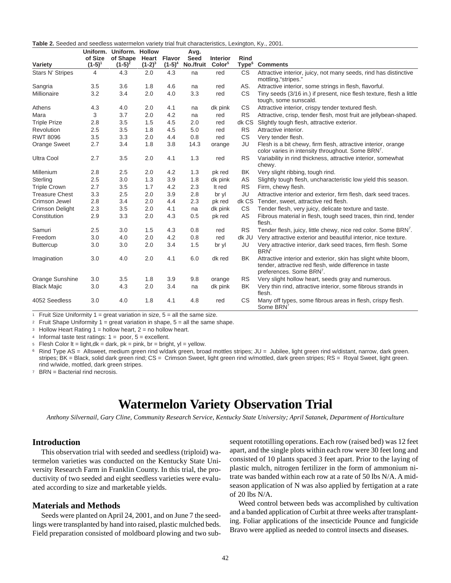<span id="page-40-0"></span>

| Table 2. Seeded and seedless watermelon variety trial fruit characteristics, Lexington, Ky., 2001. |  |
|----------------------------------------------------------------------------------------------------|--|
|----------------------------------------------------------------------------------------------------|--|

|                        |           | Uniform. Uniform. Hollow |           |               | Avg.        |                    |                   |                                                                                                                                                                  |
|------------------------|-----------|--------------------------|-----------|---------------|-------------|--------------------|-------------------|------------------------------------------------------------------------------------------------------------------------------------------------------------------|
|                        | of Size   | of Shape                 | Heart     | <b>Flavor</b> | <b>Seed</b> | <b>Interior</b>    | <b>Rind</b>       |                                                                                                                                                                  |
| Variety                | $(1-5)^1$ | $(1-5)^2$                | $(1-2)^3$ | $(1-5)^4$     | No./fruit   | Color <sup>5</sup> | Type <sup>6</sup> | <b>Comments</b>                                                                                                                                                  |
| Stars N' Stripes       | 4         | 4.3                      | 2.0       | 4.3           | na          | red                | <b>CS</b>         | Attractive interior, juicy, not many seeds, rind has distinctive<br>mottling, "stripes."                                                                         |
| Sangria                | 3.5       | 3.6                      | 1.8       | 4.6           | na          | red                | AS.               | Attractive interior, some strings in flesh, flavorful.                                                                                                           |
| Millionaire            | 3.2       | 3.4                      | 2.0       | 4.0           | 3.3         | red                | CS.               | Tiny seeds (3/16 in.) if present, nice flesh texture, flesh a little<br>tough, some sunscald.                                                                    |
| Athens                 | 4.3       | 4.0                      | 2.0       | 4.1           | na          | dk pink            | <b>CS</b>         | Attractive interior, crispy tender textured flesh.                                                                                                               |
| Mara                   | 3         | 3.7                      | 2.0       | 4.2           | na          | red                | <b>RS</b>         | Attractive, crisp, tender flesh, most fruit are jellybean-shaped.                                                                                                |
| <b>Triple Prize</b>    | 2.8       | 3.5                      | 1.5       | 4.5           | 2.0         | red                | dk CS             | Slightly tough flesh, attractive exterior.                                                                                                                       |
| Revolution             | 2.5       | 3.5                      | 1.8       | 4.5           | 5.0         | red                | <b>RS</b>         | Attractive interior.                                                                                                                                             |
| <b>RWT 8096</b>        | 3.5       | 3.3                      | 2.0       | 4.4           | 0.8         | red                | <b>CS</b>         | Very tender flesh.                                                                                                                                               |
| Orange Sweet           | 2.7       | 3.4                      | 1.8       | 3.8           | 14.3        | orange             | JU                | Flesh is a bit chewy, firm flesh, attractive interior, orange<br>color varies in intensity throughout. Some BRN <sup>7</sup> .                                   |
| <b>Ultra Cool</b>      | 2.7       | 3.5                      | 2.0       | 4.1           | 1.3         | red                | <b>RS</b>         | Variability in rind thickness, attractive interior, somewhat<br>chewy.                                                                                           |
| Millenium              | 2.8       | 2.5                      | 2.0       | 4.2           | 1.3         | pk red             | ΒK                | Very slight ribbing, tough rind.                                                                                                                                 |
| Sterling               | 2.5       | 3.0                      | 1.3       | 3.9           | 1.8         | dk pink            | AS                | Slightly tough flesh, uncharacteristic low yield this season.                                                                                                    |
| <b>Triple Crown</b>    | 2.7       | 3.5                      | 1.7       | 4.2           | 2.3         | It red             | <b>RS</b>         | Firm, chewy flesh.                                                                                                                                               |
| <b>Treasure Chest</b>  | 3.3       | 2.5                      | 2.0       | 3.9           | 2.8         | br yl              | JU                | Attractive interior and exterior, firm flesh, dark seed traces.                                                                                                  |
| Crimson Jewel          | 2.8       | 3.4                      | 2.0       | 4.4           | 2.3         | pk red             | dk CS             | Tender, sweet, attractive red flesh.                                                                                                                             |
| <b>Crimson Delight</b> | 2.3       | 3.5                      | 2.0       | 4.1           | na          | dk pink            | <b>CS</b>         | Tender flesh, very juicy, delicate texture and taste.                                                                                                            |
| Constitution           | 2.9       | 3.3                      | 2.0       | 4.3           | 0.5         | pk red             | AS                | Fibrous material in flesh, tough seed traces, thin rind, tender<br>flesh.                                                                                        |
| Samuri                 | 2.5       | 3.0                      | 1.5       | 4.3           | 0.8         | red                | <b>RS</b>         | Tender flesh, juicy, little chewy, nice red color. Some BRN <sup>7</sup> .                                                                                       |
| Freedom                | 3.0       | 4.0                      | 2.0       | 4.2           | 0.8         | red                | dk JU             | Very attractive exterior and beautiful interior, nice texture.                                                                                                   |
| <b>Buttercup</b>       | 3.0       | 3.0                      | 2.0       | 3.4           | 1.5         | br yl              | JU                | Very attractive interior, dark seed traces, firm flesh. Some<br>BRN <sup>t.</sup>                                                                                |
| Imagination            | 3.0       | 4.0                      | 2.0       | 4.1           | 6.0         | dk red             | <b>BK</b>         | Attractive interior and exterior, skin has slight white bloom,<br>tender, attractive red flesh, wide difference in taste<br>preferences. Some BRN <sup>7</sup> . |
| Orange Sunshine        | 3.0       | 3.5                      | 1.8       | 3.9           | 9.8         | orange             | <b>RS</b>         | Very slight hollow heart, seeds gray and numerous.                                                                                                               |
| <b>Black Majic</b>     | 3.0       | 4.3                      | 2.0       | 3.4           | na          | dk pink            | BK                | Very thin rind, attractive interior, some fibrous strands in<br>flesh.                                                                                           |
| 4052 Seedless          | 3.0       | 4.0                      | 1.8       | 4.1           | 4.8         | red                | CS                | Many off types, some fibrous areas in flesh, crispy flesh.<br>Some BRN <sup>7</sup>                                                                              |

<sup>1</sup> Fruit Size Uniformity 1 = great variation in size,  $5 =$  all the same size.

<sup>2</sup> Fruit Shape Uniformity 1 = great variation in shape,  $5 =$  all the same shape.

 $3$  Hollow Heart Rating 1 = hollow heart, 2 = no hollow heart.

4 Informal taste test ratings:  $1 =$  poor,  $5 =$  excellent.

 $5$  Flesh Color It = light,dk = dark, pk = pink, br = bright, yl = yellow.

<sup>6</sup> Rind Type AS = Allsweet, medium green rind w/dark green, broad mottles stripes; JU = Jubilee, light green rind w/distant, narrow, dark green. stripes; BK = Black, solid dark green rind; CS = Crimson Sweet, light green rind w/mottled, dark green stripes; RS = Royal Sweet, light green. rind w/wide, mottled, dark green stripes.

<sup>7</sup> BRN = Bacterial rind necrosis.

## **Watermelon Variety Observation Trial**

*Anthony Silvernail, Gary Cline, Community Research Service, Kentucky State University; April Satanek, Department of Horticulture*

## **Introduction**

This observation trial with seeded and seedless (triploid) watermelon varieties was conducted on the Kentucky State University Research Farm in Franklin County. In this trial, the productivity of two seeded and eight seedless varieties were evaluated according to size and marketable yields.

## **Materials and Methods**

Seeds were planted on April 24, 2001, and on June 7 the seedlings were transplanted by hand into raised, plastic mulched beds. Field preparation consisted of moldboard plowing and two sub-

sequent rototilling operations. Each row (raised bed) was 12 feet apart, and the single plots within each row were 30 feet long and consisted of 10 plants spaced 3 feet apart. Prior to the laying of plastic mulch, nitrogen fertilizer in the form of ammonium nitrate was banded within each row at a rate of 50 lbs N/A. A midseason application of N was also applied by fertigation at a rate of 20 lbs N/A.

Weed control between beds was accomplished by cultivation and a banded application of Curbit at three weeks after transplanting. Foliar applications of the insecticide Pounce and fungicide Bravo were applied as needed to control insects and diseases.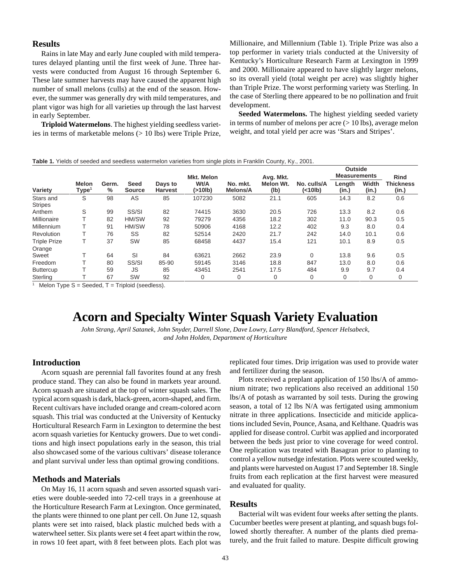### <span id="page-41-0"></span>**Results**

Rains in late May and early June coupled with mild temperatures delayed planting until the first week of June. Three harvests were conducted from August 16 through September 6. These late summer harvests may have caused the apparent high number of small melons (culls) at the end of the season. However, the summer was generally dry with mild temperatures, and plant vigor was high for all varieties up through the last harvest in early September.

**Triploid Watermelons**. The highest yielding seedless varieties in terms of marketable melons (> 10 lbs) were Triple Prize, Millionaire, and Millennium (Table 1). Triple Prize was also a top performer in variety trials conducted at the University of Kentucky's Horticulture Research Farm at Lexington in 1999 and 2000. Millionaire appeared to have slightly larger melons, so its overall yield (total weight per acre) was slightly higher than Triple Prize. The worst performing variety was Sterling. In the case of Sterling there appeared to be no pollination and fruit development.

**Seeded Watermelons.** The highest yielding seeded variety in terms of number of melons per acre  $(> 10$  lbs), average melon weight, and total yield per acre was 'Stars and Stripes'.

|  |  |  | Table 1. Yields of seeded and seedless watermelon varieties from single plots in Franklin County, Ky., 2001. |  |  |  |  |  |  |  |  |  |  |
|--|--|--|--------------------------------------------------------------------------------------------------------------|--|--|--|--|--|--|--|--|--|--|
|--|--|--|--------------------------------------------------------------------------------------------------------------|--|--|--|--|--|--|--|--|--|--|

|                             |                                |            |                              |                           |                              |                      |                   |                        | <b>Outside</b>      |                |                           |
|-----------------------------|--------------------------------|------------|------------------------------|---------------------------|------------------------------|----------------------|-------------------|------------------------|---------------------|----------------|---------------------------|
|                             |                                |            |                              |                           | <b>Mkt. Melon</b>            |                      | Avg. Mkt.         |                        | <b>Measurements</b> |                | <b>Rind</b>               |
| Variety                     | <b>Melon</b><br>${\sf Type}^1$ | Germ.<br>% | <b>Seed</b><br><b>Source</b> | Days to<br><b>Harvest</b> | Wt/A<br>(>10 <sub>lb</sub> ) | No. mkt.<br>Melons/A | Melon Wt.<br>(Ib) | No. culls/A<br>(<10lb) | Length<br>(in.)     | Width<br>(in.) | <b>Thickness</b><br>(in.) |
| Stars and<br><b>Stripes</b> | S                              | 98         | AS                           | 85                        | 107230                       | 5082                 | 21.1              | 605                    | 14.3                | 8.2            | 0.6                       |
| Anthem                      | S                              | 99         | SS/SI                        | 82                        | 74415                        | 3630                 | 20.5              | 726                    | 13.3                | 8.2            | 0.6                       |
| Millionaire                 |                                | 82         | HM/SW                        | 92                        | 79279                        | 4356                 | 18.2              | 302                    | 11.0                | 90.3           | 0.5                       |
| Millennium                  |                                | 91         | HM/SW                        | 78                        | 50906                        | 4168                 | 12.2              | 402                    | 9.3                 | 8.0            | 0.4                       |
| Revolution                  |                                | 76         | SS                           | 82                        | 52514                        | 2420                 | 21.7              | 242                    | 14.0                | 10.1           | 0.6                       |
| <b>Triple Prize</b>         |                                | 37         | SW                           | 85                        | 68458                        | 4437                 | 15.4              | 121                    | 10.1                | 8.9            | 0.5                       |
| Orange<br>Sweet             |                                | 64         | SI                           | 84                        | 63621                        | 2662                 | 23.9              | 0                      | 13.8                | 9.6            | 0.5                       |
| Freedom                     |                                | 80         | SS/SI                        | 85-90                     | 59145                        | 3146                 | 18.8              | 847                    | 13.0                | 8.0            | 0.6                       |
| <b>Buttercup</b>            |                                | 59         | <b>JS</b>                    | 85                        | 43451                        | 2541                 | 17.5              | 484                    | 9.9                 | 9.7            | 0.4                       |
| Sterling                    |                                | 67         | SW                           | 92                        | 0                            | 0                    | 0                 | 0                      | 0                   | 0              | 0                         |

<sup>1</sup> Melon Type  $S =$  Seeded,  $T =$  Triploid (seedless).

## **Acorn and Specialty Winter Squash Variety Evaluation**

*John Strang, April Satanek, John Snyder, Darrell Slone, Dave Lowry, Larry Blandford, Spencer Helsabeck, and John Holden, Department of Horticulture*

#### **Introduction**

Acorn squash are perennial fall favorites found at any fresh produce stand. They can also be found in markets year around. Acorn squash are situated at the top of winter squash sales. The typical acorn squash is dark, black-green, acorn-shaped, and firm. Recent cultivars have included orange and cream-colored acorn squash. This trial was conducted at the University of Kentucky Horticultural Research Farm in Lexington to determine the best acorn squash varieties for Kentucky growers. Due to wet conditions and high insect populations early in the season, this trial also showcased some of the various cultivars' disease tolerance and plant survival under less than optimal growing conditions.

#### **Methods and Materials**

On May 16, 11 acorn squash and seven assorted squash varieties were double-seeded into 72-cell trays in a greenhouse at the Horticulture Research Farm at Lexington. Once germinated, the plants were thinned to one plant per cell. On June 12, squash plants were set into raised, black plastic mulched beds with a waterwheel setter. Six plants were set 4 feet apart within the row, in rows 10 feet apart, with 8 feet between plots. Each plot was replicated four times. Drip irrigation was used to provide water and fertilizer during the season.

Plots received a preplant application of 150 lbs/A of ammonium nitrate; two replications also received an additional 150 lbs/A of potash as warranted by soil tests. During the growing season, a total of 12 lbs N/A was fertigated using ammonium nitrate in three applications. Insecticide and miticide applications included Sevin, Pounce, Asana, and Kelthane. Quadris was applied for disease control. Curbit was applied and incorporated between the beds just prior to vine coverage for weed control. One replication was treated with Basagran prior to planting to control a yellow nutsedge infestation. Plots were scouted weekly, and plants were harvested on August 17 and September 18. Single fruits from each replication at the first harvest were measured and evaluated for quality.

#### **Results**

Bacterial wilt was evident four weeks after setting the plants. Cucumber beetles were present at planting, and squash bugs followed shortly thereafter. A number of the plants died prematurely, and the fruit failed to mature. Despite difficult growing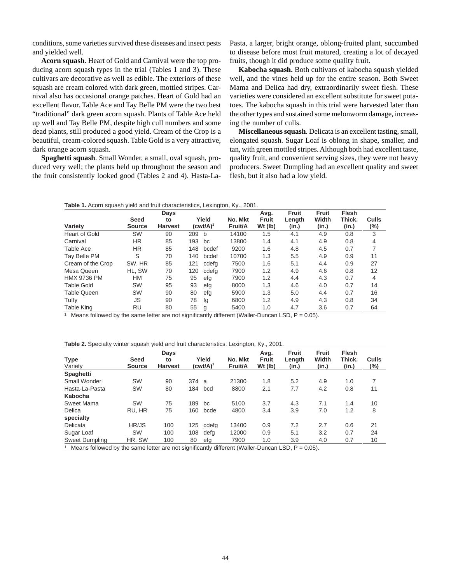conditions, some varieties survived these diseases and insect pests and yielded well.

**Acorn squash**. Heart of Gold and Carnival were the top producing acorn squash types in the trial (Tables 1 and 3). These cultivars are decorative as well as edible. The exteriors of these squash are cream colored with dark green, mottled stripes. Carnival also has occasional orange patches. Heart of Gold had an excellent flavor. Table Ace and Tay Belle PM were the two best "traditional" dark green acorn squash. Plants of Table Ace held up well and Tay Belle PM, despite high cull numbers and some dead plants, still produced a good yield. Cream of the Crop is a beautiful, cream-colored squash. Table Gold is a very attractive, dark orange acorn squash.

**Spaghetti squash**. Small Wonder, a small, oval squash, produced very well; the plants held up throughout the season and the fruit consistently looked good (Tables 2 and 4). Hasta-LaPasta, a larger, bright orange, oblong-fruited plant, succumbed to disease before most fruit matured, creating a lot of decayed fruits, though it did produce some quality fruit.

**Kabocha squash.** Both cultivars of kabocha squash yielded well, and the vines held up for the entire season. Both Sweet Mama and Delica had dry, extraordinarily sweet flesh. These varieties were considered an excellent substitute for sweet potatoes. The kabocha squash in this trial were harvested later than the other types and sustained some melonworm damage, increasing the number of culls.

**Miscellaneous squash**. Delicata is an excellent tasting, small, elongated squash. Sugar Loaf is oblong in shape, smaller, and tan, with green mottled stripes. Although both had excellent taste, quality fruit, and convenient serving sizes, they were not heavy producers. Sweet Dumpling had an excellent quality and sweet flesh, but it also had a low yield.

| Table 1. Acorn squash yield and fruit characteristics, Lexington, Ky., 2001. |  |  |  |  |
|------------------------------------------------------------------------------|--|--|--|--|
|------------------------------------------------------------------------------|--|--|--|--|

| Variety            | <b>Seed</b><br><b>Source</b> | Days<br>to<br><b>Harvest</b> |     | Yield<br>$(cwt/A)^1$ | No. Mkt<br>Fruit/A | Avg.<br>Fruit<br>Wt (lb) | <b>Fruit</b><br>Length<br>(in.) | <b>Fruit</b><br>Width<br>(in.) | <b>Flesh</b><br>Thick.<br>(in.) | Culls<br>(%) |
|--------------------|------------------------------|------------------------------|-----|----------------------|--------------------|--------------------------|---------------------------------|--------------------------------|---------------------------------|--------------|
| Heart of Gold      | SW                           | 90                           | 209 | b                    | 14100              | 1.5                      | 4.1                             | 4.9                            | 0.8                             | 3            |
| Carnival           | HR.                          | 85                           | 193 | bc                   | 13800              | 1.4                      | 4.1                             | 4.9                            | 0.8                             | 4            |
| Table Ace          | HR.                          | 85                           | 148 | bcdef                | 9200               | 1.6                      | 4.8                             | 4.5                            | 0.7                             |              |
| Tay Belle PM       | S                            | 70                           | 140 | bcdef                | 10700              | 1.3                      | 5.5                             | 4.9                            | 0.9                             | 11           |
| Cream of the Crop  | SW, HR                       | 85                           | 121 | cdefa                | 7500               | 1.6                      | 5.1                             | 4.4                            | 0.9                             | 27           |
| Mesa Queen         | HL. SW                       | 70                           | 120 | cdefa                | 7900               | 1.2                      | 4.9                             | 4.6                            | 0.8                             | 12           |
| <b>HMX 9736 PM</b> | НM                           | 75                           | 95  | efg                  | 7900               | 1.2                      | 4.4                             | 4.3                            | 0.7                             | 4            |
| <b>Table Gold</b>  | <b>SW</b>                    | 95                           | 93  | efg                  | 8000               | 1.3                      | 4.6                             | 4.0                            | 0.7                             | 14           |
| <b>Table Queen</b> | <b>SW</b>                    | 90                           | 80  | efg                  | 5900               | 1.3                      | 5.0                             | 4.4                            | 0.7                             | 16           |
| Tuffy              | JS                           | 90                           | 78  | fg                   | 6800               | 1.2                      | 4.9                             | 4.3                            | 0.8                             | 34           |
| <b>Table King</b>  | RU                           | 80                           | 55  | g                    | 5400               | 1.0                      | 4.7                             | 3.6                            | 0.7                             | 64           |

<sup>1</sup> Means followed by the same letter are not significantly different (Waller-Duncan LSD,  $P = 0.05$ ).

| Table 2. Specialty winter squash yield and fruit characteristics, Lexington, Ky., 2001. |
|-----------------------------------------------------------------------------------------|
|-----------------------------------------------------------------------------------------|

|                |               | Days           |      |             |         | Avg.         | Fruit  | <b>Fruit</b> | <b>Flesh</b> |       |
|----------------|---------------|----------------|------|-------------|---------|--------------|--------|--------------|--------------|-------|
| <b>Type</b>    | Seed          | to             |      | Yield       | No. Mkt | <b>Fruit</b> | Length | Width        | Thick.       | Culls |
| Variety        | <b>Source</b> | <b>Harvest</b> |      | $(cwt/A)^1$ | Fruit/A | Wt (lb)      | (in.)  | (in.)        | (in.)        | (%)   |
| Spaghetti      |               |                |      |             |         |              |        |              |              |       |
| Small Wonder   | <b>SW</b>     | 90             | 374a |             | 21300   | 1.8          | 5.2    | 4.9          | 1.0          |       |
| Hasta-La-Pasta | SW            | 80             | 184  | bcd         | 8800    | 2.1          | 7.7    | 4.2          | 0.8          | 11    |
| Kabocha        |               |                |      |             |         |              |        |              |              |       |
| Sweet Mama     | SW            | 75             | 189  | bc          | 5100    | 3.7          | 4.3    | 7.1          | 1.4          | 10    |
| Delica         | RU. HR        | 75             | 160  | bcde        | 4800    | 3.4          | 3.9    | 7.0          | 1.2          | 8     |
| specialty      |               |                |      |             |         |              |        |              |              |       |
| Delicata       | HR/JS         | 100            | 125  | cdefg       | 13400   | 0.9          | 7.2    | 2.7          | 0.6          | 21    |
| Sugar Loaf     | <b>SW</b>     | 100            | 108  | defa        | 12000   | 0.9          | 5.1    | 3.2          | 0.7          | 24    |
| Sweet Dumpling | HR, SW        | 100            | 80   | efg         | 7900    | 1.0          | 3.9    | 4.0          | 0.7          | 10    |

<sup>1</sup> Means followed by the same letter are not significantly different (Waller-Duncan LSD,  $P = 0.05$ ).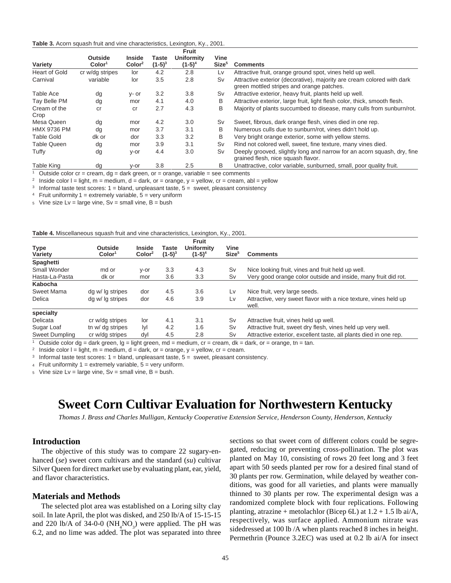#### <span id="page-43-0"></span>**Table 3.** Acorn squash fruit and vine characteristics, Lexington, Ky., 2001.

| Variety              | <b>Outside</b><br>Color <sup>1</sup> | <b>Inside</b><br>$\text{Color}^2$ | Taste<br>$(1-5)^3$ | Fruit<br><b>Uniformity</b><br>$(1-5)^4$ | Vine<br>Size <sup>5</sup> | <b>Comments</b>                                                                                                     |
|----------------------|--------------------------------------|-----------------------------------|--------------------|-----------------------------------------|---------------------------|---------------------------------------------------------------------------------------------------------------------|
| <b>Heart of Gold</b> | cr w/dg stripes                      | lor                               | 4.2                | 2.8                                     | Lv                        | Attractive fruit, orange ground spot, vines held up well.                                                           |
| Carnival             | variable                             | lor                               | 3.5                | 2.8                                     | Sv                        | Attractive exterior (decorative), majority are cream colored with dark<br>green mottled stripes and orange patches. |
| Table Ace            | dg                                   | y- or                             | 3.2                | 3.8                                     | Sv                        | Attractive exterior, heavy fruit, plants held up well.                                                              |
| Tay Belle PM         | dg                                   | mor                               | 4.1                | 4.0                                     | B                         | Attractive exterior, large fruit, light flesh color, thick, smooth flesh.                                           |
| Cream of the<br>Crop | cr                                   | <sub>cr</sub>                     | 2.7                | 4.3                                     | B                         | Majority of plants succumbed to disease, many culls from sunburn/rot.                                               |
| Mesa Queen           | dg                                   | mor                               | 4.2                | 3.0                                     | Sv                        | Sweet, fibrous, dark orange flesh, vines died in one rep.                                                           |
| <b>HMX 9736 PM</b>   | dg                                   | mor                               | 3.7                | 3.1                                     | B                         | Numerous culls due to sunburn/rot, vines didn't hold up.                                                            |
| <b>Table Gold</b>    | dk or                                | dor                               | 3.3                | 3.2                                     | B                         | Very bright orange exterior, some with yellow stems.                                                                |
| Table Queen          | dg                                   | mor                               | 3.9                | 3.1                                     | Sv                        | Rind not colored well, sweet, fine texture, many vines died.                                                        |
| Tuffy                | dg                                   | y-or                              | 4.4                | 3.0                                     | Sv                        | Deeply grooved, slightly long and narrow for an acorn squash, dry, fine<br>grained flesh, nice squash flavor.       |
| Table King           | dg                                   | y-or                              | 3.8                | 2.5                                     | В                         | Unattractive, color variable, sunburned, small, poor quality fruit.                                                 |

<sup>1</sup> Outside color cr = cream,  $dg =$  dark green, or = orange, variable = see comments

<sup>2</sup> Inside color  $I = light$ , m = medium, d = dark, or = orange, y = yellow, cr = cream, abl = yellow

<sup>3</sup> Informal taste test scores:  $1 =$  bland, unpleasant taste,  $5 =$  sweet, pleasant consistency

<sup>4</sup> Fruit uniformity  $1 =$  extremely variable,  $5 =$  very uniform

 $5$  Vine size Lv = large vine, Sv = small vine, B = bush

#### **Table 4.** Miscellaneous squash fruit and vine characteristics, Lexington, Ky., 2001.

| <b>Type</b><br>Variety | <b>Outside</b><br>Color <sup>1</sup> | <b>Inside</b><br>$\text{Color}^2$ | Taste<br>$(1-5)^3$ | Fruit<br><b>Uniformity</b><br>$(1-5)^4$ | Vine<br>Size <sup>5</sup> | <b>Comments</b>                                                                                                    |
|------------------------|--------------------------------------|-----------------------------------|--------------------|-----------------------------------------|---------------------------|--------------------------------------------------------------------------------------------------------------------|
| Spaghetti              |                                      |                                   |                    |                                         |                           |                                                                                                                    |
| Small Wonder           | md or                                | y-or                              | 3.3                | 4.3                                     | Sv                        | Nice looking fruit, vines and fruit held up well.                                                                  |
| Hasta-La-Pasta         | dk or                                | mor                               | 3.6                | 3.3                                     | Sv                        | Very good orange color outside and inside, many fruit did rot.                                                     |
| Kabocha                |                                      |                                   |                    |                                         |                           |                                                                                                                    |
| Sweet Mama             | dg w/ lg stripes                     | dor                               | 4.5                | 3.6                                     | Lv                        | Nice fruit, very large seeds.                                                                                      |
| Delica                 | dg w/lg stripes                      | dor                               | 4.6                | 3.9                                     | Lv                        | Attractive, very sweet flavor with a nice texture, vines held up<br>well.                                          |
| specialty              |                                      |                                   |                    |                                         |                           |                                                                                                                    |
| Delicata               | cr w/dg stripes                      | lor                               | 4.1                | 3.1                                     | Sv                        | Attractive fruit, vines held up well.                                                                              |
| Sugar Loaf             | tn w/ dg stripes                     | lyl                               | 4.2                | 1.6                                     | Sv                        | Attractive fruit, sweet dry flesh, vines held up very well.                                                        |
| Sweet Dumpling         | cr w/dg stripes                      | dyl                               | 4.5                | 2.8                                     | Sv                        | Attractive exterior, excellent taste, all plants died in one rep.                                                  |
|                        |                                      |                                   |                    |                                         |                           | Outside color dg = dark green, $q =$ light green, $md =$ medium, $cr =$ cream, $dk =$ dark, or = orange, tn = tan. |

<sup>2</sup> Inside color  $l = light$ , m = medium, d = dark, or = orange, y = yellow, cr = cream.

<sup>3</sup> Informal taste test scores:  $1 =$  bland, unpleasant taste,  $5 =$  sweet, pleasant consistency.

 $4$  Fruit uniformity  $1 =$  extremely variable,  $5 =$  very uniform.

 $5$  Vine size Lv = large vine, Sv = small vine, B = bush.

## **Sweet Corn Cultivar Evaluation for Northwestern Kentucky**

*Thomas J. Brass and Charles Mulligan, Kentucky Cooperative Extension Service, Henderson County, Henderson, Kentucky*

### **Introduction**

The objective of this study was to compare 22 sugary-enhanced (*se*) sweet corn cultivars and the standard (*su*) cultivar Silver Queen for direct market use by evaluating plant, ear, yield, and flavor characteristics.

#### **Materials and Methods**

The selected plot area was established on a Loring silty clay soil. In late April, the plot was disked, and 250 lb/A of 15-15-15 and 220 lb/A of 34-0-0 ( $NH<sub>4</sub>NO<sub>3</sub>$ ) were applied. The pH was 6.2, and no lime was added. The plot was separated into three sections so that sweet corn of different colors could be segregated, reducing or preventing cross-pollination. The plot was planted on May 10, consisting of rows 20 feet long and 3 feet apart with 50 seeds planted per row for a desired final stand of 30 plants per row. Germination, while delayed by weather conditions, was good for all varieties, and plants were manually thinned to 30 plants per row. The experimental design was a randomized complete block with four replications. Following planting, atrazine + metolachlor (Bicep 6L) at  $1.2 + 1.5$  lb ai/A, respectively, was surface applied. Ammonium nitrate was sidedressed at 100 lb /A when plants reached 8 inches in height. Permethrin (Pounce 3.2EC) was used at 0.2 lb ai/A for insect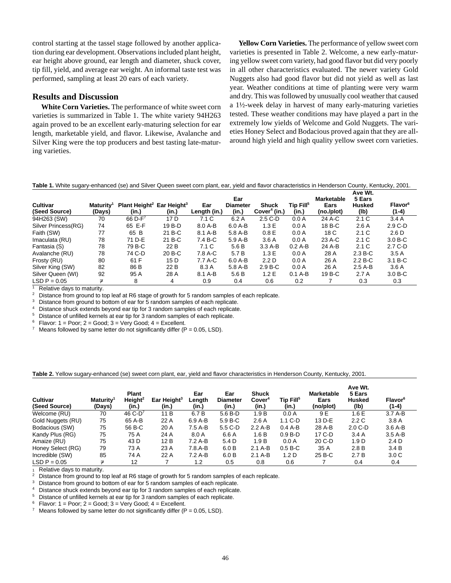control starting at the tassel stage followed by another application during ear development. Observations included plant height, ear height above ground, ear length and diameter, shuck cover, tip fill, yield, and average ear weight. An informal taste test was performed, sampling at least 20 ears of each variety.

### **Results and Discussion**

**White Corn Varieties.** The performance of white sweet corn varieties is summarized in Table 1. The white variety 94H263 again proved to be an excellent early-maturing selection for ear length, marketable yield, and flavor. Likewise, Avalanche and Silver King were the top producers and best tasting late-maturing varieties.

**Yellow Corn Varieties.** The performance of yellow sweet corn varieties is presented in Table 2. Welcome, a new early-maturing yellow sweet corn variety, had good flavor but did very poorly in all other characteristics evaluated. The newer variety Gold Nuggets also had good flavor but did not yield as well as last year. Weather conditions at time of planting were very warm and dry. This was followed by unusually cool weather that caused a 1½-week delay in harvest of many early-maturing varieties tested. These weather conditions may have played a part in the extremely low yields of Welcome and Gold Nuggets. The varieties Honey Select and Bodacious proved again that they are allaround high yield and high quality yellow sweet corn varieties.

**Table 1.** White sugary-enhanced (se) and Silver Queen sweet corn plant, ear, yield and flavor characteristics in Henderson County, Kentucky, 2001.

| <b>Cultivar</b><br>(Seed Source) | <b>Maturity</b> <sup>1</sup><br>(Days) | Plant Height <sup>2</sup> Ear Height <sup>3</sup><br>(in.) | (in.)  | Ear<br>Length (in.) | Ear<br><b>Diameter</b><br>(in.) | <b>Shuck</b><br>Cover <sup>4</sup> (in.) | Tip Fill <sup>5</sup><br>(in.) | <b>Marketable</b><br>Ears<br>(no./plot) | Ave Wt.<br>5 Ears<br><b>Husked</b><br>(lb) | Flavor <sup>6</sup><br>$(1-4)$ |
|----------------------------------|----------------------------------------|------------------------------------------------------------|--------|---------------------|---------------------------------|------------------------------------------|--------------------------------|-----------------------------------------|--------------------------------------------|--------------------------------|
| 94H263 (SW)                      | 70                                     | 66 $D - F^7$                                               | 17 D   | 7.1 <sub>C</sub>    | 6.2A                            | $2.5C-D$                                 | 0.0 A                          | 24 A-C                                  | 2.1C                                       | 3.4A                           |
| Silver Princess(RG)              | 74                                     | 65 E-F                                                     | 19 B-D | 8.0 A-B             | $6.0$ A-B                       | 1.3E                                     | 0.0 A                          | 18 B-C                                  | 2.6A                                       | $2.9 C-D$                      |
| Faith (SW)                       | 77                                     | 65 B                                                       | 21 B-C | 8.1 A-B             | 5.8 A-B                         | 0.8 <sub>E</sub>                         | 0.0 A                          | 18 C                                    | 2.1C                                       | 2.6 D                          |
| Imaculata (RU)                   | 78                                     | 71 D-E                                                     | 21 B-C | 7.4 B-C             | 5.9 A-B                         | 3.6A                                     | 0.0 A                          | 23 A-C                                  | 2.1C                                       | $3.0 B-C$                      |
| Fantasia (S)                     | 78                                     | 79 B-C                                                     | 22 B   | 7.1 C               | 5.6 B                           | $3.3A-B$                                 | $0.2A-B$                       | 24 A-B                                  | 2.1C                                       | $2.7 C-D$                      |
| Avalanche (RU)                   | 78                                     | 74 C-D                                                     | 20 B-C | 7.8 A-C             | 5.7 B                           | 1.3E                                     | 0.0 A                          | 28 A                                    | $2.3 B-C$                                  | 3.5A                           |
| Frosty (RU)                      | 80                                     | 61 F                                                       | 15 D   | 7.7 A-C             | $6.0 A-B$                       | 2.2 D                                    | 0.0 A                          | 26 A                                    | $2.2 B-C$                                  | $3.1 B-C$                      |
| Silver King (SW)                 | 82                                     | 86 B                                                       | 22 B   | 8.3 A               | 5.8 A-B                         | $2.9 B-C$                                | 0.0 A                          | 26 A                                    | $2.5A-B$                                   | 3.6A                           |
| Silver Queen (WI)                | 92                                     | 95 A                                                       | 28 A   | 8.1 A-B             | 5.6 B                           | 1.2E                                     | $0.1$ A-B                      | 19 B-C                                  | 2.7A                                       | $3.0 B-C$                      |
| $LSD P = 0.05$                   | ≠                                      | 8                                                          | 4      | 0.9                 | 0.4                             | 0.6                                      | 0.2                            |                                         | 0.3                                        | 0.3                            |

Relative days to maturity.

<sup>2</sup> Distance from ground to top leaf at R6 stage of growth for 5 random samples of each replicate.

<sup>3</sup> Distance from ground to bottom of ear for 5 random samples of each replicate.<br><sup>4</sup> Distance shuck extends beyond ear tip for 3 random samples of each replicate.

4 Distance shuck extends beyond ear tip for 3 random samples of each replicate.<br>5 Distance of unfilled kernels at ear tip for 3 random samples of each replicate.

<sup>5</sup> Distance of unfilled kernels at ear tip for 3 random samples of each replicate.<br><sup>6</sup> Elavor: 1 – Poor: 2 – Good: 3 – Very Good: 4 – Excellent

<sup>6</sup> Flavor: 1 = Poor; 2 = Good; 3 = Very Good; 4 = Excellent.

Means followed by same letter do not significantly differ  $(P = 0.05, LSD)$ .

#### **Table 2.** Yellow sugary-enhanced (se) sweet corn plant, ear, yield and flavor characteristics in Henderson County, Kentucky, 2001.

| <b>Cultivar</b><br>(Seed Source) | Maturity <sup>1</sup><br>(Days) | <b>Plant</b><br>Height <sup>2</sup><br>(in.) | Ear Height <sup>3</sup><br>(in.) | Ear<br>Length<br>(in.) | Ear<br><b>Diameter</b><br>(in.) | <b>Shuck</b><br>Cover <sup>4</sup><br>(in.) | Tip Fill <sup>5</sup><br>(in.) | <b>Marketable</b><br>Ears<br>(no/plot) | Ave Wt.<br>5 Ears<br><b>Husked</b><br>(lb) | Flavor <sup>6</sup><br>$(1-4)$ |
|----------------------------------|---------------------------------|----------------------------------------------|----------------------------------|------------------------|---------------------------------|---------------------------------------------|--------------------------------|----------------------------------------|--------------------------------------------|--------------------------------|
| Welcome (RU)                     | 70                              | 46 $C-D^7$                                   | 11B                              | 6.7 B                  | $5.6B-D$                        | 1.9B                                        | 0.0 A                          | 9 E                                    | 1.6E                                       | $3.7A-B$                       |
| Gold Nuggets (RU)                | 75                              | 65 A-B                                       | 22 A                             | $6.9A-B$               | $5.9 B-C$                       | 2.6A                                        | $1.1 C-D$                      | 13 D-E                                 | 2.2C                                       | 3.8A                           |
| Bodacious (SW)                   | 75                              | 56 B-C                                       | 20 A                             | 7.5 A-B                | 5.5 C-D                         | $2.2A-B$                                    | $0.4A$ -B                      | 28 A-B                                 | $2.0 C-D$                                  | $3.6A-B$                       |
| Kandy Plus (RG)                  | 75                              | 75 A                                         | 24 A                             | 8.0 A                  | 6.6 A                           | 1.6B                                        | $0.9 B-D$                      | 17 C-D                                 | 3.4A                                       | $3.5A-B$                       |
| Amaize (RU)                      | 75                              | 43 D                                         | 12B                              | $7.2A-B$               | 5.4 D                           | 1.9B                                        | 0.0 A                          | 20 C-D                                 | 1.9 <sub>D</sub>                           | 2.4 <sub>D</sub>               |
| Honey Select (RG)                | 79                              | 73 A                                         | 23 A                             | $7.8.A-B$              | 6.0 B                           | $2.1A-B$                                    | $0.5 B-C$                      | 35 A                                   | 2.8B                                       | 3.4B                           |
| Incredible (SW)                  | 85                              | 74 A                                         | 22 A                             | 7.2 A-B                | 6.0 B                           | $2.1A-B$                                    | 1.2 <sub>D</sub>               | 25 B-C                                 | 2.7B                                       | 3.0 <sub>C</sub>               |
| $LSD P = 0.05$                   | ≠                               | 12                                           |                                  | 1.2                    | 0.5                             | 0.8                                         | 0.6                            |                                        | 0.4                                        | 0.4                            |

<sup>1</sup> Relative days to maturity.

<sup>2</sup> Distance from ground to top leaf at R6 stage of growth for 5 random samples of each replicate.<br><sup>3</sup> Distance from ground to bottom of ear for 5 random samples of each replicate.

 $3$  Distance from ground to bottom of ear for 5 random samples of each replicate.<br>4 Distance shuck extends boyend on tip for 3 random samples of each replicate.

Distance shuck extends beyond ear tip for 3 random samples of each replicate.

<sup>5</sup> Distance of unfilled kernels at ear tip for 3 random samples of each replicate.

 $6$  Flavor: 1 = Poor; 2 = Good; 3 = Very Good; 4 = Excellent.

<sup>7</sup> Means followed by same letter do not significantly differ ( $P = 0.05$ , LSD).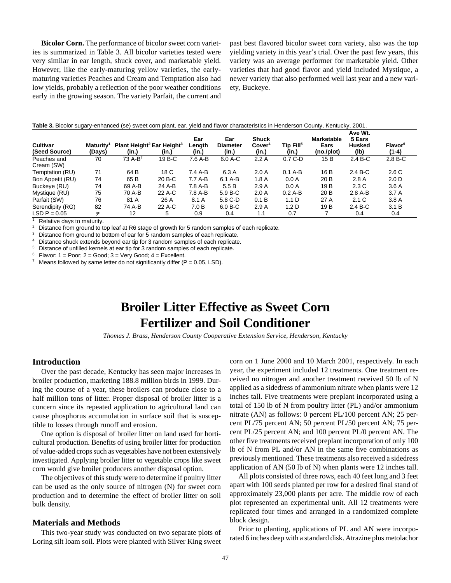**Bicolor Corn.** The performance of bicolor sweet corn varieties is summarized in Table 3. All bicolor varieties tested were very similar in ear length, shuck cover, and marketable yield. However, like the early-maturing yellow varieties, the earlymaturing varieties Peaches and Cream and Temptation also had low yields, probably a reflection of the poor weather conditions early in the growing season. The variety Parfait, the current and

past best flavored bicolor sweet corn variety, also was the top yielding variety in this year's trial. Over the past few years, this variety was an average performer for marketable yield. Other varieties that had good flavor and yield included Mystique, a newer variety that also performed well last year and a new variety, Buckeye.

#### **Table 3.** Bicolor sugary-enhanced (se) sweet corn plant, ear, yield and flavor characteristics in Henderson County, Kentucky, 2001.

| <b>Cultivar</b><br>(Seed Source) | Maturity <sup>1</sup><br>(Days) | Plant Height <sup>2</sup> Ear Height <sup>3</sup><br>(in.) | (in.)  | Ear<br>Length<br>(in.) | Ear<br><b>Diameter</b><br>(in.) | <b>Shuck</b><br>Cover <sup>4</sup><br>(in.) | Tip Fill <sup>5</sup><br>(in.) | <b>Marketable</b><br>Ears<br>(no./plot) | Ave Wt.<br>5 Ears<br><b>Husked</b><br>(lb) | <b>Flavor</b> <sup>6</sup><br>$(1-4)$ |  |
|----------------------------------|---------------------------------|------------------------------------------------------------|--------|------------------------|---------------------------------|---------------------------------------------|--------------------------------|-----------------------------------------|--------------------------------------------|---------------------------------------|--|
| Peaches and                      | 70                              | $73A-B^7$                                                  | 19 B-C | 7.6 A-B                | 6.0 A-C                         | 2.2A                                        | $0.7 C-D$                      | 15B                                     | $2.4 B-C$                                  | $2.8 B-C$                             |  |
| Cream (SW)                       |                                 |                                                            |        |                        |                                 |                                             |                                |                                         |                                            |                                       |  |
| Temptation (RU)                  | 71                              | 64 B                                                       | 18 C   | $7.4A-B$               | 6.3 A                           | 2.0A                                        | $0.1 A-B$                      | 16 B                                    | $2.4 B-C$                                  | 2.6C                                  |  |
| Bon Appetit (RU)                 | 74                              | 65 B                                                       | 20 B-C | $7.7A-B$               | 6.1 A-B                         | 1.8A                                        | 0.0 A                          | 20 B                                    | 2.8A                                       | 2.0 <sub>D</sub>                      |  |
| Buckeye (RU)                     | 74                              | 69 A-B                                                     | 24 A-B | 7.8 A-B                | 5.5B                            | 2.9A                                        | 0.0 A                          | 19 B                                    | 2.3C                                       | 3.6A                                  |  |
| Mystique (RU)                    | 75                              | 70 A-B                                                     | 22 A-C | 7.8 A-B                | $5.9 B-C$                       | 2.0A                                        | $0.2$ A-B                      | 20 B                                    | $2.8A-B$                                   | 3.7A                                  |  |
| Parfait (SW)                     | 76                              | 81 A                                                       | 26 A   | 8.1 A                  | 5.8 C-D                         | 0.1 B                                       | 1.1 D                          | 27 A                                    | 2.1C                                       | 3.8A                                  |  |
| Serendipity (RG)                 | 82                              | 74 A-B                                                     | 22 A-C | 7.0 B                  | $6.0 B-C$                       | 2.9A                                        | 1.2 <sub>D</sub>               | 19 <sub>B</sub>                         | $2.4 B-C$                                  | 3.1 B                                 |  |
| $LSD P = 0.05$                   | ≠                               | 12                                                         | 5      | 0.9                    | 0.4                             | 1.1                                         | 0.7                            |                                         | 0.4                                        | 0.4                                   |  |

<sup>1</sup> Relative days to maturity.

<sup>2</sup> Distance from ground to top leaf at R6 stage of growth for 5 random samples of each replicate.<br><sup>3</sup> Distance from ground to bottom of ear for 5 random complex of each replicate.

Distance from ground to bottom of ear for 5 random samples of each replicate.

Distance shuck extends beyond ear tip for 3 random samples of each replicate.

<sup>5</sup> Distance of unfilled kernels at ear tip for 3 random samples of each replicate.

 $6$  Flavor: 1 = Poor; 2 = Good; 3 = Very Good; 4 = Excellent.

Means followed by same letter do not significantly differ  $(P = 0.05, LSD)$ .

## **Broiler Litter Effective as Sweet Corn Fertilizer and Soil Conditioner**

*Thomas J. Brass, Henderson County Cooperative Extension Service, Henderson, Kentucky*

## **Introduction**

Over the past decade, Kentucky has seen major increases in broiler production, marketing 188.8 million birds in 1999. During the course of a year, these broilers can produce close to a half million tons of litter. Proper disposal of broiler litter is a concern since its repeated application to agricultural land can cause phosphorus accumulation in surface soil that is susceptible to losses through runoff and erosion.

One option is disposal of broiler litter on land used for horticultural production. Benefits of using broiler litter for production of value-added crops such as vegetables have not been extensively investigated. Applying broiler litter to vegetable crops like sweet corn would give broiler producers another disposal option.

The objectives of this study were to determine if poultry litter can be used as the only source of nitrogen (N) for sweet corn production and to determine the effect of broiler litter on soil bulk density.

#### **Materials and Methods**

This two-year study was conducted on two separate plots of Loring silt loam soil. Plots were planted with Silver King sweet

corn on 1 June 2000 and 10 March 2001, respectively. In each year, the experiment included 12 treatments. One treatment received no nitrogen and another treatment received 50 lb of N applied as a sidedress of ammonium nitrate when plants were 12 inches tall. Five treatments were preplant incorporated using a total of 150 lb of N from poultry litter (PL) and/or ammonium nitrate (AN) as follows: 0 percent PL/100 percent AN; 25 percent PL/75 percent AN; 50 percent PL/50 percent AN; 75 percent PL/25 percent AN; and 100 percent PL/0 percent AN. The other five treatments received preplant incorporation of only 100 lb of N from PL and/or AN in the same five combinations as previously mentioned. These treatments also received a sidedress application of AN (50 lb of N) when plants were 12 inches tall.

All plots consisted of three rows, each 40 feet long and 3 feet apart with 100 seeds planted per row for a desired final stand of approximately 23,000 plants per acre. The middle row of each plot represented an experimental unit. All 12 treatments were replicated four times and arranged in a randomized complete block design.

Prior to planting, applications of PL and AN were incorporated 6 inches deep with a standard disk. Atrazine plus metolachor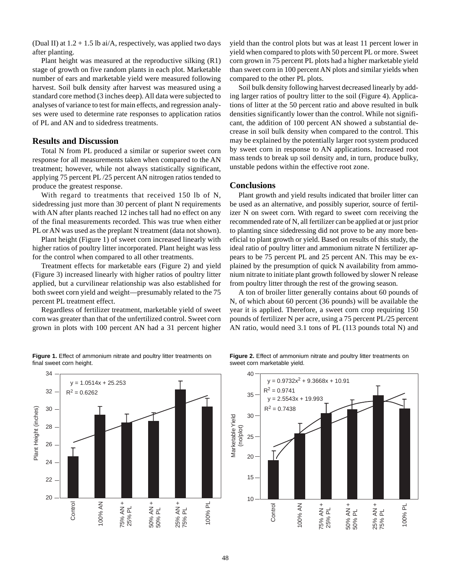(Dual II) at  $1.2 + 1.5$  lb ai/A, respectively, was applied two days after planting.

Plant height was measured at the reproductive silking (R1) stage of growth on five random plants in each plot. Marketable number of ears and marketable yield were measured following harvest. Soil bulk density after harvest was measured using a standard core method (3 inches deep). All data were subjected to analyses of variance to test for main effects, and regression analyses were used to determine rate responses to application ratios of PL and AN and to sidedress treatments.

#### **Results and Discussion**

Total N from PL produced a similar or superior sweet corn response for all measurements taken when compared to the AN treatment; however, while not always statistically significant, applying 75 percent PL /25 percent AN nitrogen ratios tended to produce the greatest response.

With regard to treatments that received 150 lb of N, sidedressing just more than 30 percent of plant N requirements with AN after plants reached 12 inches tall had no effect on any of the final measurements recorded. This was true when either PL or AN was used as the preplant N treatment (data not shown).

Plant height (Figure 1) of sweet corn increased linearly with higher ratios of poultry litter incorporated. Plant height was less for the control when compared to all other treatments.

Treatment effects for marketable ears (Figure 2) and yield (Figure 3) increased linearly with higher ratios of poultry litter applied, but a curvilinear relationship was also established for both sweet corn yield and weight—presumably related to the 75 percent PL treatment effect.

Regardless of fertilizer treatment, marketable yield of sweet corn was greater than that of the unfertilized control. Sweet corn grown in plots with 100 percent AN had a 31 percent higher

**Figure 1.** Effect of ammonium nitrate and poultry litter treatments on final sweet corn height.

yield than the control plots but was at least 11 percent lower in yield when compared to plots with 50 percent PL or more. Sweet corn grown in 75 percent PL plots had a higher marketable yield than sweet corn in 100 percent AN plots and similar yields when compared to the other PL plots.

Soil bulk density following harvest decreased linearly by adding larger ratios of poultry litter to the soil (Figure 4). Applications of litter at the 50 percent ratio and above resulted in bulk densities significantly lower than the control. While not significant, the addition of 100 percent AN showed a substantial decrease in soil bulk density when compared to the control. This may be explained by the potentially larger root system produced by sweet corn in response to AN applications. Increased root mass tends to break up soil density and, in turn, produce bulky, unstable pedons within the effective root zone.

#### **Conclusions**

Plant growth and yield results indicated that broiler litter can be used as an alternative, and possibly superior, source of fertilizer N on sweet corn. With regard to sweet corn receiving the recommended rate of N, all fertilizer can be applied at or just prior to planting since sidedressing did not prove to be any more beneficial to plant growth or yield. Based on results of this study, the ideal ratio of poultry litter and ammonium nitrate N fertilizer appears to be 75 percent PL and 25 percent AN. This may be explained by the presumption of quick N availability from ammonium nitrate to initiate plant growth followed by slower N release from poultry litter through the rest of the growing season.

A ton of broiler litter generally contains about 60 pounds of N, of which about 60 percent (36 pounds) will be available the year it is applied. Therefore, a sweet corn crop requiring 150 pounds of fertilizer N per acre, using a 75 percent PL/25 percent AN ratio, would need 3.1 tons of PL (113 pounds total N) and



**Figure 2.** Effect of ammonium nitrate and poultry litter treatments on sweet corn marketable yield.

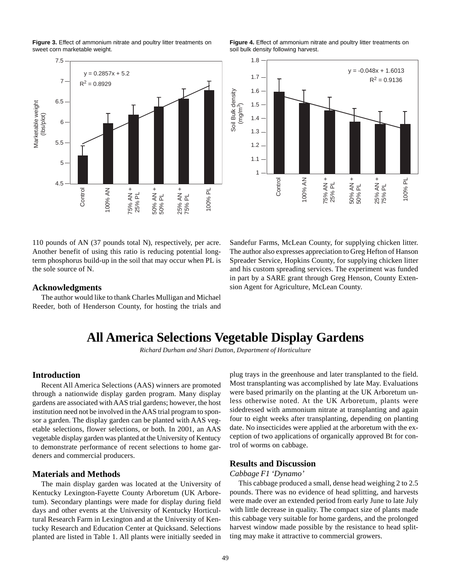<span id="page-47-0"></span>**Figure 3.** Effect of ammonium nitrate and poultry litter treatments on sweet corn marketable weight.



**Figure 4.** Effect of ammonium nitrate and poultry litter treatments on soil bulk density following harvest.



110 pounds of AN (37 pounds total N), respectively, per acre. Another benefit of using this ratio is reducing potential longterm phosphorus build-up in the soil that may occur when PL is the sole source of N.

### **Acknowledgments**

The author would like to thank Charles Mulligan and Michael Reeder, both of Henderson County, for hosting the trials and Sandefur Farms, McLean County, for supplying chicken litter. The author also expresses appreciation to Greg Hefton of Hanson Spreader Service, Hopkins County, for supplying chicken litter and his custom spreading services. The experiment was funded in part by a SARE grant through Greg Henson, County Extension Agent for Agriculture, McLean County.

## **All America Selections Vegetable Display Gardens**

*Richard Durham and Shari Dutton, Department of Horticulture*

#### **Introduction**

Recent All America Selections (AAS) winners are promoted through a nationwide display garden program. Many display gardens are associated with AAS trial gardens; however, the host institution need not be involved in the AAS trial program to sponsor a garden. The display garden can be planted with AAS vegetable selections, flower selections, or both. In 2001, an AAS vegetable display garden was planted at the University of Kentucy to demonstrate performance of recent selections to home gardeners and commercial producers.

#### **Materials and Methods**

The main display garden was located at the University of Kentucky Lexington-Fayette County Arboretum (UK Arboretum). Secondary plantings were made for display during field days and other events at the University of Kentucky Horticultural Research Farm in Lexington and at the University of Kentucky Research and Education Center at Quicksand. Selections planted are listed in Table 1. All plants were initially seeded in

plug trays in the greenhouse and later transplanted to the field. Most transplanting was accomplished by late May. Evaluations were based primarily on the planting at the UK Arboretum unless otherwise noted. At the UK Arboretum, plants were sidedressed with ammonium nitrate at transplanting and again four to eight weeks after transplanting, depending on planting date. No insecticides were applied at the arboretum with the exception of two applications of organically approved Bt for control of worms on cabbage.

#### **Results and Discussion**

#### *Cabbage F1 'Dynamo'*

This cabbage produced a small, dense head weighing 2 to 2.5 pounds. There was no evidence of head splitting, and harvests were made over an extended period from early June to late July with little decrease in quality. The compact size of plants made this cabbage very suitable for home gardens, and the prolonged harvest window made possible by the resistance to head splitting may make it attractive to commercial growers.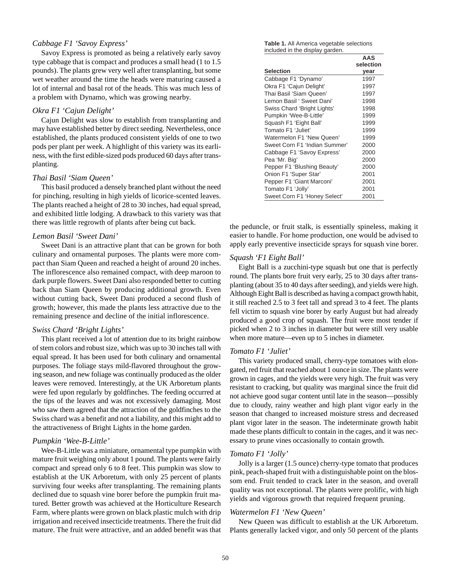### *Cabbage F1 'Savoy Express'*

Savoy Express is promoted as being a relatively early savoy type cabbage that is compact and produces a small head (1 to 1.5 pounds). The plants grew very well after transplanting, but some wet weather around the time the heads were maturing caused a lot of internal and basal rot of the heads. This was much less of a problem with Dynamo, which was growing nearby.

#### *Okra F1 'Cajun Delight'*

Cajun Delight was slow to establish from transplanting and may have established better by direct seeding. Nevertheless, once established, the plants produced consistent yields of one to two pods per plant per week. A highlight of this variety was its earliness, with the first edible-sized pods produced 60 days after transplanting.

#### *Thai Basil 'Siam Queen'*

This basil produced a densely branched plant without the need for pinching, resulting in high yields of licorice-scented leaves. The plants reached a height of 28 to 30 inches, had equal spread, and exhibited little lodging. A drawback to this variety was that there was little regrowth of plants after being cut back.

#### *Lemon Basil 'Sweet Dani'*

Sweet Dani is an attractive plant that can be grown for both culinary and ornamental purposes. The plants were more compact than Siam Queen and reached a height of around 20 inches. The inflorescence also remained compact, with deep maroon to dark purple flowers. Sweet Dani also responded better to cutting back than Siam Queen by producing additional growth. Even without cutting back, Sweet Dani produced a second flush of growth; however, this made the plants less attractive due to the remaining presence and decline of the initial inflorescence.

#### *Swiss Chard 'Bright Lights'*

This plant received a lot of attention due to its bright rainbow of stem colors and robust size, which was up to 30 inches tall with equal spread. It has been used for both culinary and ornamental purposes. The foliage stays mild-flavored throughout the growing season, and new foliage was continually produced as the older leaves were removed. Interestingly, at the UK Arboretum plants were fed upon regularly by goldfinches. The feeding occurred at the tips of the leaves and was not excessively damaging. Most who saw them agreed that the attraction of the goldfinches to the Swiss chard was a benefit and not a liability, and this might add to the attractiveness of Bright Lights in the home garden.

### *Pumpkin 'Wee-B-Little'*

Wee-B-Little was a miniature, ornamental type pumpkin with mature fruit weighing only about 1 pound. The plants were fairly compact and spread only 6 to 8 feet. This pumpkin was slow to establish at the UK Arboretum, with only 25 percent of plants surviving four weeks after transplanting. The remaining plants declined due to squash vine borer before the pumpkin fruit matured. Better growth was achieved at the Horticulture Research Farm, where plants were grown on black plastic mulch with drip irrigation and received insecticide treatments. There the fruit did mature. The fruit were attractive, and an added benefit was that

**Table 1.** All America vegetable selections included in the display garden.

|                               | AAS       |
|-------------------------------|-----------|
|                               | selection |
| <b>Selection</b>              | year      |
| Cabbage F1 'Dynamo'           | 1997      |
| Okra F1 'Cajun Delight'       | 1997      |
| Thai Basil 'Siam Queen'       | 1997      |
| Lemon Basil ' Sweet Dani'     | 1998      |
| Swiss Chard 'Bright Lights'   | 1998      |
| Pumpkin 'Wee-B-Little'        | 1999      |
| Squash F1 'Eight Ball'        | 1999      |
| Tomato F1 'Juliet'            | 1999      |
| Watermelon F1 'New Queen'     | 1999      |
| Sweet Corn F1 'Indian Summer' | 2000      |
| Cabbage F1 'Savoy Express'    | 2000      |
| Pea 'Mr. Big'                 | 2000      |
| Pepper F1 'Blushing Beauty'   | 2000      |
| Onion F1 'Super Star'         | 2001      |
| Pepper F1 'Giant Marconi'     | 2001      |
| Tomato F1 'Jolly'             | 2001      |
| Sweet Corn F1 'Honey Select'  | 2001      |

the peduncle, or fruit stalk, is essentially spineless, making it easier to handle. For home production, one would be advised to apply early preventive insecticide sprays for squash vine borer.

#### *Squash 'F1 Eight Ball'*

Eight Ball is a zucchini-type squash but one that is perfectly round. The plants bore fruit very early, 25 to 30 days after transplanting (about 35 to 40 days after seeding), and yields were high. Although Eight Ball is described as having a compact growth habit, it still reached 2.5 to 3 feet tall and spread 3 to 4 feet. The plants fell victim to squash vine borer by early August but had already produced a good crop of squash. The fruit were most tender if picked when 2 to 3 inches in diameter but were still very usable when more mature—even up to 5 inches in diameter.

#### *Tomato F1 'Juliet'*

This variety produced small, cherry-type tomatoes with elongated, red fruit that reached about 1 ounce in size. The plants were grown in cages, and the yields were very high. The fruit was very resistant to cracking, but quality was marginal since the fruit did not achieve good sugar content until late in the season—possibly due to cloudy, rainy weather and high plant vigor early in the season that changed to increased moisture stress and decreased plant vigor later in the season. The indeterminate growth habit made these plants difficult to contain in the cages, and it was necessary to prune vines occasionally to contain growth.

#### *Tomato F1 'Jolly'*

Jolly is a larger (1.5 ounce) cherry-type tomato that produces pink, peach-shaped fruit with a distinguishable point on the blossom end. Fruit tended to crack later in the season, and overall quality was not exceptional. The plants were prolific, with high yields and vigorous growth that required frequent pruning.

#### *Watermelon F1 'New Queen'*

New Queen was difficult to establish at the UK Arboretum. Plants generally lacked vigor, and only 50 percent of the plants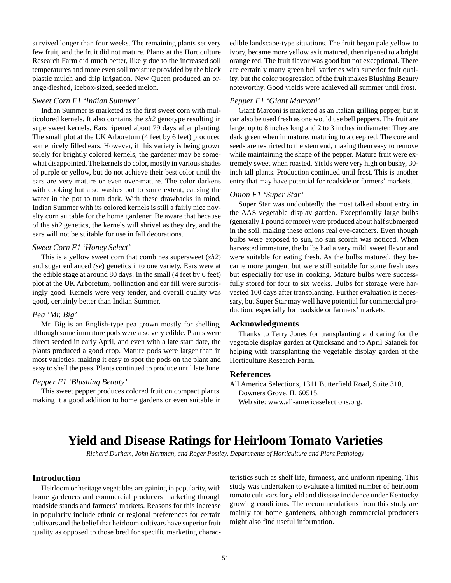<span id="page-49-0"></span>survived longer than four weeks. The remaining plants set very few fruit, and the fruit did not mature. Plants at the Horticulture Research Farm did much better, likely due to the increased soil temperatures and more even soil moisture provided by the black plastic mulch and drip irrigation. New Queen produced an orange-fleshed, icebox-sized, seeded melon.

#### *Sweet Corn F1 'Indian Summer'*

Indian Summer is marketed as the first sweet corn with multicolored kernels. It also contains the *sh2* genotype resulting in supersweet kernels. Ears ripened about 79 days after planting. The small plot at the UK Arboretum (4 feet by 6 feet) produced some nicely filled ears. However, if this variety is being grown solely for brightly colored kernels, the gardener may be somewhat disappointed. The kernels do color, mostly in various shades of purple or yellow, but do not achieve their best color until the ears are very mature or even over-mature. The color darkens with cooking but also washes out to some extent, causing the water in the pot to turn dark. With these drawbacks in mind, Indian Summer with its colored kernels is still a fairly nice novelty corn suitable for the home gardener. Be aware that because of the *sh2* genetics, the kernels will shrivel as they dry, and the ears will not be suitable for use in fall decorations.

#### *Sweet Corn F1 'Honey Select'*

This is a yellow sweet corn that combines supersweet (*sh2*) and sugar enhanced *(se*) genetics into one variety. Ears were at the edible stage at around 80 days. In the small (4 feet by 6 feet) plot at the UK Arboretum, pollination and ear fill were surprisingly good. Kernels were very tender, and overall quality was good, certainly better than Indian Summer.

### *Pea 'Mr. Big'*

Mr. Big is an English-type pea grown mostly for shelling, although some immature pods were also very edible. Plants were direct seeded in early April, and even with a late start date, the plants produced a good crop. Mature pods were larger than in most varieties, making it easy to spot the pods on the plant and easy to shell the peas. Plants continued to produce until late June.

#### *Pepper F1 'Blushing Beauty'*

This sweet pepper produces colored fruit on compact plants, making it a good addition to home gardens or even suitable in edible landscape-type situations. The fruit began pale yellow to ivory, became more yellow as it matured, then ripened to a bright orange red. The fruit flavor was good but not exceptional. There are certainly many green bell varieties with superior fruit quality, but the color progression of the fruit makes Blushing Beauty noteworthy. Good yields were achieved all summer until frost.

## *Pepper F1 'Giant Marconi'*

Giant Marconi is marketed as an Italian grilling pepper, but it can also be used fresh as one would use bell peppers. The fruit are large, up to 8 inches long and 2 to 3 inches in diameter. They are dark green when immature, maturing to a deep red. The core and seeds are restricted to the stem end, making them easy to remove while maintaining the shape of the pepper. Mature fruit were extremely sweet when roasted. Yields were very high on bushy, 30 inch tall plants. Production continued until frost. This is another entry that may have potential for roadside or farmers' markets.

#### *Onion F1 'Super Star'*

Super Star was undoubtedly the most talked about entry in the AAS vegetable display garden. Exceptionally large bulbs (generally 1 pound or more) were produced about half submerged in the soil, making these onions real eye-catchers. Even though bulbs were exposed to sun, no sun scorch was noticed. When harvested immature, the bulbs had a very mild, sweet flavor and were suitable for eating fresh. As the bulbs matured, they became more pungent but were still suitable for some fresh uses but especially for use in cooking. Mature bulbs were successfully stored for four to six weeks. Bulbs for storage were harvested 100 days after transplanting. Further evaluation is necessary, but Super Star may well have potential for commercial production, especially for roadside or farmers' markets.

### **Acknowledgments**

Thanks to Terry Jones for transplanting and caring for the vegetable display garden at Quicksand and to April Satanek for helping with transplanting the vegetable display garden at the Horticulture Research Farm.

#### **References**

All America Selections, 1311 Butterfield Road, Suite 310, Downers Grove, IL 60515. Web site: www.all-americaselections.org.

## **Yield and Disease Ratings for Heirloom Tomato Varieties**

*Richard Durham, John Hartman, and Roger Postley, Departments of Horticulture and Plant Pathology*

#### **Introduction**

Heirloom or heritage vegetables are gaining in popularity, with home gardeners and commercial producers marketing through roadside stands and farmers' markets. Reasons for this increase in popularity include ethnic or regional preferences for certain cultivars and the belief that heirloom cultivars have superior fruit quality as opposed to those bred for specific marketing characteristics such as shelf life, firmness, and uniform ripening. This study was undertaken to evaluate a limited number of heirloom tomato cultivars for yield and disease incidence under Kentucky growing conditions. The recommendations from this study are mainly for home gardeners, although commercial producers might also find useful information.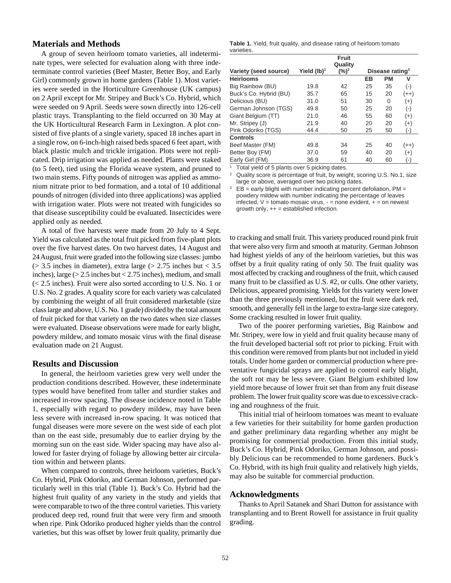### **Materials and Methods**

A group of seven heirloom tomato varieties, all indeterminate types, were selected for evaluation along with three indeterminate control varieties (Beef Master, Better Boy, and Early Girl) commonly grown in home gardens (Table 1). Most varieties were seeded in the Horticulture Greenhouse (UK campus) on 2 April except for Mr. Stripey and Buck's Co. Hybrid, which were seeded on 9 April. Seeds were sown directly into 126-cell plastic trays. Transplanting to the field occurred on 30 May at the UK Horticultural Research Farm in Lexington. A plot consisted of five plants of a single variety, spaced 18 inches apart in a single row, on 6-inch-high raised beds spaced 6 feet apart, with black plastic mulch and trickle irrigation. Plots were not replicated. Drip irrigation was applied as needed. Plants were staked (to 5 feet), tied using the Florida weave system, and pruned to two main stems. Fifty pounds of nitrogen was applied as ammonium nitrate prior to bed formation, and a total of 10 additional pounds of nitrogen (divided into three applications) was applied with irrigation water. Plots were not treated with fungicides so that disease susceptibility could be evaluated. Insecticides were applied only as needed.

A total of five harvests were made from 20 July to 4 Sept. Yield was calculated as the total fruit picked from five-plant plots over the five harvest dates. On two harvest dates, 14 August and 24 August, fruit were graded into the following size classes: jumbo  $(> 3.5$  inches in diameter), extra large  $(> 2.75$  inches but  $< 3.5$ inches), large  $(>2.5$  inches but  $< 2.75$  inches), medium, and small (< 2.5 inches). Fruit were also sorted according to U.S. No. 1 or U.S. No. 2 grades. A quality score for each variety was calculated by combining the weight of all fruit considered marketable (size class large and above, U.S. No. 1 grade) divided by the total amount of fruit picked for that variety on the two dates when size classes were evaluated. Disease observations were made for early blight, powdery mildew, and tomato mosaic virus with the final disease evaluation made on 21 August.

#### **Results and Discussion**

In general, the heirloom varieties grew very well under the production conditions described. However, these indeterminate types would have benefited from taller and sturdier stakes and increased in-row spacing. The disease incidence noted in Table 1, especially with regard to powdery mildew, may have been less severe with increased in-row spacing. It was noticed that fungal diseases were more severe on the west side of each plot than on the east side, presumably due to earlier drying by the morning sun on the east side. Wider spacing may have also allowed for faster drying of foliage by allowing better air circulation within and between plants.

When compared to controls, three heirloom varieties, Buck's Co. Hybrid, Pink Odoriko, and German Johnson, performed particularly well in this trial (Table 1). Buck's Co. Hybrid had the highest fruit quality of any variety in the study and yields that were comparable to two of the three control varieties. This variety produced deep red, round fruit that were very firm and smooth when ripe. Pink Odoriko produced higher yields than the control varieties, but this was offset by lower fruit quality, primarily due

|            |  |  |  | Table 1. Yield, fruit quality, and disease rating of heirloom tomato |  |
|------------|--|--|--|----------------------------------------------------------------------|--|
| varieties. |  |  |  |                                                                      |  |

|                        |                         | <b>Fruit</b><br>Quality |    |                             |                    |
|------------------------|-------------------------|-------------------------|----|-----------------------------|--------------------|
| Variety (seed source)  | Yield (lb) <sup>1</sup> | $(\%)^2$                |    | Disease rating <sup>3</sup> |                    |
| <b>Heirlooms</b>       |                         |                         | EB | <b>PM</b>                   | v                  |
| Big Rainbow (BU)       | 19.8                    | 42                      | 25 | 35                          | $(-)$              |
| Buck's Co. Hybrid (BU) | 35.7                    | 65                      | 15 | 20                          | $(++)$             |
| Delicious (BU)         | 31.0                    | 51                      | 30 | 0                           | $(+)$              |
| German Johnson (TGS)   | 49.8                    | 50                      | 25 | 20                          | $(\textnormal{-})$ |
| Giant Belgium (TT)     | 21.0                    | 46                      | 55 | 60                          | $(+)$              |
| Mr. Stripey (J)        | 21.9                    | 40                      | 20 | 20                          | $^{(+)}$           |
| Pink Odoriko (TGS)     | 44.4                    | 50                      | 25 | 50                          | (−′                |
| <b>Controls</b>        |                         |                         |    |                             |                    |
| Beef Master (FM)       | 49.8                    | 34                      | 25 | 40                          | (++)               |
| Better Boy (FM)        | 37.0                    | 59                      | 40 | 20                          | $(+)$              |
| Early Girl (FM)        | 36.9                    | 61                      | 40 | 60                          | (-)                |

<sup>1</sup> Total yield of 5 plants over 5 picking dates.

Quality score is percentage of fruit, by weight, scoring U.S. No.1, size large or above, averaged over two picking dates.

 $3$  EB = early blight with number indicating percent defoliation, PM = powdery mildew with number indicating the percentage of leaves infected,  $V =$  tomato mosaic virus,  $-$  = none evident,  $+$  = on newest growth only,  $++ =$  established infection.

to cracking and small fruit. This variety produced round pink fruit that were also very firm and smooth at maturity. German Johnson had highest yields of any of the heirloom varieties, but this was offset by a fruit quality rating of only 50. The fruit quality was most affected by cracking and roughness of the fruit, which caused many fruit to be classified as U.S. #2, or culls. One other variety, Delicious, appeared promising. Yields for this variety were lower than the three previously mentioned, but the fruit were dark red, smooth, and generally fell in the large to extra-large size category. Some cracking resulted in lower fruit quality.

Two of the poorer performing varieties, Big Rainbow and Mr. Stripey, were low in yield and fruit quality because many of the fruit developed bacterial soft rot prior to picking. Fruit with this condition were removed from plants but not included in yield totals. Under home garden or commercial production where preventative fungicidal sprays are applied to control early blight, the soft rot may be less severe. Giant Belgium exhibited low yield more because of lower fruit set than from any fruit disease problem. The lower fruit quality score was due to excessive cracking and roughness of the fruit.

This initial trial of heirloom tomatoes was meant to evaluate a few varieties for their suitability for home garden production and gather preliminary data regarding whether any might be promising for commercial production. From this initial study, Buck's Co. Hybrid, Pink Odoriko, German Johnson, and possibly Delicious can be recommended to home gardeners. Buck's Co. Hybrid, with its high fruit quality and relatively high yields, may also be suitable for commercial production.

#### **Acknowledgments**

Thanks to April Satanek and Shari Dutton for assistance with transplanting and to Brent Rowell for assistance in fruit quality grading.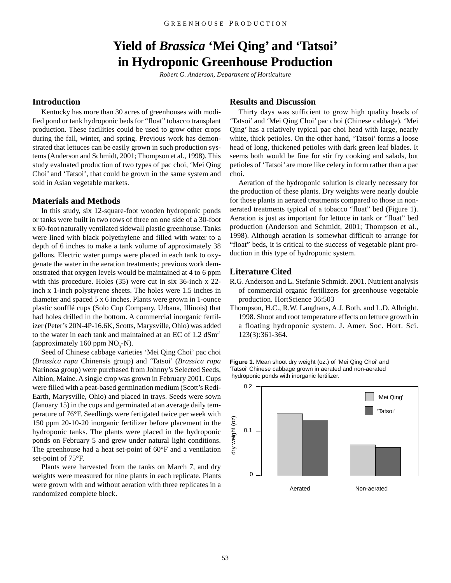## **Yield of** *Brassica* **'Mei Qing' and 'Tatsoi' in Hydroponic Greenhouse Production**

*Robert G. Anderson, Department of Horticulture*

## <span id="page-51-0"></span>**Introduction**

Kentucky has more than 30 acres of greenhouses with modified pond or tank hydroponic beds for "float" tobacco transplant production. These facilities could be used to grow other crops during the fall, winter, and spring. Previous work has demonstrated that lettuces can be easily grown in such production systems (Anderson and Schmidt, 2001; Thompson et al., 1998). This study evaluated production of two types of pac choi, 'Mei Qing Choi' and 'Tatsoi', that could be grown in the same system and sold in Asian vegetable markets.

#### **Materials and Methods**

In this study, six 12-square-foot wooden hydroponic ponds or tanks were built in two rows of three on one side of a 30-foot x 60-foot naturally ventilated sidewall plastic greenhouse. Tanks were lined with black polyethylene and filled with water to a depth of 6 inches to make a tank volume of approximately 38 gallons. Electric water pumps were placed in each tank to oxygenate the water in the aeration treatments; previous work demonstrated that oxygen levels would be maintained at 4 to 6 ppm with this procedure. Holes (35) were cut in six 36-inch x 22inch x 1-inch polystyrene sheets. The holes were 1.5 inches in diameter and spaced 5 x 6 inches. Plants were grown in 1-ounce plastic soufflé cups (Solo Cup Company, Urbana, Illinois) that had holes drilled in the bottom. A commercial inorganic fertilizer (Peter's 20N-4P-16.6K, Scotts, Marysville, Ohio) was added to the water in each tank and maintained at an EC of 1.2 dSm-1 (approximately 160 ppm  $NO<sub>3</sub>-N$ ).

Seed of Chinese cabbage varieties 'Mei Qing Choi' pac choi (*Brassica rapa* Chinensis group) and 'Tatsoi' (*Brassica rapa* Narinosa group) were purchased from Johnny's Selected Seeds, Albion, Maine. A single crop was grown in February 2001. Cups were filled with a peat-based germination medium (Scott's Redi-Earth, Marysville, Ohio) and placed in trays. Seeds were sown (January 15) in the cups and germinated at an average daily temperature of 76°F. Seedlings were fertigated twice per week with 150 ppm 20-10-20 inorganic fertilizer before placement in the hydroponic tanks. The plants were placed in the hydroponic ponds on February 5 and grew under natural light conditions. The greenhouse had a heat set-point of 60°F and a ventilation set-point of 75°F.

Plants were harvested from the tanks on March 7, and dry weights were measured for nine plants in each replicate. Plants were grown with and without aeration with three replicates in a randomized complete block.

## **Results and Discussion**

Thirty days was sufficient to grow high quality heads of 'Tatsoi' and 'Mei Qing Choi' pac choi (Chinese cabbage). 'Mei Qing' has a relatively typical pac choi head with large, nearly white, thick petioles. On the other hand, 'Tatsoi' forms a loose head of long, thickened petioles with dark green leaf blades. It seems both would be fine for stir fry cooking and salads, but petioles of 'Tatsoi' are more like celery in form rather than a pac choi.

Aeration of the hydroponic solution is clearly necessary for the production of these plants. Dry weights were nearly double for those plants in aerated treatments compared to those in nonaerated treatments typical of a tobacco "float" bed (Figure 1). Aeration is just as important for lettuce in tank or "float" bed production (Anderson and Schmidt, 2001; Thompson et al., 1998). Although aeration is somewhat difficult to arrange for "float" beds, it is critical to the success of vegetable plant production in this type of hydroponic system.

### **Literature Cited**

- R.G. Anderson and L. Stefanie Schmidt. 2001. Nutrient analysis of commercial organic fertilizers for greenhouse vegetable production. HortScience 36:503
- Thompson, H.C., R.W. Langhans, A.J. Both, and L.D. Albright. 1998. Shoot and root temperature effects on lettuce growth in a floating hydroponic system. J. Amer. Soc. Hort. Sci. 123(3):361-364.

**Figure 1.** Mean shoot dry weight (oz.) of 'Mei Qing Choi' and 'Tatsoi' Chinese cabbage grown in aerated and non-aerated hydroponic ponds with inorganic fertilizer.

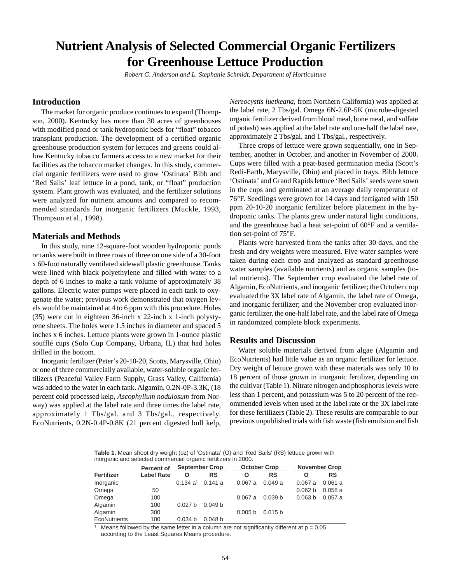## <span id="page-52-0"></span>**Nutrient Analysis of Selected Commercial Organic Fertilizers for Greenhouse Lettuce Production**

*Robert G. Anderson and L. Stephanie Schmidt, Department of Horticulture*

## **Introduction**

The market for organic produce continues to expand (Thompson, 2000). Kentucky has more than 30 acres of greenhouses with modified pond or tank hydroponic beds for "float" tobacco transplant production. The development of a certified organic greenhouse production system for lettuces and greens could allow Kentucky tobacco farmers access to a new market for their facilities as the tobacco market changes. In this study, commercial organic fertilizers were used to grow 'Ostinata' Bibb and 'Red Sails' leaf lettuce in a pond, tank, or "float" production system. Plant growth was evaluated, and the fertilizer solutions were analyzed for nutrient amounts and compared to recommended standards for inorganic fertilizers (Muckle, 1993, Thompson et al., 1998).

#### **Materials and Methods**

In this study, nine 12-square-foot wooden hydroponic ponds or tanks were built in three rows of three on one side of a 30-foot x 60-foot naturally ventilated sidewall plastic greenhouse. Tanks were lined with black polyethylene and filled with water to a depth of 6 inches to make a tank volume of approximately 38 gallons. Electric water pumps were placed in each tank to oxygenate the water; previous work demonstrated that oxygen levels would be maintained at 4 to 6 ppm with this procedure. Holes (35) were cut in eighteen 36-inch x 22-inch x 1-inch polystyrene sheets. The holes were 1.5 inches in diameter and spaced 5 inches x 6 inches. Lettuce plants were grown in 1-ounce plastic soufflé cups (Solo Cup Company, Urbana, IL) that had holes drilled in the bottom.

Inorganic fertilizer (Peter's 20-10-20, Scotts, Marysville, Ohio) or one of three commercially available, water-soluble organic fertilizers (Peaceful Valley Farm Supply, Grass Valley, California) was added to the water in each tank. Algamin, 0.2N-0P-3.3K, (18 percent cold processed kelp, *Ascophyllum nodulosum* from Norway) was applied at the label rate and three times the label rate, approximately 1 Tbs/gal. and 3 Tbs/gal., respectively. EcoNutrients, 0.2N-0.4P-0.8K (21 percent digested bull kelp, *Nereocystis luetkeana*, from Northern California) was applied at the label rate, 2 Tbs/gal. Omega 6N-2.6P-5K (microbe-digested organic fertilizer derived from blood meal, bone meal, and sulfate of potash) was applied at the label rate and one-half the label rate, approximately 2 Tbs/gal. and 1 Tbs/gal., respectively.

Three crops of lettuce were grown sequentially, one in September, another in October, and another in November of 2000. Cups were filled with a peat-based germination media (Scott's Redi-Earth, Marysville, Ohio) and placed in trays. Bibb lettuce 'Ostinata' and Grand Rapids lettuce 'Red Sails' seeds were sown in the cups and germinated at an average daily temperature of 76°F. Seedlings were grown for 14 days and fertigated with 150 ppm 20-10-20 inorganic fertilizer before placement in the hydroponic tanks. The plants grew under natural light conditions, and the greenhouse had a heat set-point of 60°F and a ventilation set-point of 75°F.

Plants were harvested from the tanks after 30 days, and the fresh and dry weights were measured. Five water samples were taken during each crop and analyzed as standard greenhouse water samples (available nutrients) and as organic samples (total nutrients). The September crop evaluated the label rate of Algamin, EcoNutrients, and inorganic fertilizer; the October crop evaluated the 3X label rate of Algamin, the label rate of Omega, and inorganic fertilizer; and the November crop evaluated inorganic fertilizer, the one-half label rate, and the label rate of Omega in randomized complete block experiments.

### **Results and Discussion**

Water soluble materials derived from algae (Algamin and EcoNutrients) had little value as an organic fertilizer for lettuce. Dry weight of lettuce grown with these materials was only 10 to 18 percent of those grown in inorganic fertilizer, depending on the cultivar (Table 1). Nitrate nitrogen and phosphorus levels were less than 1 percent, and potassium was 5 to 20 percent of the recommended levels when used at the label rate or the 3X label rate for these fertilizers (Table 2). These results are comparable to our previous unpublished trials with fish waste (fish emulsion and fish

**Table 1.** Mean shoot dry weight (oz) of 'Ostinata' (O) and 'Red Sails' (RS) lettuce grown with inorganic and selected commercial organic fertilizers in 2000.

|              | Percent of        | <b>September Crop</b> |                    |                    | <b>October Crop</b> |                    | <b>November Crop</b> |  |  |
|--------------|-------------------|-----------------------|--------------------|--------------------|---------------------|--------------------|----------------------|--|--|
| Fertilizer   | <b>Label Rate</b> | Ο                     | RS                 | Ο                  | <b>RS</b>           | O                  | RS                   |  |  |
| Inorganic    |                   | 0.134 a <sup>1</sup>  | 0.141a             | 0.067a             | 0.049a              | 0.067a             | 0.061a               |  |  |
| Omega        | 50                |                       |                    |                    |                     | 0.062 <sub>b</sub> | 0.058a               |  |  |
| Omega        | 100               |                       |                    | 0.067a             | 0.039 <sub>b</sub>  | 0.063 <sub>b</sub> | 0.057a               |  |  |
| Algamin      | 100               | 0.027 <sub>b</sub>    | 0.049 <sub>b</sub> |                    |                     |                    |                      |  |  |
| Algamin      | 300               |                       |                    | 0.005 <sub>b</sub> | 0.015 <sub>b</sub>  |                    |                      |  |  |
| EcoNutrients | 100               | 0.034 <sub>b</sub>    | 0.048 <sub>b</sub> |                    |                     |                    |                      |  |  |

Means followed by the same letter in a column are not significantly different at  $p = 0.05$ according to the Least Squares Means procedure.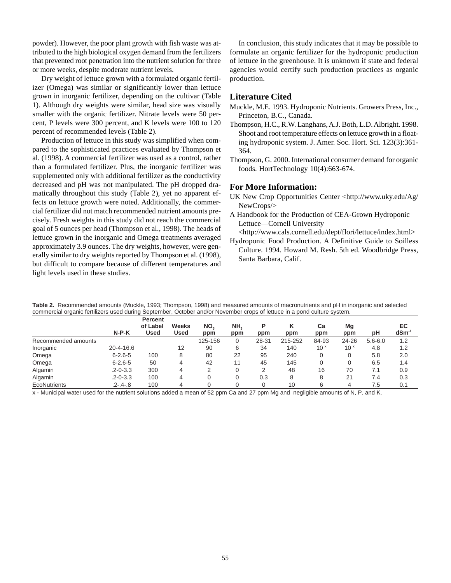powder). However, the poor plant growth with fish waste was attributed to the high biological oxygen demand from the fertilizers that prevented root penetration into the nutrient solution for three or more weeks, despite moderate nutrient levels.

Dry weight of lettuce grown with a formulated organic fertilizer (Omega) was similar or significantly lower than lettuce grown in inorganic fertilizer, depending on the cultivar (Table 1). Although dry weights were similar, head size was visually smaller with the organic fertilizer. Nitrate levels were 50 percent, P levels were 300 percent, and K levels were 100 to 120 percent of recommended levels (Table 2).

Production of lettuce in this study was simplified when compared to the sophisticated practices evaluated by Thompson et al. (1998). A commercial fertilizer was used as a control, rather than a formulated fertilizer. Plus, the inorganic fertilizer was supplemented only with additional fertilizer as the conductivity decreased and pH was not manipulated. The pH dropped dramatically throughout this study (Table 2), yet no apparent effects on lettuce growth were noted. Additionally, the commercial fertilizer did not match recommended nutrient amounts precisely. Fresh weights in this study did not reach the commercial goal of 5 ounces per head (Thompson et al., 1998). The heads of lettuce grown in the inorganic and Omega treatments averaged approximately 3.9 ounces. The dry weights, however, were generally similar to dry weights reported by Thompson et al. (1998), but difficult to compare because of different temperatures and light levels used in these studies.

In conclusion, this study indicates that it may be possible to formulate an organic fertilizer for the hydroponic production of lettuce in the greenhouse. It is unknown if state and federal agencies would certify such production practices as organic production.

### **Literature Cited**

- Muckle, M.E. 1993. Hydroponic Nutrients. Growers Press, Inc., Princeton, B.C., Canada.
- Thompson, H.C., R.W. Langhans, A.J. Both, L.D. Albright. 1998. Shoot and root temperature effects on lettuce growth in a floating hydroponic system. J. Amer. Soc. Hort. Sci. 123(3):361- 364.
- Thompson, G. 2000. International consumer demand for organic foods. HortTechnology 10(4):663-674.

### **For More Information:**

- UK New Crop Opportunities Center <http://www.uky.edu/Ag/ NewCrops/>
- A Handbook for the Production of CEA-Grown Hydroponic Lettuce—Cornell University
- <http://www.cals.cornell.edu/dept/flori/lettuce/index.html>
- Hydroponic Food Production. A Definitive Guide to Soilless Culture. 1994. Howard M. Resh. 5th ed. Woodbridge Press, Santa Barbara, Calif.

|                     |                | <b>Percent</b>   |                      |                        |                        |          |         |                 |                 |             |                        |
|---------------------|----------------|------------------|----------------------|------------------------|------------------------|----------|---------|-----------------|-----------------|-------------|------------------------|
|                     | $N-P-K$        | of Label<br>Used | Weeks<br><b>Used</b> | NO <sub>2</sub><br>ppm | NH <sub>2</sub><br>ppm | P<br>ppm | ppm     | Cа<br>ppm       | Mg<br>ppm       | рH          | EC<br>dSm <sup>-</sup> |
| Recommended amounts |                |                  |                      | 125-156                |                        | 28-31    | 215-252 | 84-93           | 24-26           | $5.6 - 6.0$ | 1.2                    |
| Inorganic           | 20-4-16.6      |                  | 12                   | 90                     | 6                      | 34       | 140     | 10 <sup>x</sup> | 10 <sup>x</sup> | 4.8         | 1.2                    |
| Omega               | $6 - 2.6 - 5$  | 100              | 8                    | 80                     | 22                     | 95       | 240     |                 |                 | 5.8         | 2.0                    |
| Omega               | $6 - 2.6 - 5$  | 50               | 4                    | 42                     | 11                     | 45       | 145     |                 |                 | 6.5         | 1.4                    |
| Algamin             | $.2 - 0 - 3.3$ | 300              | 4                    |                        |                        | っ        | 48      | 16              | 70              | 7.1         | 0.9                    |
| Algamin             | $.2 - 0 - 3.3$ | 100              | 4                    |                        |                        | 0.3      | 8       | 8               | 21              | 7.4         | 0.3                    |
| EcoNutrients        | .2-.4-.8       | 100              |                      |                        |                        |          | 10      | 6               |                 | 7.5         | 0.1                    |

**Table 2.** Recommended amounts (Muckle, 1993; Thompson, 1998) and measured amounts of macronutrients and pH in inorganic and selected commercial organic fertilizers used during September, October and/or November crops of lettuce in a pond culture system.

x - Municipal water used for the nutrient solutions added a mean of 52 ppm Ca and 27 ppm Mg and negligible amounts of N, P, and K.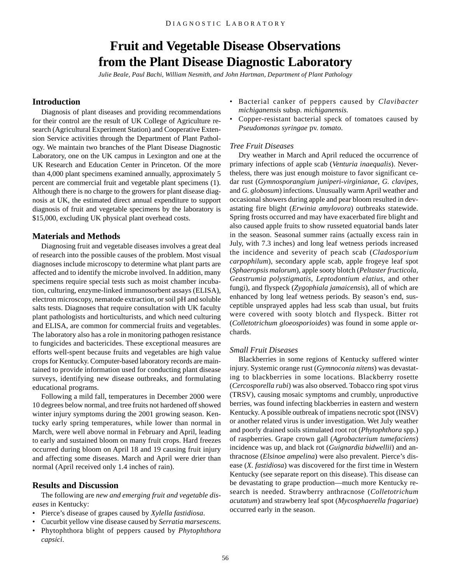## **Fruit and Vegetable Disease Observations from the Plant Disease Diagnostic Laboratory**

*Julie Beale, Paul Bachi, William Nesmith, and John Hartman, Department of Plant Pathology*

## <span id="page-54-0"></span>**Introduction**

Diagnosis of plant diseases and providing recommendations for their control are the result of UK College of Agriculture research (Agricultural Experiment Station) and Cooperative Extension Service activities through the Department of Plant Pathology. We maintain two branches of the Plant Disease Diagnostic Laboratory, one on the UK campus in Lexington and one at the UK Research and Education Center in Princeton. Of the more than 4,000 plant specimens examined annually, approximately 5 percent are commercial fruit and vegetable plant specimens (1). Although there is no charge to the growers for plant disease diagnosis at UK, the estimated direct annual expenditure to support diagnosis of fruit and vegetable specimens by the laboratory is \$15,000, excluding UK physical plant overhead costs.

#### **Materials and Methods**

Diagnosing fruit and vegetable diseases involves a great deal of research into the possible causes of the problem. Most visual diagnoses include microscopy to determine what plant parts are affected and to identify the microbe involved. In addition, many specimens require special tests such as moist chamber incubation, culturing, enzyme-linked immunosorbent assays (ELISA), electron microscopy, nematode extraction, or soil pH and soluble salts tests. Diagnoses that require consultation with UK faculty plant pathologists and horticulturists, and which need culturing and ELISA, are common for commercial fruits and vegetables. The laboratory also has a role in monitoring pathogen resistance to fungicides and bactericides. These exceptional measures are efforts well-spent because fruits and vegetables are high value crops for Kentucky. Computer-based laboratory records are maintained to provide information used for conducting plant disease surveys, identifying new disease outbreaks, and formulating educational programs.

Following a mild fall, temperatures in December 2000 were 10 degrees below normal, and tree fruits not hardened off showed winter injury symptoms during the 2001 growing season. Kentucky early spring temperatures, while lower than normal in March, were well above normal in February and April, leading to early and sustained bloom on many fruit crops. Hard freezes occurred during bloom on April 18 and 19 causing fruit injury and affecting some diseases. March and April were drier than normal (April received only 1.4 inches of rain).

#### **Results and Discussion**

The following are *new and emerging fruit and vegetable diseases* in Kentucky:

- Pierce's disease of grapes caused by *Xylella fastidiosa*.
- Cucurbit yellow vine disease caused by *Serratia marsescens*.
- Phytophthora blight of peppers caused by *Phytophthora capsici*.
- Bacterial canker of peppers caused by *Clavibacter michiganensis* subsp. *michiganensis.*
- Copper-resistant bacterial speck of tomatoes caused by *Pseudomonas syringae* pv. *tomato*.

### *Tree Fruit Diseases*

Dry weather in March and April reduced the occurrence of primary infections of apple scab (*Venturia inaequalis*). Nevertheless, there was just enough moisture to favor significant cedar rust (*Gymnosporangium juniperi-virginianae, G. clavipes,* and *G. globosum*) infections. Unusually warm April weather and occasional showers during apple and pear bloom resulted in devastating fire blight (*Erwinia amylovora*) outbreaks statewide. Spring frosts occurred and may have exacerbated fire blight and also caused apple fruits to show russeted equatorial bands later in the season. Seasonal summer rains (actually excess rain in July, with 7.3 inches) and long leaf wetness periods increased the incidence and severity of peach scab (*Cladosporium carpophilum*), secondary apple scab, apple frogeye leaf spot (*Sphaeropsis malorum*), apple sooty blotch (*Peltaster fructicola, Geastrumia polystigmatis, Leptodontium elatius*, and other fungi), and flyspeck (*Zygophiala jamaicensis*), all of which are enhanced by long leaf wetness periods. By season's end, susceptible unsprayed apples had less scab than usual, but fruits were covered with sooty blotch and flyspeck. Bitter rot (*Colletotrichum gloeosporioides*) was found in some apple orchards.

#### *Small Fruit Diseases*

Blackberries in some regions of Kentucky suffered winter injury. Systemic orange rust (*Gymnoconia nitens*) was devastating to blackberries in some locations. Blackberry rosette (*Cercosporella rubi*) was also observed. Tobacco ring spot virus (TRSV), causing mosaic symptoms and crumbly, unproductive berries, was found infecting blackberries in eastern and western Kentucky. A possible outbreak of impatiens necrotic spot (INSV) or another related virus is under investigation. Wet July weather and poorly drained soils stimulated root rot (*Phytophthora* spp.) of raspberries. Grape crown gall (*Agrobacterium tumefaciens*) incidence was up, and black rot (*Guignardia bidwellii*) and anthracnose (*Elsinoe ampelina*) were also prevalent. Pierce's disease (*X. fastidiosa*) was discovered for the first time in Western Kentucky (see separate report on this disease). This disease can be devastating to grape production—much more Kentucky research is needed. Strawberry anthracnose (*Colletotrichum acutatum*) and strawberry leaf spot (*Mycosphaerella fragariae*) occurred early in the season.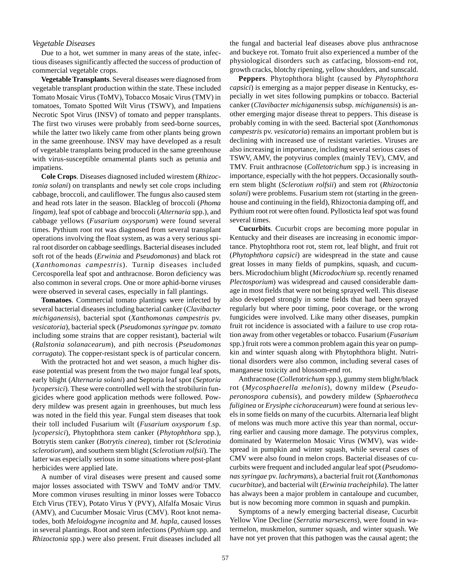#### *Vegetable Diseases*

Due to a hot, wet summer in many areas of the state, infectious diseases significantly affected the success of production of commercial vegetable crops.

**Vegetable Transplants**. Several diseases were diagnosed from vegetable transplant production within the state. These included Tomato Mosaic Virus (ToMV), Tobacco Mosaic Virus (TMV) in tomatoes, Tomato Spotted Wilt Virus (TSWV), and Impatiens Necrotic Spot Virus (INSV) of tomato and pepper transplants. The first two viruses were probably from seed-borne sources, while the latter two likely came from other plants being grown in the same greenhouse. INSV may have developed as a result of vegetable transplants being produced in the same greenhouse with virus-susceptible ornamental plants such as petunia and impatiens.

**Cole Crops**. Diseases diagnosed included wirestem (*Rhizoctonia solani*) on transplants and newly set cole crops including cabbage, broccoli, and cauliflower. The fungus also caused stem and head rots later in the season. Blackleg of broccoli (*Phoma lingam)*, leaf spot of cabbage and broccoli (*Alternaria* spp.), and cabbage yellows (*Fusarium oxysporum*) were found several times. Pythium root rot was diagnosed from several transplant operations involving the float system, as was a very serious spiral root disorder on cabbage seedlings. Bacterial diseases included soft rot of the heads (*Erwinia* and *Pseudomonas*) and black rot (*Xanthomonas campestris*). Turnip diseases included Cercosporella leaf spot and anthracnose. Boron deficiency was also common in several crops. One or more aphid-borne viruses were observed in several cases, especially in fall plantings.

**Tomatoes**. Commercial tomato plantings were infected by several bacterial diseases including bacterial canker (*Clavibacter michiganensis*), bacterial spot (*Xanthomonas campestris* pv. *vesicatoria*), bacterial speck (*Pseudomonas syringae* pv. *tomato* including some strains that are copper resistant), bacterial wilt (*Ralstonia solanacearum*), and pith necrosis (*Pseudomonas corrugata*). The copper-resistant speck is of particular concern.

With the protracted hot and wet season, a much higher disease potential was present from the two major fungal leaf spots, early blight (*Alternaria solani*) and Septoria leaf spot (*Septoria lycopersici*). These were controlled well with the strobilurin fungicides where good application methods were followed. Powdery mildew was present again in greenhouses, but much less was noted in the field this year. Fungal stem diseases that took their toll included Fusarium wilt (*Fusarium oxysporum* f.sp. *lycopersici*), Phytophthora stem canker (*Phytophthora* spp.), Botrytis stem canker (*Botrytis cinerea*), timber rot (*Sclerotinia sclerotiorum*), and southern stem blight (*Sclerotium rolfsii*). The latter was especially serious in some situations where post-plant herbicides were applied late.

A number of viral diseases were present and caused some major losses associated with TSWV and ToMV and/or TMV. More common viruses resulting in minor losses were Tobacco Etch Virus (TEV), Potato Virus Y (PVY), Alfalfa Mosaic Virus (AMV), and Cucumber Mosaic Virus (CMV). Root knot nematodes, both *Meloidogyne incognita* and *M. hapla*, caused losses in several plantings. Root and stem infections (*Pythium* spp. and *Rhizoctonia* spp.) were also present. Fruit diseases included all the fungal and bacterial leaf diseases above plus anthracnose and buckeye rot. Tomato fruit also experienced a number of the physiological disorders such as catfacing, blossom-end rot, growth cracks, blotchy ripening, yellow shoulders, and sunscald.

**Peppers**. Phytophthora blight (caused by *Phytophthora capsici*) is emerging as a major pepper disease in Kentucky, especially in wet sites following pumpkins or tobacco. Bacterial canker (*Clavibacter michiganensis* subsp. *michiganensis*) is another emerging major disease threat to peppers. This disease is probably coming in with the seed. Bacterial spot (*Xanthomonas campestris* pv. *vesicatoria*) remains an important problem but is declining with increased use of resistant varieties. Viruses are also increasing in importance, including several serious cases of TSWV, AMV, the potyvirus complex (mainly TEV), CMV, and TMV. Fruit anthracnose (*Colletotrichum* spp.) is increasing in importance, especially with the hot peppers. Occasionally southern stem blight (*Sclerotium rolfsii*) and stem rot (*Rhizoctonia solani*) were problems. Fusarium stem rot (starting in the greenhouse and continuing in the field), Rhizoctonia damping off, and Pythium root rot were often found. Pyllosticta leaf spot was found several times.

**Cucurbits**. Cucurbit crops are becoming more popular in Kentucky and their diseases are increasing in economic importance. Phytophthora root rot, stem rot, leaf blight, and fruit rot (*Phytophthora capsici*) are widespread in the state and cause great losses in many fields of pumpkins, squash, and cucumbers. Microdochium blight (*Microdochium* sp. recently renamed *Plectosporium*) was widespread and caused considerable damage in most fields that were not being sprayed well. This disease also developed strongly in some fields that had been sprayed regularly but where poor timing, poor coverage, or the wrong fungicides were involved. Like many other diseases, pumpkin fruit rot incidence is associated with a failure to use crop rotation away from other vegetables or tobacco. Fusarium (*Fusarium* spp.) fruit rots were a common problem again this year on pumpkin and winter squash along with Phytophthora blight. Nutritional disorders were also common, including several cases of manganese toxicity and blossom-end rot.

Anthracnose (*Colletotrichum* spp.), gummy stem blight/black rot (*Mycosphaerella melonis*), downy mildew (*Pseudoperonospora cubensis*), and powdery mildew (*Sphaerotheca fuliginea* or *Erysiphe cichoracearum*) were found at serious levels in some fields on many of the cucurbits. Alternaria leaf blight of melons was much more active this year than normal, occurring earlier and causing more damage. The potyvirus complex, dominated by Watermelon Mosaic Virus (WMV), was widespread in pumpkin and winter squash, while several cases of CMV were also found in melon crops. Bacterial diseases of cucurbits were frequent and included angular leaf spot (*Pseudomonas syringae* pv. *lachrymans*), a bacterial fruit rot (*Xanthomonas cucurbitae*), and bacterial wilt (*Erwinia tracheiphila*). The latter has always been a major problem in cantaloupe and cucumber, but is now becoming more common in squash and pumpkin.

Symptoms of a newly emerging bacterial disease, Cucurbit Yellow Vine Decline (*Serratia marsescens*), were found in watermelon, muskmelon, summer squash, and winter squash. We have not yet proven that this pathogen was the causal agent; the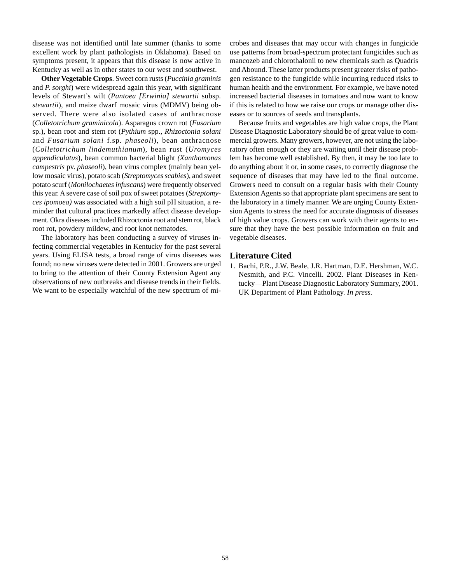disease was not identified until late summer (thanks to some excellent work by plant pathologists in Oklahoma). Based on symptoms present, it appears that this disease is now active in Kentucky as well as in other states to our west and southwest.

**Other Vegetable Crops**. Sweet corn rusts (*Puccinia graminis* and *P. sorghi*) were widespread again this year, with significant levels of Stewart's wilt (*Pantoea [Erwinia] stewartii* subsp. *stewartii*), and maize dwarf mosaic virus (MDMV) being observed. There were also isolated cases of anthracnose (*Colletotrichum graminicola*). Asparagus crown rot (*Fusarium* sp.), bean root and stem rot (*Pythium* spp., *Rhizoctonia solani* and *Fusarium solani* f.sp. *phaseoli*), bean anthracnose (*Colletotrichum lindemuthianum*), bean rust (*Uromyces appendiculatus*), bean common bacterial blight *(Xanthomonas campestris* pv. *phaseoli*), bean virus complex (mainly bean yellow mosaic virus), potato scab (*Streptomyces scabies*), and sweet potato scurf (*Monilochaetes infuscans*) were frequently observed this year. A severe case of soil pox of sweet potatoes (*Streptomyces ipomoea)* was associated with a high soil pH situation, a reminder that cultural practices markedly affect disease development. Okra diseases included Rhizoctonia root and stem rot, black root rot, powdery mildew, and root knot nematodes.

The laboratory has been conducting a survey of viruses infecting commercial vegetables in Kentucky for the past several years. Using ELISA tests, a broad range of virus diseases was found; no new viruses were detected in 2001. Growers are urged to bring to the attention of their County Extension Agent any observations of new outbreaks and disease trends in their fields. We want to be especially watchful of the new spectrum of microbes and diseases that may occur with changes in fungicide use patterns from broad-spectrum protectant fungicides such as mancozeb and chlorothalonil to new chemicals such as Quadris and Abound. These latter products present greater risks of pathogen resistance to the fungicide while incurring reduced risks to human health and the environment. For example, we have noted increased bacterial diseases in tomatoes and now want to know if this is related to how we raise our crops or manage other diseases or to sources of seeds and transplants.

Because fruits and vegetables are high value crops, the Plant Disease Diagnostic Laboratory should be of great value to commercial growers. Many growers, however, are not using the laboratory often enough or they are waiting until their disease problem has become well established. By then, it may be too late to do anything about it or, in some cases, to correctly diagnose the sequence of diseases that may have led to the final outcome. Growers need to consult on a regular basis with their County Extension Agents so that appropriate plant specimens are sent to the laboratory in a timely manner. We are urging County Extension Agents to stress the need for accurate diagnosis of diseases of high value crops. Growers can work with their agents to ensure that they have the best possible information on fruit and vegetable diseases.

#### **Literature Cited**

1. Bachi, P.R., J.W. Beale, J.R. Hartman, D.E. Hershman, W.C. Nesmith, and P.C. Vincelli. 2002. Plant Diseases in Kentucky—Plant Disease Diagnostic Laboratory Summary, 2001. UK Department of Plant Pathology. *In press.*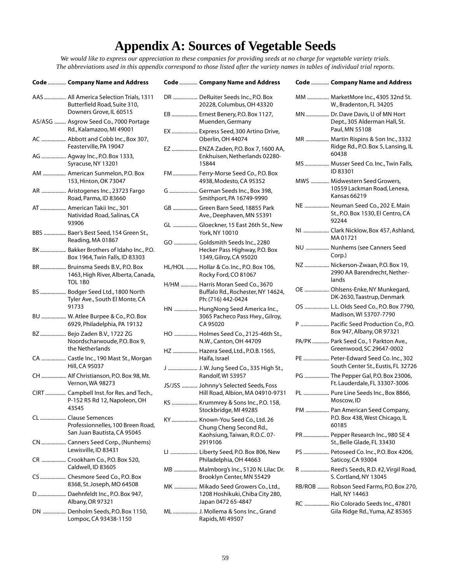# **Appendix A: Sources of Vegetable Seeds**

<span id="page-57-0"></span>*We would like to express our appreciation to these companies for providing seeds at no charge for vegetable variety trials. The abbreviations used in this appendix correspond to those listed after the variety names in tables of individual trial reports.*

| <b>Code  Company Name and Address</b>                                                          |    | <b>Code  Company Name and Address</b>                                                            |    | <b>Code  Company Name and Address</b>                                               |
|------------------------------------------------------------------------------------------------|----|--------------------------------------------------------------------------------------------------|----|-------------------------------------------------------------------------------------|
| AAS  All America Selection Trials, 1311<br>Butterfield Road, Suite 310,                        |    | DR  DeRuiter Seeds Inc., P.O. Box<br>20228, Columbus, OH 43320                                   |    | MM  MarketMore Inc., 4305 32nd St.<br>W., Bradenton, FL 34205                       |
| Downers Grove, IL 60515<br>AS/ASG  Asgrow Seed Co., 7000 Portage<br>Rd., Kalamazoo, MI 49001   |    | EB  Ernest Benery, P.O. Box 1127,<br>Muenden, Germany                                            |    | MN  Dr. Dave Davis, U of MN Hort<br>Dept., 305 Alderman Hall, St.<br>Paul, MN 55108 |
| AC  Abbott and Cobb Inc., Box 307,<br>Feasterville, PA 19047                                   |    | EX  Express Seed, 300 Artino Drive,<br>Oberlin, OH 44074<br>EZ  ENZA Zaden, P.O. Box 7, 1600 AA, |    | MR  Martin Rispins & Son Inc., 3332<br>Ridge Rd., P.O. Box 5, Lansing, IL           |
| AG  Agway Inc., P.O. Box 1333,<br>Syracuse, NY 13201                                           |    | Enkhuisen, Netherlands 02280-<br>15844                                                           |    | 60438<br>MS  Musser Seed Co. Inc., Twin Falls,                                      |
| AM  American Sunmelon, P.O. Box<br>153, Hinton, OK 73047                                       |    | FM  Ferry-Morse Seed Co., P.O. Box<br>4938, Modesto, CA 95352                                    |    | ID 83301<br>MWS  Midwestern Seed Growers,                                           |
| AR  Aristogenes Inc., 23723 Fargo<br>Road, Parma, ID 83660                                     |    | G  German Seeds Inc., Box 398,<br>Smithport, PA 16749-9990                                       |    | 10559 Lackman Road, Lenexa,<br>Kansas 66219                                         |
| AT  American Takii Inc., 301<br>Natividad Road, Salinas, CA                                    |    | GB  Green Barn Seed, 18855 Park<br>Ave., Deephaven, MN 55391                                     |    | NE  Neuman Seed Co., 202 E. Main<br>St., P.O. Box 1530, El Centro, CA               |
| 93906<br>BBS  Baer's Best Seed, 154 Green St.,                                                 |    | GL  Gloeckner, 15 East 26th St., New<br>York, NY 10010                                           |    | 92244<br>NI  Clark Nicklow, Box 457, Ashland,<br>MA 01721                           |
| Reading, MA 01867<br>BK  Bakker Brothers of Idaho Inc., P.O.<br>Box 1964, Twin Falls, ID 83303 |    | GO  Goldsmith Seeds Inc., 2280<br>Hecker Pass Highway, P.O. Box<br>1349, Gilroy, CA 95020        |    | NU  Nunhems (see Canners Seed<br>Corp.)                                             |
| BR Bruinsma Seeds B.V., P.O. Box<br>1463, High River, Alberta, Canada,                         |    | HL/HOL  Hollar & Co. Inc., P.O. Box 106,<br>Rocky Ford, CO 81067                                 |    | NZ  Nickerson-Zwaan, P.O. Box 19,<br>2990 AA Barendrecht, Nether-<br>lands          |
| TOL 1B0<br>BS  Bodger Seed Ltd., 1800 North<br>Tyler Ave., South El Monte, CA                  |    | H/HM  Harris Moran Seed Co., 3670<br>Buffalo Rd., Rochester, NY 14624,<br>Ph: (716) 442-0424     |    | OE  Ohlsens-Enke, NY Munkegard,<br>DK-2630, Taastrup, Denmark                       |
| 91733<br>BU  W. Atlee Burpee & Co., P.O. Box                                                   |    | HN  HungNong Seed America Inc.,<br>3065 Pacheco Pass Hwy., Gilroy,                               |    | OS  L.L. Olds Seed Co., P.O. Box 7790,<br>Madison, WI 53707-7790                    |
| 6929, Philadelphia, PA 19132<br>BZ  Bejo Zaden B.V., 1722 ZG                                   |    | CA 95020<br>HO  Holmes Seed Co., 2125-46th St.,                                                  |    | P  Pacific Seed Production Co., P.O.<br>Box 947, Albany, OR 97321                   |
| Noordscharwoude, P.O. Box 9,<br>the Netherlands                                                |    | N.W., Canton, OH 44709<br>HZ  Hazera Seed, Ltd., P.O.B. 1565,                                    |    | PA/PK  Park Seed Co., 1 Parkton Ave.,<br>Greenwood, SC 29647-0002                   |
| CA  Castle Inc., 190 Mast St., Morgan<br>Hill, CA 95037                                        |    | Haifa, Israel<br>J  J. W. Jung Seed Co., 335 High St.,                                           |    | PE  Peter-Edward Seed Co. Inc., 302<br>South Center St., Eustis, FL 32726           |
| CH  Alf Christianson, P.O. Box 98, Mt.<br>Vernon, WA 98273                                     |    | Randolf, WI 53957                                                                                |    | PG  The Pepper Gal, P.O. Box 23006,<br>Ft. Lauderdale, FL 33307-3006                |
| CIRT  Campbell Inst. for Res. and Tech.,<br>P-152 R5 Rd 12, Napoleon, OH                       |    | JS/JSS  Johnny's Selected Seeds, Foss<br>Hill Road, Albion, MA 04910-9731                        |    | PL  Pure Line Seeds Inc., Box 8866,<br>Moscow, ID                                   |
| 43545<br>CL  Clause Semences                                                                   |    | KS  Krummrey & Sons Inc., P.O. 158,<br>Stockbridge, MI 49285                                     |    | PM  Pan American Seed Company,<br>P.O. Box 438, West Chicago, IL                    |
| Professionnelles, 100 Breen Road,<br>San Juan Bautista, CA 95045                               | KY | Known-You Seed Co., Ltd. 26<br>Chung Cheng Second Rd.,<br>Kaohsiung, Taiwan, R.O.C. 07-          | PR | 60185<br>Pepper Research Inc., 980 SE 4                                             |
| CN  Canners Seed Corp., (Nunhems)<br>Lewisville, ID 83431                                      |    | 2919106                                                                                          |    | St., Belle Glade, FL 33430                                                          |
| CR  Crookham Co., P.O. Box 520,                                                                |    | LI  Liberty Seed, P.O. Box 806, New<br>Philadelphia, OH 44663                                    |    | PS  Petoseed Co. Inc., P.O. Box 4206,<br>Saticoy, CA 93004                          |
| Caldwell, ID 83605<br>CS  Chesmore Seed Co., P.O. Box                                          |    | MB  Malmborg's Inc., 5120 N. Lilac Dr.<br>Brooklyn Center, MN 55429                              |    | R  Reed's Seeds, R.D. #2, Virgil Road,<br>S. Cortland, NY 13045                     |
| 8368, St. Joseph, MO 64508<br>D Daehnfeldt Inc., P.O. Box 947,                                 |    | MK  Mikado Seed Growers Co., Ltd.,<br>1208 Hoshikuki, Chiba City 280,                            |    | RB/ROB  Robson Seed Farms, P.O. Box 270,<br>Hall, NY 14463                          |
| Albany, OR 97321<br>DN  Denholm Seeds, P.O. Box 1150,<br>Lompoc, CA 93438-1150                 |    | Japan 0472 65-4847<br>ML  J. Mollema & Sons Inc., Grand<br>Rapids, MI 49507                      |    | RC  Rio Colorado Seeds Inc., 47801<br>Gila Ridge Rd., Yuma, AZ 85365                |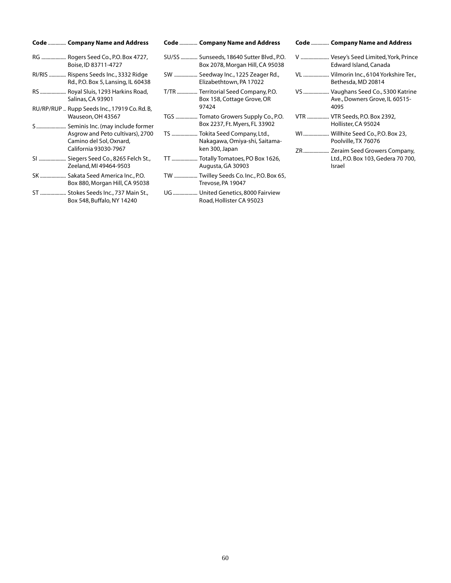| Code  Company Name and Address                                                                                             |
|----------------------------------------------------------------------------------------------------------------------------|
| RG  Rogers Seed Co., P.O. Box 4727,<br>Boise, ID 83711-4727                                                                |
| RI/RIS  Rispens Seeds Inc., 3332 Ridge<br>Rd., P.O. Box 5, Lansing, IL 60438                                               |
| RS  Royal Sluis, 1293 Harkins Road,<br>Salinas, CA 93901                                                                   |
| RU/RP/RUP  Rupp Seeds Inc., 17919 Co. Rd. B,<br>Wauseon, OH 43567                                                          |
| S Seminis Inc. (may include former<br>Asgrow and Peto cultivars), 2700<br>Camino del Sol, Oxnard,<br>California 93030-7967 |
| SI  Siegers Seed Co., 8265 Felch St.,<br>Zeeland, MI 49464-9503                                                            |
| SK  Sakata Seed America Inc., P.O.<br>Box 880, Morgan Hill, CA 95038                                                       |
| ST  Stokes Seeds Inc., 737 Main St.,<br>Box 548, Buffalo, NY 14240                                                         |

| Code  Company Name and Address                                               | <b>Code  Company Name and Address</b>                                        | <b>Code  Company Name and Address</b>                                |
|------------------------------------------------------------------------------|------------------------------------------------------------------------------|----------------------------------------------------------------------|
| RG  Rogers Seed Co., P.O. Box 4727,<br>Boise, ID 83711-4727                  | SU/SS  Sunseeds, 18640 Sutter Blvd., P.O.<br>Box 2078, Morgan Hill, CA 95038 | V  Vesey's Seed Limited, York, Prin<br>Edward Island, Canada         |
| RI/RIS  Rispens Seeds Inc., 3332 Ridge<br>Rd., P.O. Box 5, Lansing, IL 60438 | SW  Seedway Inc., 1225 Zeager Rd.,<br>Elizabethtown, PA 17022                | VL  Vilmorin Inc., 6104 Yorkshire Te<br>Bethesda, MD 20814           |
| RS  Royal Sluis, 1293 Harkins Road,<br>Salinas, CA 93901                     | T/TR  Territorial Seed Company, P.O.<br>Box 158, Cottage Grove, OR           | VS  Vaughans Seed Co., 5300 Katrii<br>Ave., Downers Grove, IL 60515- |
| RU/RP/RUP  Rupp Seeds Inc., 17919 Co. Rd. B,                                 | 97424                                                                        | 4095                                                                 |
| Wauseon, OH 43567<br>S Seminis Inc. (may include former                      | TGS  Tomato Growers Supply Co., P.O.<br>Box 2237, Ft. Myers, FL 33902        | VTR  VTR Seeds, P.O. Box 2392,<br>Hollister, CA 95024                |
| Asgrow and Peto cultivars), 2700<br>Camino del Sol, Oxnard,                  | TS  Tokita Seed Company, Ltd.,<br>Nakagawa, Omiya-shi, Saitama-              | WI Willhite Seed Co., P.O. Box 23,<br>Poolville, TX 76076            |
| California 93030-7967                                                        | ken 300, Japan                                                               | ZR Zeraim Seed Growers Compan                                        |
| SI  Siegers Seed Co., 8265 Felch St.,<br>Zeeland, MI 49464-9503              | TT  Totally Tomatoes, PO Box 1626,<br>Augusta, GA 30903                      | Ltd., P.O. Box 103, Gedera 70 70<br>Israel                           |
| SK  Sakata Seed America Inc., P.O.<br>Box 880, Morgan Hill, CA 95038         | TW  Twilley Seeds Co. Inc., P.O. Box 65,<br>Trevose, PA 19047                |                                                                      |
| ST  Stokes Seeds Inc., 737 Main St.,<br>Box 548, Buffalo, NY 14240           | UG  United Genetics, 8000 Fairview<br>Road, Hollister CA 95023               |                                                                      |

| <b>Code  Company Name and Address</b>                                           |
|---------------------------------------------------------------------------------|
| V  Vesey's Seed Limited, York, Prince<br>Edward Island, Canada                  |
| VL  Vilmorin Inc., 6104 Yorkshire Ter.,<br>Bethesda, MD 20814                   |
| VS  Vaughans Seed Co., 5300 Katrine<br>Ave., Downers Grove, IL 60515-<br>4095   |
| VTR  VTR Seeds, P.O. Box 2392,<br>Hollister, CA 95024                           |
| WI Willhite Seed Co., P.O. Box 23,<br>Poolville, TX 76076                       |
| ZR Zeraim Seed Growers Company,<br>Ltd., P.O. Box 103, Gedera 70 700,<br>Israel |